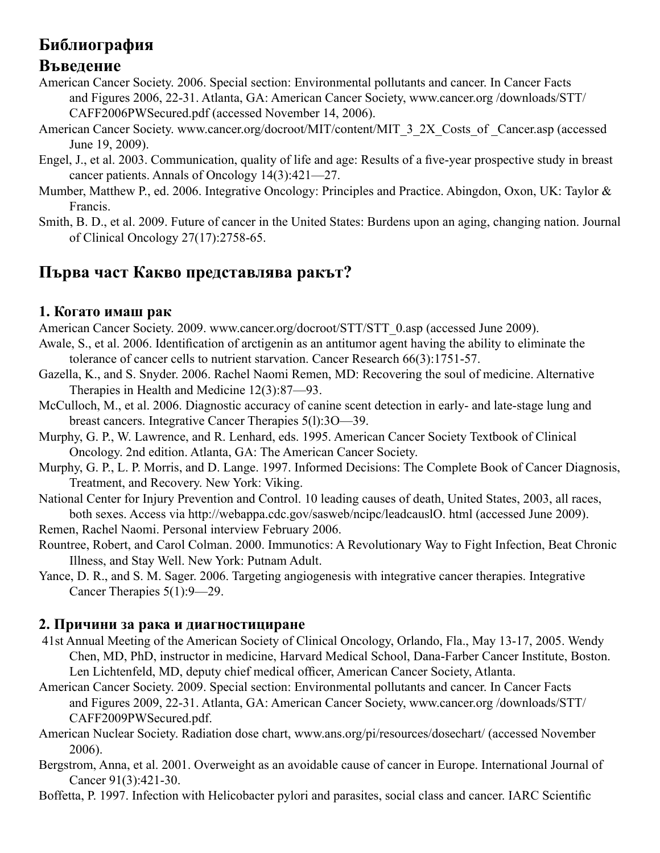# **Библиография**

# **Въведение**

- American Cancer Society. 2006. Special section: Environmental pollutants and cancer. In Cancer Facts and Figures 2006, 22-31. Atlanta, GA: American Cancer Society, www.cancer.org /downloads/STT/ CAFF2006PWSecured.pdf (accessed November 14, 2006).
- American Cancer Society. www.cancer.org/docroot/MIT/content/MIT\_3\_2X\_Costs\_of \_Cancer.asp (accessed June 19, 2009).
- Engel, J., et al. 2003. Communication, quality of life and age: Results of a five-year prospective study in breast cancer patients. Annals of Oncology 14(3):421—27.
- Mumber, Matthew P., ed. 2006. Integrative Oncology: Principles and Practice. Abingdon, Oxon, UK: Taylor & Francis.
- Smith, B. D., et al. 2009. Future of cancer in the United States: Burdens upon an aging, changing nation. Journal of Clinical Oncology 27(17):2758-65.

# **Първа част Какво представлява ракът?**

# **1. Когато имаш рак**

American Cancer Society. 2009. www.cancer.org/docroot/STT/STT\_0.asp (accessed June 2009).

- Awale, S., et al. 2006. Identification of arctigenin as an antitumor agent having the ability to eliminate the tolerance of cancer cells to nutrient starvation. Cancer Research 66(3):1751-57.
- Gazella, K., and S. Snyder. 2006. Rachel Naomi Remen, MD: Recovering the soul of medicine. Alternative Therapies in Health and Medicine 12(3):87—93.
- McCulloch, M., et al. 2006. Diagnostic accuracy of canine scent detection in early- and late-stage lung and breast cancers. Integrative Cancer Therapies 5(l):3O—39.
- Murphy, G. P., W. Lawrence, and R. Lenhard, eds. 1995. American Cancer Society Textbook of Clinical Oncology. 2nd edition. Atlanta, GA: The American Cancer Society.
- Murphy, G. P., L. P. Morris, and D. Lange. 1997. Informed Decisions: The Complete Book of Cancer Diagnosis, Treatment, and Recovery. New York: Viking.
- National Center for Injury Prevention and Control. 10 leading causes of death, United States, 2003, all races, both sexes. Access via http://webappa.cdc.gov/sasweb/ncipc/leadcauslO. html (accessed June 2009). Remen, Rachel Naomi. Personal interview February 2006.
- Rountree, Robert, and Carol Colman. 2000. Immunotics: A Revolutionary Way to Fight Infection, Beat Chronic Illness, and Stay Well. New York: Putnam Adult.
- Yance, D. R., and S. M. Sager. 2006. Targeting angiogenesis with integrative cancer therapies. Integrative Cancer Therapies 5(1):9—29.

# **2. Причини за рака и диагностициране**

- 41st Annual Meeting of the American Society of Clinical Oncology, Orlando, Fla., May 13-17, 2005. Wendy Chen, MD, PhD, instructor in medicine, Harvard Medical School, Dana-Farber Cancer Institute, Boston. Len Lichtenfeld, MD, deputy chief medical officer, American Cancer Society, Atlanta.
- American Cancer Society. 2009. Special section: Environmental pollutants and cancer. In Cancer Facts and Figures 2009, 22-31. Atlanta, GA: American Cancer Society, www.cancer.org /downloads/STT/ CAFF2009PWSecured.pdf.
- American Nuclear Society. Radiation dose chart, www.ans.org/pi/resources/dosechart/ (accessed November 2006).
- Bergstrom, Anna, et al. 2001. Overweight as an avoidable cause of cancer in Europe. International Journal of Cancer 91(3):421-30.
- Boffetta, P. 1997. Infection with Helicobacter pylori and parasites, social class and cancer. IARC Scientific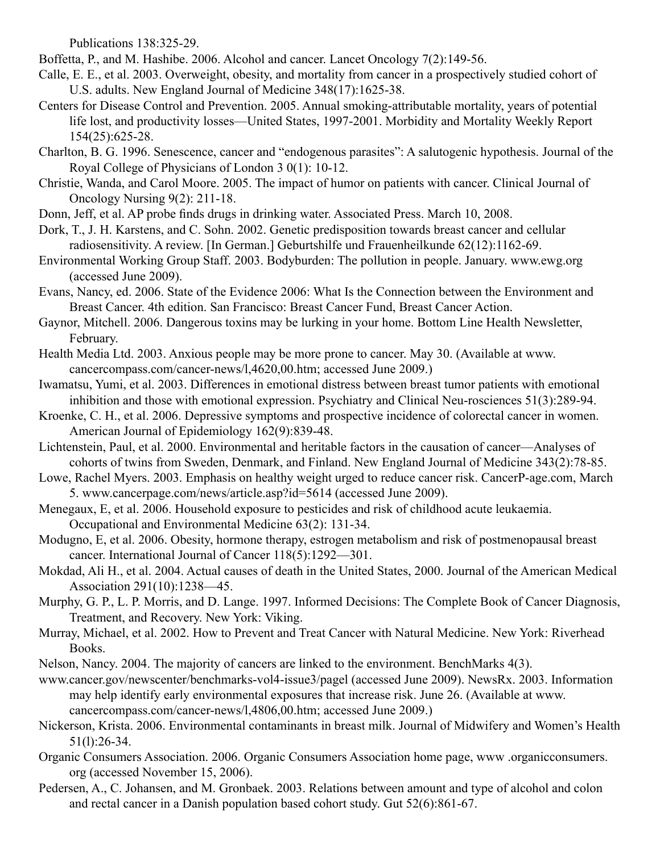Publications 138:325-29.

Boffetta, P., and M. Hashibe. 2006. Alcohol and cancer. Lancet Oncology 7(2):149-56.

- Calle, E. E., et al. 2003. Overweight, obesity, and mortality from cancer in a prospectively studied cohort of U.S. adults. New England Journal of Medicine 348(17):1625-38.
- Centers for Disease Control and Prevention. 2005. Annual smoking-attributable mortality, years of potential life lost, and productivity losses—United States, 1997-2001. Morbidity and Mortality Weekly Report 154(25):625-28.
- Charlton, B. G. 1996. Senescence, cancer and "endogenous parasites": A salutogenic hypothesis. Journal of the Royal College of Physicians of London 3 0(1): 10-12.
- Christie, Wanda, and Carol Moore. 2005. The impact of humor on patients with cancer. Clinical Journal of Oncology Nursing 9(2): 211-18.
- Donn, Jeff, et al. AP probe finds drugs in drinking water. Associated Press. March 10, 2008.
- Dork, T., J. H. Karstens, and C. Sohn. 2002. Genetic predisposition towards breast cancer and cellular radiosensitivity. A review. [In German.] Geburtshilfe und Frauenheilkunde 62(12):1162-69.
- Environmental Working Group Staff. 2003. Bodyburden: The pollution in people. January. www.ewg.org (accessed June 2009).
- Evans, Nancy, ed. 2006. State of the Evidence 2006: What Is the Connection between the Environment and Breast Cancer. 4th edition. San Francisco: Breast Cancer Fund, Breast Cancer Action.
- Gaynor, Mitchell. 2006. Dangerous toxins may be lurking in your home. Bottom Line Health Newsletter, February.
- Health Media Ltd. 2003. Anxious people may be more prone to cancer. May 30. (Available at www. cancercompass.com/cancer-news/l,4620,00.htm; accessed June 2009.)
- Iwamatsu, Yumi, et al. 2003. Differences in emotional distress between breast tumor patients with emotional inhibition and those with emotional expression. Psychiatry and Clinical Neu-rosciences 51(3):289-94.
- Kroenke, C. H., et al. 2006. Depressive symptoms and prospective incidence of colorectal cancer in women. American Journal of Epidemiology 162(9):839-48.
- Lichtenstein, Paul, et al. 2000. Environmental and heritable factors in the causation of cancer—Analyses of cohorts of twins from Sweden, Denmark, and Finland. New England Journal of Medicine 343(2):78-85.
- Lowe, Rachel Myers. 2003. Emphasis on healthy weight urged to reduce cancer risk. CancerP-age.com, March 5. www.cancerpage.com/news/article.asp?id=5614 (accessed June 2009).
- Menegaux, E, et al. 2006. Household exposure to pesticides and risk of childhood acute leukaemia. Occupational and Environmental Medicine 63(2): 131-34.
- Modugno, E, et al. 2006. Obesity, hormone therapy, estrogen metabolism and risk of postmenopausal breast cancer. International Journal of Cancer 118(5):1292—301.
- Mokdad, Ali H., et al. 2004. Actual causes of death in the United States, 2000. Journal of the American Medical Association 291(10):1238—45.
- Murphy, G. P., L. P. Morris, and D. Lange. 1997. Informed Decisions: The Complete Book of Cancer Diagnosis, Treatment, and Recovery. New York: Viking.
- Murray, Michael, et al. 2002. How to Prevent and Treat Cancer with Natural Medicine. New York: Riverhead Books.
- Nelson, Nancy. 2004. The majority of cancers are linked to the environment. BenchMarks 4(3).
- www.cancer.gov/newscenter/benchmarks-vol4-issue3/pagel (accessed June 2009). NewsRx. 2003. Information may help identify early environmental exposures that increase risk. June 26. (Available at www. cancercompass.com/cancer-news/l,4806,00.htm; accessed June 2009.)
- Nickerson, Krista. 2006. Environmental contaminants in breast milk. Journal of Midwifery and Women's Health 51(l):26-34.
- Organic Consumers Association. 2006. Organic Consumers Association home page, www .organicconsumers. org (accessed November 15, 2006).
- Pedersen, A., C. Johansen, and M. Gronbaek. 2003. Relations between amount and type of alcohol and colon and rectal cancer in a Danish population based cohort study. Gut 52(6):861-67.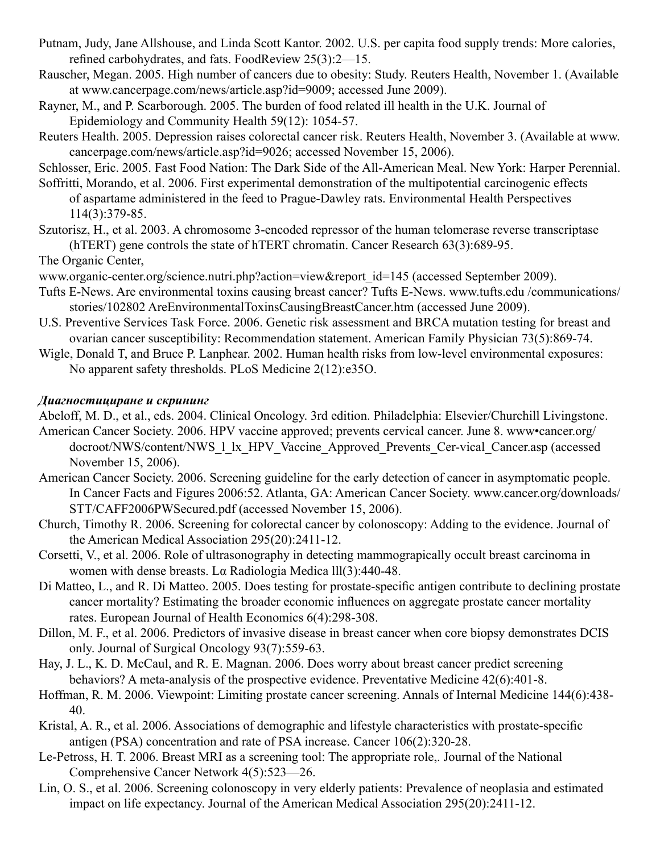- Putnam, Judy, Jane Allshouse, and Linda Scott Kantor. 2002. U.S. per capita food supply trends: More calories, refined carbohydrates, and fats. FoodReview 25(3):2—15.
- Rauscher, Megan. 2005. High number of cancers due to obesity: Study. Reuters Health, November 1. (Available at www.cancerpage.com/news/article.asp?id=9009; accessed June 2009).
- Rayner, M., and P. Scarborough. 2005. The burden of food related ill health in the U.K. Journal of Epidemiology and Community Health 59(12): 1054-57.
- Reuters Health. 2005. Depression raises colorectal cancer risk. Reuters Health, November 3. (Available at www. cancerpage.com/news/article.asp?id=9026; accessed November 15, 2006).

Schlosser, Eric. 2005. Fast Food Nation: The Dark Side of the All-American Meal. New York: Harper Perennial.

- Soffritti, Morando, et al. 2006. First experimental demonstration of the multipotential carcinogenic effects of aspartame administered in the feed to Prague-Dawley rats. Environmental Health Perspectives 114(3):379-85.
- Szutorisz, H., et al. 2003. A chromosome 3-encoded repressor of the human telomerase reverse transcriptase (hTERT) gene controls the state of hTERT chromatin. Cancer Research 63(3):689-95.

The Organic Center,

- www.organic-center.org/science.nutri.php?action=view&report\_id=145 (accessed September 2009).
- Tufts E-News. Are environmental toxins causing breast cancer? Tufts E-News. www.tufts.edu /communications/ stories/102802 AreEnvironmentalToxinsCausingBreastCancer.htm (accessed June 2009).
- U.S. Preventive Services Task Force. 2006. Genetic risk assessment and BRCA mutation testing for breast and ovarian cancer susceptibility: Recommendation statement. American Family Physician 73(5):869-74.
- Wigle, Donald T, and Bruce P. Lanphear. 2002. Human health risks from low-level environmental exposures: No apparent safety thresholds. PLoS Medicine 2(12):e35O.

#### *Диагностициране и скрининг*

Abeloff, M. D., et al., eds. 2004. Clinical Oncology. 3rd edition. Philadelphia: Elsevier/Churchill Livingstone.

- American Cancer Society. 2006. HPV vaccine approved; prevents cervical cancer. June 8. www•cancer.org/ docroot/NWS/content/NWS\_1\_lx\_HPV\_Vaccine\_Approved\_Prevents\_Cer-vical\_Cancer.asp (accessed November 15, 2006).
- American Cancer Society. 2006. Screening guideline for the early detection of cancer in asymptomatic people. In Cancer Facts and Figures 2006:52. Atlanta, GA: American Cancer Society. www.cancer.org/downloads/ STT/CAFF2006PWSecured.pdf (accessed November 15, 2006).
- Church, Timothy R. 2006. Screening for colorectal cancer by colonoscopy: Adding to the evidence. Journal of the American Medical Association 295(20):2411-12.
- Corsetti, V., et al. 2006. Role of ultrasonography in detecting mammograpically occult breast carcinoma in women with dense breasts. Lα Radiologia Medica lll(3):440-48.
- Di Matteo, L., and R. Di Matteo. 2005. Does testing for prostate-specific antigen contribute to declining prostate cancer mortality? Estimating the broader economic influences on aggregate prostate cancer mortality rates. European Journal of Health Economics 6(4):298-308.
- Dillon, M. F., et al. 2006. Predictors of invasive disease in breast cancer when core biopsy demonstrates DCIS only. Journal of Surgical Oncology 93(7):559-63.
- Hay, J. L., K. D. McCaul, and R. E. Magnan. 2006. Does worry about breast cancer predict screening behaviors? A meta-analysis of the prospective evidence. Preventative Medicine 42(6):401-8.
- Hoffman, R. M. 2006. Viewpoint: Limiting prostate cancer screening. Annals of Internal Medicine 144(6):438- 40.
- Kristal, A. R., et al. 2006. Associations of demographic and lifestyle characteristics with prostate-specific antigen (PSA) concentration and rate of PSA increase. Cancer 106(2):320-28.
- Le-Petross, H. T. 2006. Breast MRI as a screening tool: The appropriate role,. Journal of the National Comprehensive Cancer Network 4(5):523—26.
- Lin, O. S., et al. 2006. Screening colonoscopy in very elderly patients: Prevalence of neoplasia and estimated impact on life expectancy. Journal of the American Medical Association 295(20):2411-12.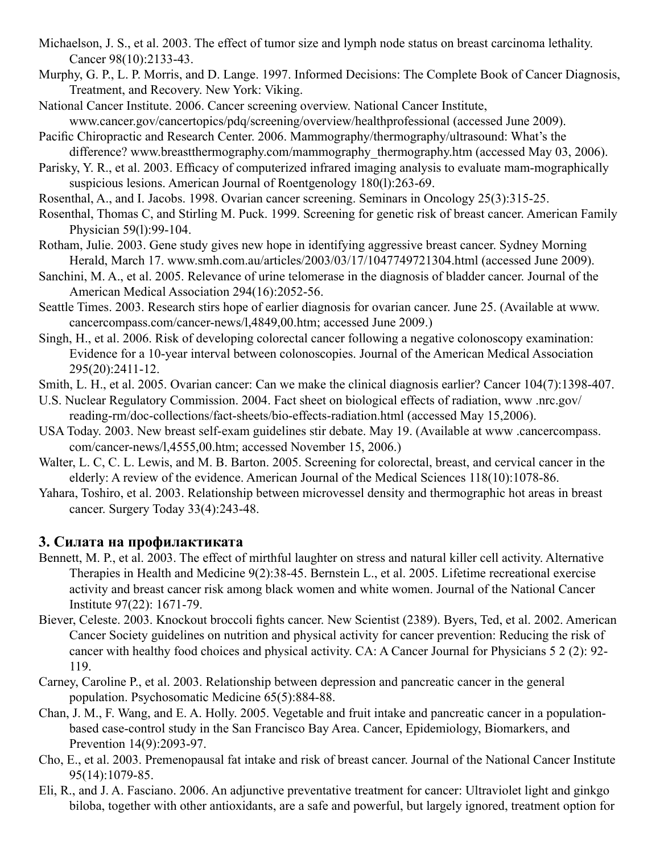- Michaelson, J. S., et al. 2003. The effect of tumor size and lymph node status on breast carcinoma lethality. Cancer 98(10):2133-43.
- Murphy, G. P., L. P. Morris, and D. Lange. 1997. Informed Decisions: The Complete Book of Cancer Diagnosis, Treatment, and Recovery. New York: Viking.
- National Cancer Institute. 2006. Cancer screening overview. National Cancer Institute, www.cancer.gov/cancertopics/pdq/screening/overview/healthprofessional (accessed June 2009).
- Pacific Chiropractic and Research Center. 2006. Mammography/thermography/ultrasound: What's the difference? www.breastthermography.com/mammography\_thermography.htm (accessed May 03, 2006).
- Parisky, Y. R., et al. 2003. Efficacy of computerized infrared imaging analysis to evaluate mam-mographically suspicious lesions. American Journal of Roentgenology 180(1):263-69.
- Rosenthal, A., and I. Jacobs. 1998. Ovarian cancer screening. Seminars in Oncology 25(3):315-25.
- Rosenthal, Thomas C, and Stirling M. Puck. 1999. Screening for genetic risk of breast cancer. American Family Physician 59(l):99-104.
- Rotham, Julie. 2003. Gene study gives new hope in identifying aggressive breast cancer. Sydney Morning Herald, March 17. www.smh.com.au/articles/2003/03/17/1047749721304.html (accessed June 2009).
- Sanchini, M. A., et al. 2005. Relevance of urine telomerase in the diagnosis of bladder cancer. Journal of the American Medical Association 294(16):2052-56.
- Seattle Times. 2003. Research stirs hope of earlier diagnosis for ovarian cancer. June 25. (Available at www. cancercompass.com/cancer-news/l,4849,00.htm; accessed June 2009.)
- Singh, H., et al. 2006. Risk of developing colorectal cancer following a negative colonoscopy examination: Evidence for a 10-year interval between colonoscopies. Journal of the American Medical Association 295(20):2411-12.
- Smith, L. H., et al. 2005. Ovarian cancer: Can we make the clinical diagnosis earlier? Cancer 104(7):1398-407.
- U.S. Nuclear Regulatory Commission. 2004. Fact sheet on biological effects of radiation, www .nrc.gov/ reading-rm/doc-collections/fact-sheets/bio-effects-radiation.html (accessed May 15,2006).
- USA Today. 2003. New breast self-exam guidelines stir debate. May 19. (Available at www .cancercompass. com/cancer-news/l,4555,00.htm; accessed November 15, 2006.)
- Walter, L. C, C. L. Lewis, and M. B. Barton. 2005. Screening for colorectal, breast, and cervical cancer in the elderly: A review of the evidence. American Journal of the Medical Sciences 118(10):1078-86.
- Yahara, Toshiro, et al. 2003. Relationship between microvessel density and thermographic hot areas in breast cancer. Surgery Today 33(4):243-48.

# **3. Силата на профилактиката**

- Bennett, M. P., et al. 2003. The effect of mirthful laughter on stress and natural killer cell activity. Alternative Therapies in Health and Medicine 9(2):38-45. Bernstein L., et al. 2005. Lifetime recreational exercise activity and breast cancer risk among black women and white women. Journal of the National Cancer Institute 97(22): 1671-79.
- Biever, Celeste. 2003. Knockout broccoli fights cancer. New Scientist (2389). Byers, Ted, et al. 2002. American Cancer Society guidelines on nutrition and physical activity for cancer prevention: Reducing the risk of cancer with healthy food choices and physical activity. CA: A Cancer Journal for Physicians 5 2 (2): 92- 119.
- Carney, Caroline P., et al. 2003. Relationship between depression and pancreatic cancer in the general population. Psychosomatic Medicine 65(5):884-88.
- Chan, J. M., F. Wang, and E. A. Holly. 2005. Vegetable and fruit intake and pancreatic cancer in a populationbased case-control study in the San Francisco Bay Area. Cancer, Epidemiology, Biomarkers, and Prevention 14(9):2093-97.
- Cho, E., et al. 2003. Premenopausal fat intake and risk of breast cancer. Journal of the National Cancer Institute 95(14):1079-85.
- Eli, R., and J. A. Fasciano. 2006. An adjunctive preventative treatment for cancer: Ultraviolet light and ginkgo biloba, together with other antioxidants, are a safe and powerful, but largely ignored, treatment option for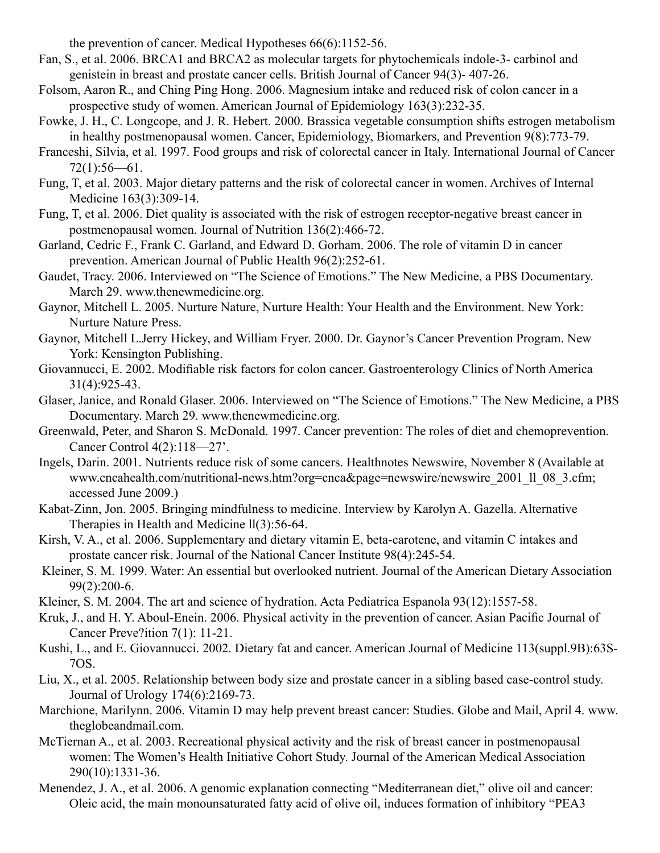the prevention of cancer. Medical Hypotheses 66(6):1152-56.

- Fan, S., et al. 2006. BRCA1 and BRCA2 as molecular targets for phytochemicals indole-3- carbinol and genistein in breast and prostate cancer cells. British Journal of Cancer 94(3)- 407-26.
- Folsom, Aaron R., and Ching Ping Hong. 2006. Magnesium intake and reduced risk of colon cancer in a prospective study of women. American Journal of Epidemiology 163(3):232-35.
- Fowke, J. H., C. Longcope, and J. R. Hebert. 2000. Brassica vegetable consumption shifts estrogen metabolism in healthy postmenopausal women. Cancer, Epidemiology, Biomarkers, and Prevention 9(8):773-79.
- Franceshi, Silvia, et al. 1997. Food groups and risk of colorectal cancer in Italy. International Journal of Cancer  $72(1):56-61.$
- Fung, T, et al. 2003. Major dietary patterns and the risk of colorectal cancer in women. Archives of Internal Medicine 163(3):309-14.
- Fung, T, et al. 2006. Diet quality is associated with the risk of estrogen receptor-negative breast cancer in postmenopausal women. Journal of Nutrition 136(2):466-72.
- Garland, Cedric F., Frank C. Garland, and Edward D. Gorham. 2006. The role of vitamin D in cancer prevention. American Journal of Public Health 96(2):252-61.
- Gaudet, Tracy. 2006. Interviewed on "The Science of Emotions." The New Medicine, a PBS Documentary. March 29. www.thenewmedicine.org.
- Gaynor, Mitchell L. 2005. Nurture Nature, Nurture Health: Your Health and the Environment. New York: Nurture Nature Press.
- Gaynor, Mitchell L.Jerry Hickey, and William Fryer. 2000. Dr. Gaynor's Cancer Prevention Program. New York: Kensington Publishing.
- Giovannucci, E. 2002. Modifiable risk factors for colon cancer. Gastroenterology Clinics of North America 31(4):925-43.
- Glaser, Janice, and Ronald Glaser. 2006. Interviewed on "The Science of Emotions." The New Medicine, a PBS Documentary. March 29. www.thenewmedicine.org.
- Greenwald, Peter, and Sharon S. McDonald. 1997. Cancer prevention: The roles of diet and chemoprevention. Cancer Control 4(2):118—27'.
- Ingels, Darin. 2001. Nutrients reduce risk of some cancers. Healthnotes Newswire, November 8 (Available at www.cncahealth.com/nutritional-news.htm?org=cnca&page=newswire/newswire\_2001\_ll\_08\_3.cfm; accessed June 2009.)
- Kabat-Zinn, Jon. 2005. Bringing mindfulness to medicine. Interview by Karolyn A. Gazella. Alternative Therapies in Health and Medicine ll(3):56-64.
- Kirsh, V. A., et al. 2006. Supplementary and dietary vitamin E, beta-carotene, and vitamin C intakes and prostate cancer risk. Journal of the National Cancer Institute 98(4):245-54.
- Kleiner, S. M. 1999. Water: An essential but overlooked nutrient. Journal of the American Dietary Association 99(2):200-6.
- Kleiner, S. M. 2004. The art and science of hydration. Acta Pediatrica Espanola 93(12):1557-58.
- Kruk, J., and H. Y. Aboul-Enein. 2006. Physical activity in the prevention of cancer. Asian Pacific Journal of Cancer Preve?ition 7(1): 11-21.
- Kushi, L., and E. Giovannucci. 2002. Dietary fat and cancer. American Journal of Medicine 113(suppl.9B):63S-7OS.
- Liu, X., et al. 2005. Relationship between body size and prostate cancer in a sibling based case-control study. Journal of Urology 174(6):2169-73.
- Marchione, Marilynn. 2006. Vitamin D may help prevent breast cancer: Studies. Globe and Mail, April 4. www. theglobeandmail.com.
- McTiernan A., et al. 2003. Recreational physical activity and the risk of breast cancer in postmenopausal women: The Women's Health Initiative Cohort Study. Journal of the American Medical Association 290(10):1331-36.
- Menendez, J. A., et al. 2006. A genomic explanation connecting "Mediterranean diet," olive oil and cancer: Oleic acid, the main monounsaturated fatty acid of olive oil, induces formation of inhibitory "PEA3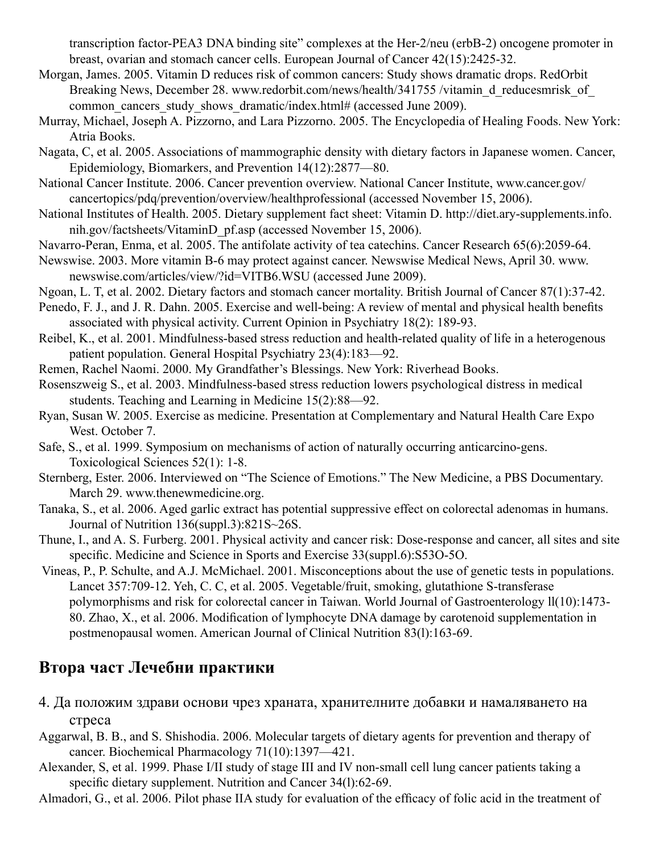transcription factor-PEA3 DNA binding site" complexes at the Her-2/neu (erbB-2) oncogene promoter in breast, ovarian and stomach cancer cells. European Journal of Cancer 42(15):2425-32.

- Morgan, James. 2005. Vitamin D reduces risk of common cancers: Study shows dramatic drops. RedOrbit Breaking News, December 28. www.redorbit.com/news/health/341755 /vitamin d reducesmrisk of common cancers study shows dramatic/index.html# (accessed June 2009).
- Murray, Michael, Joseph A. Pizzorno, and Lara Pizzorno. 2005. The Encyclopedia of Healing Foods. New York: Atria Books.
- Nagata, C, et al. 2005. Associations of mammographic density with dietary factors in Japanese women. Cancer, Epidemiology, Biomarkers, and Prevention 14(12):2877—80.
- National Cancer Institute. 2006. Cancer prevention overview. National Cancer Institute, www.cancer.gov/ cancertopics/pdq/prevention/overview/healthprofessional (accessed November 15, 2006).
- National Institutes of Health. 2005. Dietary supplement fact sheet: Vitamin D. http://diet.ary-supplements.info. nih.gov/factsheets/VitaminD\_pf.asp (accessed November 15, 2006).
- Navarro-Peran, Enma, et al. 2005. The antifolate activity of tea catechins. Cancer Research 65(6):2059-64.
- Newswise. 2003. More vitamin B-6 may protect against cancer. Newswise Medical News, April 30. www. newswise.com/articles/view/?id=VITB6.WSU (accessed June 2009).
- Ngoan, L. T, et al. 2002. Dietary factors and stomach cancer mortality. British Journal of Cancer 87(1):37-42.
- Penedo, F. J., and J. R. Dahn. 2005. Exercise and well-being: A review of mental and physical health benefits associated with physical activity. Current Opinion in Psychiatry 18(2): 189-93.
- Reibel, K., et al. 2001. Mindfulness-based stress reduction and health-related quality of life in a heterogenous patient population. General Hospital Psychiatry 23(4):183—92.
- Remen, Rachel Naomi. 2000. My Grandfather's Blessings. New York: Riverhead Books.
- Rosenszweig S., et al. 2003. Mindfulness-based stress reduction lowers psychological distress in medical students. Teaching and Learning in Medicine 15(2):88—92.
- Ryan, Susan W. 2005. Exercise as medicine. Presentation at Complementary and Natural Health Care Expo West. October 7.
- Safe, S., et al. 1999. Symposium on mechanisms of action of naturally occurring anticarcino-gens. Toxicological Sciences 52(1): 1-8.
- Sternberg, Ester. 2006. Interviewed on "The Science of Emotions." The New Medicine, a PBS Documentary. March 29. www.thenewmedicine.org.
- Tanaka, S., et al. 2006. Aged garlic extract has potential suppressive effect on colorectal adenomas in humans. Journal of Nutrition 136(suppl.3):821S~26S.
- Thune, I., and A. S. Furberg. 2001. Physical activity and cancer risk: Dose-response and cancer, all sites and site specific. Medicine and Science in Sports and Exercise 33(suppl.6):S53O-5O.
- Vineas, P., P. Schulte, and A.J. McMichael. 2001. Misconceptions about the use of genetic tests in populations. Lancet 357:709-12. Yeh, C. C, et al. 2005. Vegetable/fruit, smoking, glutathione S-transferase polymorphisms and risk for colorectal cancer in Taiwan. World Journal of Gastroenterology ll(10):1473- 80. Zhao, X., et al. 2006. Modification of lymphocyte DNA damage by carotenoid supplementation in postmenopausal women. American Journal of Clinical Nutrition 83(l):163-69.

# **Втора част Лечебни практики**

- 4. Да положим здрави основи чрез храната, хранителните добавки и намаляването на стреса
- Aggarwal, B. B., and S. Shishodia. 2006. Molecular targets of dietary agents for prevention and therapy of cancer. Biochemical Pharmacology 71(10):1397—421.
- Alexander, S, et al. 1999. Phase I/II study of stage III and IV non-small cell lung cancer patients taking a specific dietary supplement. Nutrition and Cancer 34(1):62-69.
- Almadori, G., et al. 2006. Pilot phase IIA study for evaluation of the efficacy of folic acid in the treatment of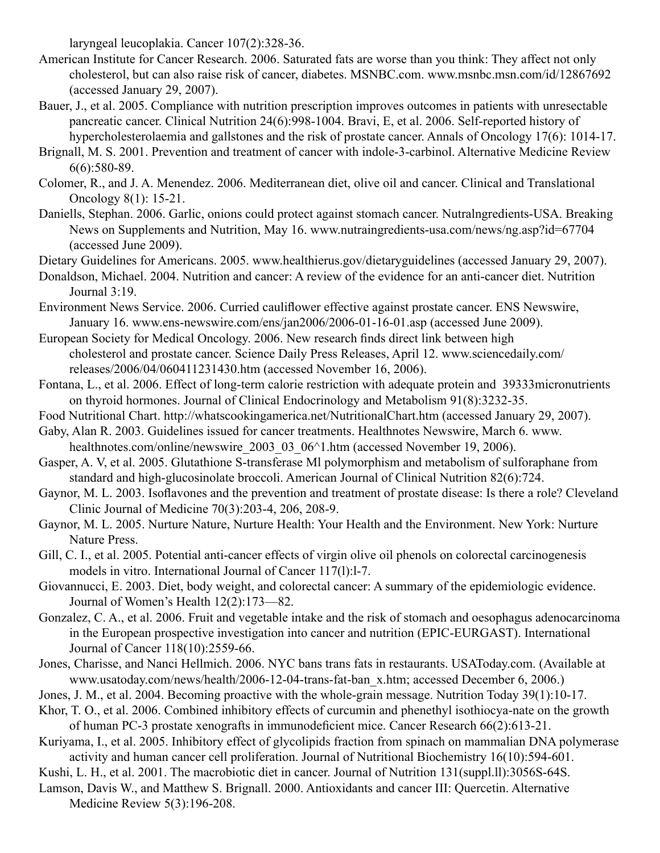laryngeal leucoplakia. Cancer 107(2):328-36.

- American Institute for Cancer Research. 2006. Saturated fats are worse than you think: They affect not only cholesterol, but can also raise risk of cancer, diabetes. MSNBC.com. www.msnbc.msn.com/id/12867692 (accessed January 29, 2007).
- Bauer, J., et al. 2005. Compliance with nutrition prescription improves outcomes in patients with unresectable pancreatic cancer. Clinical Nutrition 24(6):998-1004. Bravi, E, et al. 2006. Self-reported history of hypercholesterolaemia and gallstones and the risk of prostate cancer. Annals of Oncology 17(6): 1014-17.
- Brignall, M. S. 2001. Prevention and treatment of cancer with indole-3-carbinol. Alternative Medicine Review 6(6):580-89.
- Colomer, R., and J. A. Menendez. 2006. Mediterranean diet, olive oil and cancer. Clinical and Translational Oncology 8(1): 15-21.
- Daniells, Stephan. 2006. Garlic, onions could protect against stomach cancer. Nutralngredients-USA. Breaking News on Supplements and Nutrition, May 16. www.nutraingredients-usa.com/news/ng.asp?id=67704 (accessed June 2009).
- Dietary Guidelines for Americans. 2005. www.healthierus.gov/dietaryguidelines (accessed January 29, 2007).
- Donaldson, Michael. 2004. Nutrition and cancer: A review of the evidence for an anti-cancer diet. Nutrition Journal 3:19.
- Environment News Service. 2006. Curried cauliflower effective against prostate cancer. ENS Newswire, January 16. www.ens-newswire.com/ens/jan2006/2006-01-16-01.asp (accessed June 2009).
- European Society for Medical Oncology. 2006. New research finds direct link between high cholesterol and prostate cancer. Science Daily Press Releases, April 12. www.sciencedaily.com/ releases/2006/04/060411231430.htm (accessed November 16, 2006).
- Fontana, L., et al. 2006. Effect of long-term calorie restriction with adequate protein and 39333micronutrients on thyroid hormones. Journal of Clinical Endocrinology and Metabolism 91(8):3232-35.
- Food Nutritional Chart. http://whatscookingamerica.net/NutritionalChart.htm (accessed January 29, 2007).
- Gaby, Alan R. 2003. Guidelines issued for cancer treatments. Healthnotes Newswire, March 6. www. healthnotes.com/online/newswire 2003 03 06^1.htm (accessed November 19, 2006).
- Gasper, A. V, et al. 2005. Glutathione S-transferase Ml polymorphism and metabolism of sulforaphane from standard and high-glucosinolate broccoli. American Journal of Clinical Nutrition 82(6):724.
- Gaynor, M. L. 2003. Isoflavones and the prevention and treatment of prostate disease: Is there a role? Cleveland Clinic Journal of Medicine 70(3):203-4, 206, 208-9.
- Gaynor, M. L. 2005. Nurture Nature, Nurture Health: Your Health and the Environment. New York: Nurture Nature Press.
- Gill, C. I., et al. 2005. Potential anti-cancer effects of virgin olive oil phenols on colorectal carcinogenesis models in vitro. International Journal of Cancer 117(l):l-7.
- Giovannucci, E. 2003. Diet, body weight, and colorectal cancer: A summary of the epidemiologic evidence. Journal of Women's Health 12(2):173—82.
- Gonzalez, C. A., et al. 2006. Fruit and vegetable intake and the risk of stomach and oesophagus adenocarcinoma in the European prospective investigation into cancer and nutrition (EPIC-EURGAST). International Journal of Cancer 118(10):2559-66.
- Jones, Charisse, and Nanci Hellmich. 2006. NYC bans trans fats in restaurants. USAToday.com. (Available at www.usatoday.com/news/health/2006-12-04-trans-fat-ban\_x.htm; accessed December 6, 2006.)
- Jones, J. M., et al. 2004. Becoming proactive with the whole-grain message. Nutrition Today 39(1):10-17.
- Khor, T. O., et al. 2006. Combined inhibitory effects of curcumin and phenethyl isothiocya-nate on the growth of human PC-3 prostate xenografts in immunodeficient mice. Cancer Research 66(2):613-21.
- Kuriyama, I., et al. 2005. Inhibitory effect of glycolipids fraction from spinach on mammalian DNA polymerase activity and human cancer cell proliferation. Journal of Nutritional Biochemistry 16(10):594-601.
- Kushi, L. H., et al. 2001. The macrobiotic diet in cancer. Journal of Nutrition 131(suppl.ll):3056S-64S.
- Lamson, Davis W., and Matthew S. Brignall. 2000. Antioxidants and cancer III: Quercetin. Alternative Medicine Review 5(3):196-208.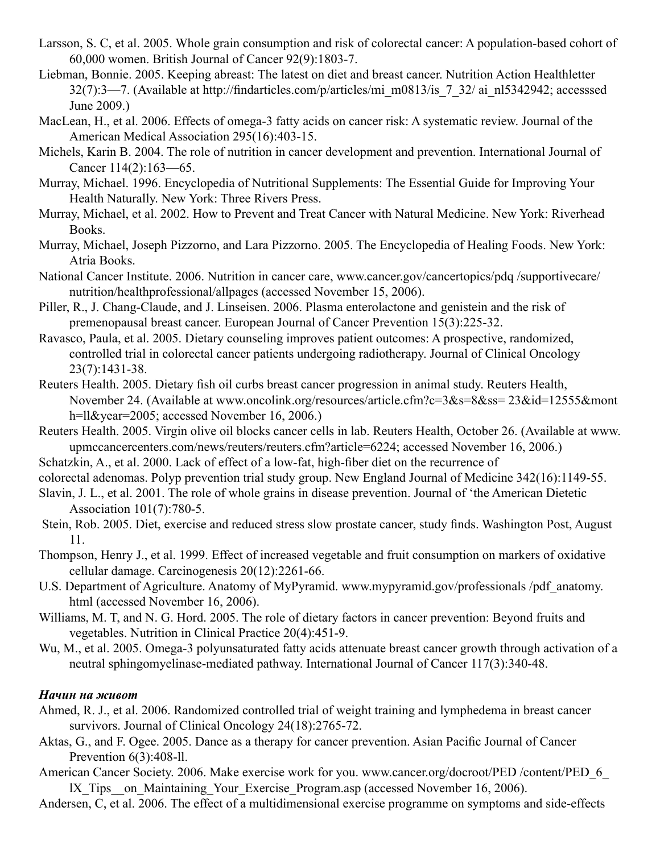- Larsson, S. C, et al. 2005. Whole grain consumption and risk of colorectal cancer: A population-based cohort of 60,000 women. British Journal of Cancer 92(9):1803-7.
- Liebman, Bonnie. 2005. Keeping abreast: The latest on diet and breast cancer. Nutrition Action Healthletter 32(7):3—7. (Available at http://findarticles.com/p/articles/mi\_m0813/is\_7\_32/ ai\_nl5342942; accesssed June 2009.)
- MacLean, H., et al. 2006. Effects of omega-3 fatty acids on cancer risk: A systematic review. Journal of the American Medical Association 295(16):403-15.
- Michels, Karin B. 2004. The role of nutrition in cancer development and prevention. International Journal of Cancer 114(2):163—65.
- Murray, Michael. 1996. Encyclopedia of Nutritional Supplements: The Essential Guide for Improving Your Health Naturally. New York: Three Rivers Press.
- Murray, Michael, et al. 2002. How to Prevent and Treat Cancer with Natural Medicine. New York: Riverhead Books.
- Murray, Michael, Joseph Pizzorno, and Lara Pizzorno. 2005. The Encyclopedia of Healing Foods. New York: Atria Books.
- National Cancer Institute. 2006. Nutrition in cancer care, www.cancer.gov/cancertopics/pdq /supportivecare/ nutrition/healthprofessional/allpages (accessed November 15, 2006).
- Piller, R., J. Chang-Claude, and J. Linseisen. 2006. Plasma enterolactone and genistein and the risk of premenopausal breast cancer. European Journal of Cancer Prevention 15(3):225-32.
- Ravasco, Paula, et al. 2005. Dietary counseling improves patient outcomes: A prospective, randomized, controlled trial in colorectal cancer patients undergoing radiotherapy. Journal of Clinical Oncology 23(7):1431-38.
- Reuters Health. 2005. Dietary fish oil curbs breast cancer progression in animal study. Reuters Health, November 24. (Available at www.oncolink.org/resources/article.cfm?c=3&s=8&ss= 23&id=12555&mont h=ll&year=2005; accessed November 16, 2006.)
- Reuters Health. 2005. Virgin olive oil blocks cancer cells in lab. Reuters Health, October 26. (Available at www. upmccancercenters.com/news/reuters/reuters.cfm?article=6224; accessed November 16, 2006.)
- Schatzkin, A., et al. 2000. Lack of effect of a low-fat, high-fiber diet on the recurrence of
- colorectal adenomas. Polyp prevention trial study group. New England Journal of Medicine 342(16):1149-55.
- Slavin, J. L., et al. 2001. The role of whole grains in disease prevention. Journal of 'the American Dietetic Association 101(7):780-5.
- Stein, Rob. 2005. Diet, exercise and reduced stress slow prostate cancer, study finds. Washington Post, August 11.
- Thompson, Henry J., et al. 1999. Effect of increased vegetable and fruit consumption on markers of oxidative cellular damage. Carcinogenesis 20(12):2261-66.
- U.S. Department of Agriculture. Anatomy of MyPyramid. www.mypyramid.gov/professionals /pdf\_anatomy. html (accessed November 16, 2006).
- Williams, M. T, and N. G. Hord. 2005. The role of dietary factors in cancer prevention: Beyond fruits and vegetables. Nutrition in Clinical Practice 20(4):451-9.
- Wu, M., et al. 2005. Omega-3 polyunsaturated fatty acids attenuate breast cancer growth through activation of a neutral sphingomyelinase-mediated pathway. International Journal of Cancer 117(3):340-48.

#### *Начин на живот*

- Ahmed, R. J., et al. 2006. Randomized controlled trial of weight training and lymphedema in breast cancer survivors. Journal of Clinical Oncology 24(18):2765-72.
- Aktas, G., and F. Ogee. 2005. Dance as a therapy for cancer prevention. Asian Pacific Journal of Cancer Prevention 6(3):408-ll.
- American Cancer Society. 2006. Make exercise work for you. www.cancer.org/docroot/PED /content/PED\_6 lX Tips on Maintaining Your Exercise Program.asp (accessed November 16, 2006).

Andersen, C, et al. 2006. The effect of a multidimensional exercise programme on symptoms and side-effects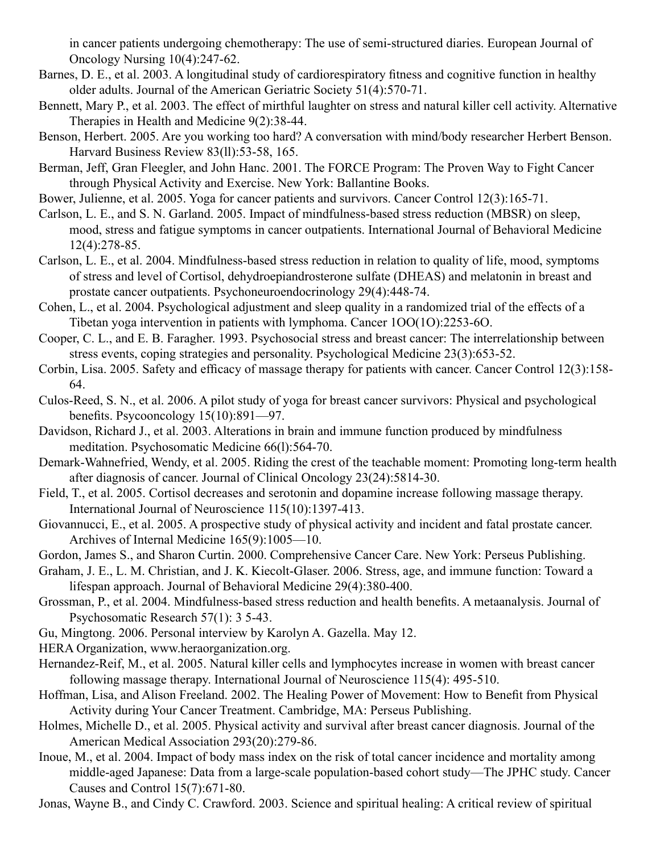in cancer patients undergoing chemotherapy: The use of semi-structured diaries. European Journal of Oncology Nursing 10(4):247-62.

- Barnes, D. E., et al. 2003. A longitudinal study of cardiorespiratory fitness and cognitive function in healthy older adults. Journal of the American Geriatric Society 51(4):570-71.
- Bennett, Mary P., et al. 2003. The effect of mirthful laughter on stress and natural killer cell activity. Alternative Therapies in Health and Medicine 9(2):38-44.
- Benson, Herbert. 2005. Are you working too hard? A conversation with mind/body researcher Herbert Benson. Harvard Business Review 83(ll):53-58, 165.
- Berman, Jeff, Gran Fleegler, and John Hanc. 2001. The FORCE Program: The Proven Way to Fight Cancer through Physical Activity and Exercise. New York: Ballantine Books.
- Bower, Julienne, et al. 2005. Yoga for cancer patients and survivors. Cancer Control 12(3):165-71.
- Carlson, L. E., and S. N. Garland. 2005. Impact of mindfulness-based stress reduction (MBSR) on sleep, mood, stress and fatigue symptoms in cancer outpatients. International Journal of Behavioral Medicine 12(4):278-85.
- Carlson, L. E., et al. 2004. Mindfulness-based stress reduction in relation to quality of life, mood, symptoms of stress and level of Cortisol, dehydroepiandrosterone sulfate (DHEAS) and melatonin in breast and prostate cancer outpatients. Psychoneuroendocrinology 29(4):448-74.
- Cohen, L., et al. 2004. Psychological adjustment and sleep quality in a randomized trial of the effects of a Tibetan yoga intervention in patients with lymphoma. Cancer 1OO(1O):2253-6O.
- Cooper, C. L., and E. B. Faragher. 1993. Psychosocial stress and breast cancer: The interrelationship between stress events, coping strategies and personality. Psychological Medicine 23(3):653-52.
- Corbin, Lisa. 2005. Safety and efficacy of massage therapy for patients with cancer. Cancer Control 12(3):158- 64.
- Culos-Reed, S. N., et al. 2006. A pilot study of yoga for breast cancer survivors: Physical and psychological benefits. Psycooncology 15(10):891—97.
- Davidson, Richard J., et al. 2003. Alterations in brain and immune function produced by mindfulness meditation. Psychosomatic Medicine 66(l):564-70.
- Demark-Wahnefried, Wendy, et al. 2005. Riding the crest of the teachable moment: Promoting long-term health after diagnosis of cancer. Journal of Clinical Oncology 23(24):5814-30.
- Field, T., et al. 2005. Cortisol decreases and serotonin and dopamine increase following massage therapy. International Journal of Neuroscience 115(10):1397-413.
- Giovannucci, E., et al. 2005. A prospective study of physical activity and incident and fatal prostate cancer. Archives of Internal Medicine 165(9):1005—10.
- Gordon, James S., and Sharon Curtin. 2000. Comprehensive Cancer Care. New York: Perseus Publishing.
- Graham, J. E., L. M. Christian, and J. K. Kiecolt-Glaser. 2006. Stress, age, and immune function: Toward a lifespan approach. Journal of Behavioral Medicine 29(4):380-400.
- Grossman, P., et al. 2004. Mindfulness-based stress reduction and health benefits. A metaanalysis. Journal of Psychosomatic Research 57(1): 3 5-43.
- Gu, Mingtong. 2006. Personal interview by Karolyn A. Gazella. May 12.
- HERA Organization, www.heraorganization.org.
- Hernandez-Reif, M., et al. 2005. Natural killer cells and lymphocytes increase in women with breast cancer following massage therapy. International Journal of Neuroscience 115(4): 495-510.
- Hoffman, Lisa, and Alison Freeland. 2002. The Healing Power of Movement: How to Benefit from Physical Activity during Your Cancer Treatment. Cambridge, MA: Perseus Publishing.
- Holmes, Michelle D., et al. 2005. Physical activity and survival after breast cancer diagnosis. Journal of the American Medical Association 293(20):279-86.
- Inoue, M., et al. 2004. Impact of body mass index on the risk of total cancer incidence and mortality among middle-aged Japanese: Data from a large-scale population-based cohort study—The JPHC study. Cancer Causes and Control 15(7):671-80.

Jonas, Wayne B., and Cindy C. Crawford. 2003. Science and spiritual healing: A critical review of spiritual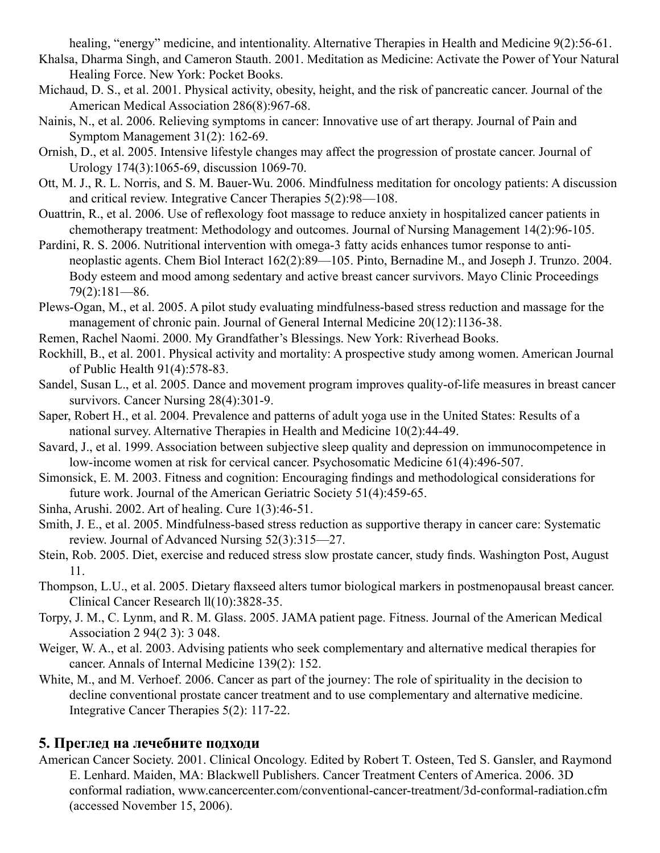healing, "energy" medicine, and intentionality. Alternative Therapies in Health and Medicine 9(2):56-61.

- Khalsa, Dharma Singh, and Cameron Stauth. 2001. Meditation as Medicine: Activate the Power of Your Natural Healing Force. New York: Pocket Books.
- Michaud, D. S., et al. 2001. Physical activity, obesity, height, and the risk of pancreatic cancer. Journal of the American Medical Association 286(8):967-68.
- Nainis, N., et al. 2006. Relieving symptoms in cancer: Innovative use of art therapy. Journal of Pain and Symptom Management 31(2): 162-69.
- Ornish, D., et al. 2005. Intensive lifestyle changes may affect the progression of prostate cancer. Journal of Urology 174(3):1065-69, discussion 1069-70.
- Ott, M. J., R. L. Norris, and S. M. Bauer-Wu. 2006. Mindfulness meditation for oncology patients: A discussion and critical review. Integrative Cancer Therapies 5(2):98—108.
- Ouattrin, R., et al. 2006. Use of reflexology foot massage to reduce anxiety in hospitalized cancer patients in chemotherapy treatment: Methodology and outcomes. Journal of Nursing Management 14(2):96-105.
- Pardini, R. S. 2006. Nutritional intervention with omega-3 fatty acids enhances tumor response to antineoplastic agents. Chem Biol Interact 162(2):89—105. Pinto, Bernadine M., and Joseph J. Trunzo. 2004. Body esteem and mood among sedentary and active breast cancer survivors. Mayo Clinic Proceedings 79(2):181—86.
- Plews-Ogan, M., et al. 2005. A pilot study evaluating mindfulness-based stress reduction and massage for the management of chronic pain. Journal of General Internal Medicine 20(12):1136-38.
- Remen, Rachel Naomi. 2000. My Grandfather's Blessings. New York: Riverhead Books.
- Rockhill, B., et al. 2001. Physical activity and mortality: A prospective study among women. American Journal of Public Health 91(4):578-83.
- Sandel, Susan L., et al. 2005. Dance and movement program improves quality-of-life measures in breast cancer survivors. Cancer Nursing 28(4):301-9.
- Saper, Robert H., et al. 2004. Prevalence and patterns of adult yoga use in the United States: Results of a national survey. Alternative Therapies in Health and Medicine 10(2):44-49.
- Savard, J., et al. 1999. Association between subjective sleep quality and depression on immunocompetence in low-income women at risk for cervical cancer. Psychosomatic Medicine 61(4):496-507.
- Simonsick, E. M. 2003. Fitness and cognition: Encouraging findings and methodological considerations for future work. Journal of the American Geriatric Society 51(4):459-65.
- Sinha, Arushi. 2002. Art of healing. Cure 1(3):46-51.
- Smith, J. E., et al. 2005. Mindfulness-based stress reduction as supportive therapy in cancer care: Systematic review. Journal of Advanced Nursing 52(3):315—27.
- Stein, Rob. 2005. Diet, exercise and reduced stress slow prostate cancer, study finds. Washington Post, August 11.
- Thompson, L.U., et al. 2005. Dietary flaxseed alters tumor biological markers in postmenopausal breast cancer. Clinical Cancer Research ll(10):3828-35.
- Torpy, J. M., C. Lynm, and R. M. Glass. 2005. JAMA patient page. Fitness. Journal of the American Medical Association 2 94(2 3): 3 048.
- Weiger, W. A., et al. 2003. Advising patients who seek complementary and alternative medical therapies for cancer. Annals of Internal Medicine 139(2): 152.
- White, M., and M. Verhoef. 2006. Cancer as part of the journey: The role of spirituality in the decision to decline conventional prostate cancer treatment and to use complementary and alternative medicine. Integrative Cancer Therapies 5(2): 117-22.

# **5. Преглед на лечебните подходи**

American Cancer Society. 2001. Clinical Oncology. Edited by Robert T. Osteen, Ted S. Gansler, and Raymond E. Lenhard. Maiden, MA: Blackwell Publishers. Cancer Treatment Centers of America. 2006. 3D conformal radiation, www.cancercenter.com/conventional-cancer-treatment/3d-conformal-radiation.cfm (accessed November 15, 2006).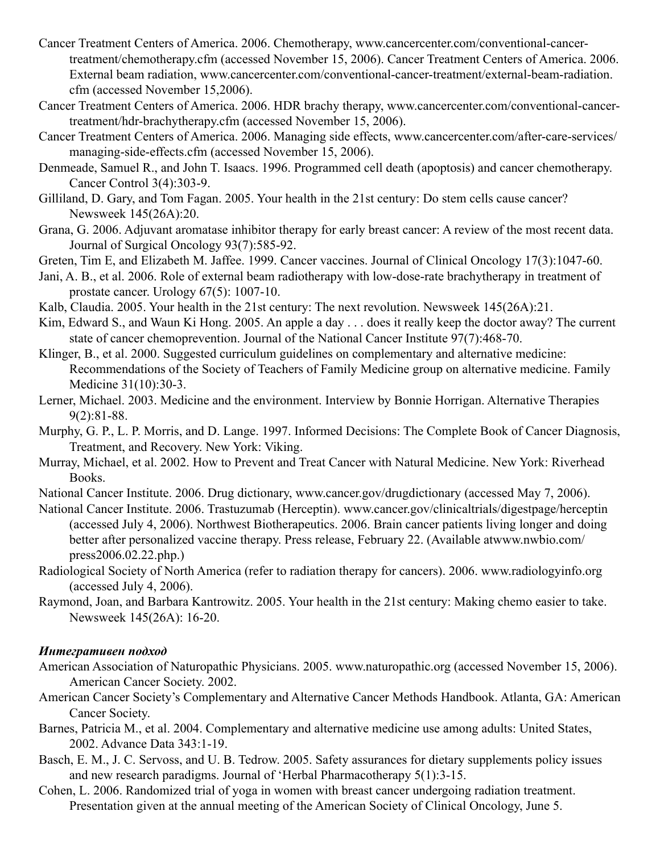- Cancer Treatment Centers of America. 2006. Chemotherapy, www.cancercenter.com/conventional-cancertreatment/chemotherapy.cfm (accessed November 15, 2006). Cancer Treatment Centers of America. 2006. External beam radiation, www.cancercenter.com/conventional-cancer-treatment/external-beam-radiation. cfm (accessed November 15,2006).
- Cancer Treatment Centers of America. 2006. HDR brachy therapy, www.cancercenter.com/conventional-cancertreatment/hdr-brachytherapy.cfm (accessed November 15, 2006).
- Cancer Treatment Centers of America. 2006. Managing side effects, www.cancercenter.com/after-care-services/ managing-side-effects.cfm (accessed November 15, 2006).
- Denmeade, Samuel R., and John T. Isaacs. 1996. Programmed cell death (apoptosis) and cancer chemotherapy. Cancer Control 3(4):303-9.
- Gilliland, D. Gary, and Tom Fagan. 2005. Your health in the 21st century: Do stem cells cause cancer? Newsweek 145(26A):20.
- Grana, G. 2006. Adjuvant aromatase inhibitor therapy for early breast cancer: A review of the most recent data. Journal of Surgical Oncology 93(7):585-92.
- Greten, Tim E, and Elizabeth M. Jaffee. 1999. Cancer vaccines. Journal of Clinical Oncology 17(3):1047-60.
- Jani, A. B., et al. 2006. Role of external beam radiotherapy with low-dose-rate brachytherapy in treatment of prostate cancer. Urology 67(5): 1007-10.
- Kalb, Claudia. 2005. Your health in the 21st century: The next revolution. Newsweek 145(26A):21.
- Kim, Edward S., and Waun Ki Hong. 2005. An apple a day . . . does it really keep the doctor away? The current state of cancer chemoprevention. Journal of the National Cancer Institute 97(7):468-70.
- Klinger, B., et al. 2000. Suggested curriculum guidelines on complementary and alternative medicine: Recommendations of the Society of Teachers of Family Medicine group on alternative medicine. Family Medicine 31(10):30-3.
- Lerner, Michael. 2003. Medicine and the environment. Interview by Bonnie Horrigan. Alternative Therapies 9(2):81-88.
- Murphy, G. P., L. P. Morris, and D. Lange. 1997. Informed Decisions: The Complete Book of Cancer Diagnosis, Treatment, and Recovery. New York: Viking.
- Murray, Michael, et al. 2002. How to Prevent and Treat Cancer with Natural Medicine. New York: Riverhead Books.
- National Cancer Institute. 2006. Drug dictionary, www.cancer.gov/drugdictionary (accessed May 7, 2006).
- National Cancer Institute. 2006. Trastuzumab (Herceptin). www.cancer.gov/clinicaltrials/digestpage/herceptin (accessed July 4, 2006). Northwest Biotherapeutics. 2006. Brain cancer patients living longer and doing better after personalized vaccine therapy. Press release, February 22. (Available atwww.nwbio.com/ press2006.02.22.php.)
- Radiological Society of North America (refer to radiation therapy for cancers). 2006. www.radiologyinfo.org (accessed July 4, 2006).
- Raymond, Joan, and Barbara Kantrowitz. 2005. Your health in the 21st century: Making chemo easier to take. Newsweek 145(26A): 16-20.

#### *Интегративен подход*

- American Association of Naturopathic Physicians. 2005. www.naturopathic.org (accessed November 15, 2006). American Cancer Society. 2002.
- American Cancer Society's Complementary and Alternative Cancer Methods Handbook. Atlanta, GA: American Cancer Society.
- Barnes, Patricia M., et al. 2004. Complementary and alternative medicine use among adults: United States, 2002. Advance Data 343:1-19.
- Basch, E. M., J. C. Servoss, and U. B. Tedrow. 2005. Safety assurances for dietary supplements policy issues and new research paradigms. Journal of 'Herbal Pharmacotherapy 5(1):3-15.
- Cohen, L. 2006. Randomized trial of yoga in women with breast cancer undergoing radiation treatment. Presentation given at the annual meeting of the American Society of Clinical Oncology, June 5.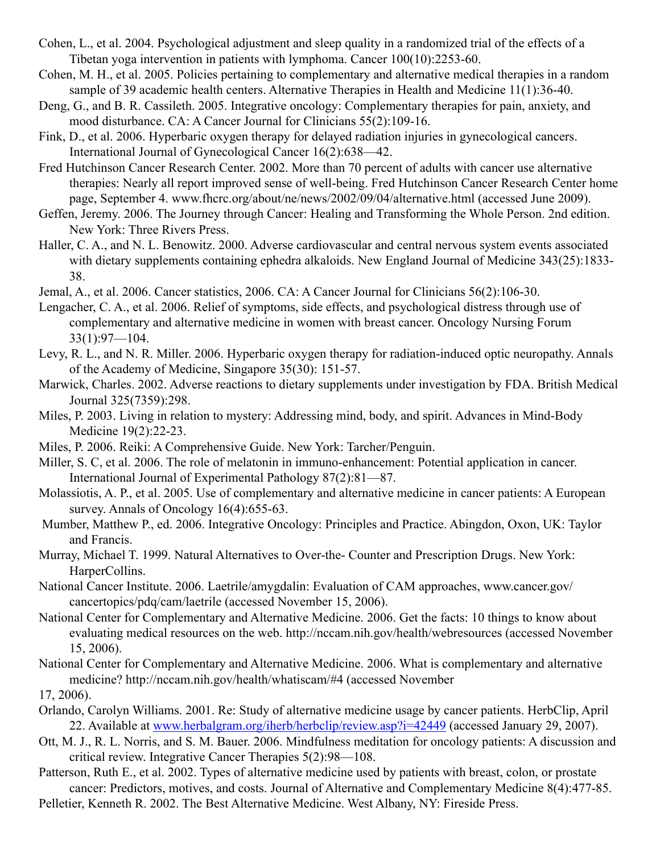- Cohen, L., et al. 2004. Psychological adjustment and sleep quality in a randomized trial of the effects of a Tibetan yoga intervention in patients with lymphoma. Cancer 100(10):2253-60.
- Cohen, M. H., et al. 2005. Policies pertaining to complementary and alternative medical therapies in a random sample of 39 academic health centers. Alternative Therapies in Health and Medicine 11(1):36-40.
- Deng, G., and B. R. Cassileth. 2005. Integrative oncology: Complementary therapies for pain, anxiety, and mood disturbance. CA: A Cancer Journal for Clinicians 55(2):109-16.
- Fink, D., et al. 2006. Hyperbaric oxygen therapy for delayed radiation injuries in gynecological cancers. International Journal of Gynecological Cancer 16(2):638—42.
- Fred Hutchinson Cancer Research Center. 2002. More than 70 percent of adults with cancer use alternative therapies: Nearly all report improved sense of well-being. Fred Hutchinson Cancer Research Center home page, September 4. www.fhcrc.org/about/ne/news/2002/09/04/alternative.html (accessed June 2009).
- Geffen, Jeremy. 2006. The Journey through Cancer: Healing and Transforming the Whole Person. 2nd edition. New York: Three Rivers Press.
- Haller, C. A., and N. L. Benowitz. 2000. Adverse cardiovascular and central nervous system events associated with dietary supplements containing ephedra alkaloids. New England Journal of Medicine 343(25):1833-38.
- Jemal, A., et al. 2006. Cancer statistics, 2006. CA: A Cancer Journal for Clinicians 56(2):106-30.
- Lengacher, C. A., et al. 2006. Relief of symptoms, side effects, and psychological distress through use of complementary and alternative medicine in women with breast cancer. Oncology Nursing Forum 33(1):97—104.
- Levy, R. L., and N. R. Miller. 2006. Hyperbaric oxygen therapy for radiation-induced optic neuropathy. Annals of the Academy of Medicine, Singapore 35(30): 151-57.
- Marwick, Charles. 2002. Adverse reactions to dietary supplements under investigation by FDA. British Medical Journal 325(7359):298.
- Miles, P. 2003. Living in relation to mystery: Addressing mind, body, and spirit. Advances in Mind-Body Medicine 19(2):22-23.
- Miles, P. 2006. Reiki: A Comprehensive Guide. New York: Tarcher/Penguin.
- Miller, S. C, et al. 2006. The role of melatonin in immuno-enhancement: Potential application in cancer. International Journal of Experimental Pathology 87(2):81—87.
- Molassiotis, A. P., et al. 2005. Use of complementary and alternative medicine in cancer patients: A European survey. Annals of Oncology 16(4):655-63.
- Mumber, Matthew P., ed. 2006. Integrative Oncology: Principles and Practice. Abingdon, Oxon, UK: Taylor and Francis.
- Murray, Michael T. 1999. Natural Alternatives to Over-the- Counter and Prescription Drugs. New York: HarperCollins.
- National Cancer Institute. 2006. Laetrile/amygdalin: Evaluation of CAM approaches, www.cancer.gov/ cancertopics/pdq/cam/laetrile (accessed November 15, 2006).
- National Center for Complementary and Alternative Medicine. 2006. Get the facts: 10 things to know about evaluating medical resources on the web. http://nccam.nih.gov/health/webresources (accessed November 15, 2006).
- National Center for Complementary and Alternative Medicine. 2006. What is complementary and alternative medicine? http://nccam.nih.gov/health/whatiscam/#4 (accessed November
- 17, 2006).
- Orlando, Carolyn Williams. 2001. Re: Study of alternative medicine usage by cancer patients. HerbClip, April 22. Available at www.herbalgram.org/iherb/herbclip/review.asp?i=42449 (accessed January 29, 2007).
- Ott, M. J., R. L. Norris, and S. M. Bauer. 2006. Mindfulness meditation for oncology patients: A discussion and critical review. Integrative Cancer Therapies 5(2):98—108.
- Patterson, Ruth E., et al. 2002. Types of alternative medicine used by patients with breast, colon, or prostate cancer: Predictors, motives, and costs. Journal of Alternative and Complementary Medicine 8(4):477-85.
- Pelletier, Kenneth R. 2002. The Best Alternative Medicine. West Albany, NY: Fireside Press.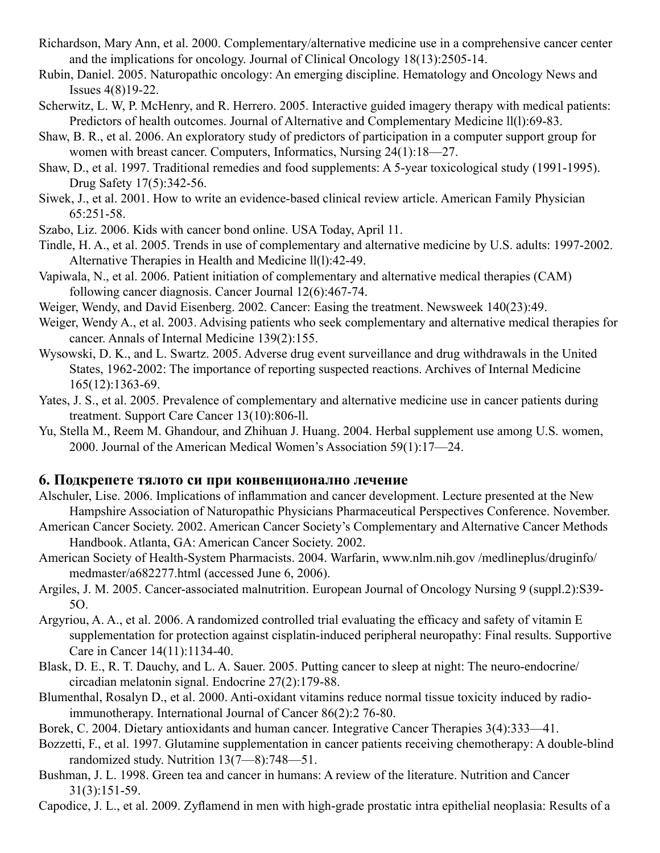- Richardson, Mary Ann, et al. 2000. Complementary/alternative medicine use in a comprehensive cancer center and the implications for oncology. Journal of Clinical Oncology 18(13):2505-14.
- Rubin, Daniel. 2005. Naturopathic oncology: An emerging discipline. Hematology and Oncology News and Issues 4(8)19-22.
- Scherwitz, L. W, P. McHenry, and R. Herrero. 2005. Interactive guided imagery therapy with medical patients: Predictors of health outcomes. Journal of Alternative and Complementary Medicine ll(l):69-83.
- Shaw, B. R., et al. 2006. An exploratory study of predictors of participation in a computer support group for women with breast cancer. Computers, Informatics, Nursing 24(1):18—27.
- Shaw, D., et al. 1997. Traditional remedies and food supplements: A 5-year toxicological study (1991-1995). Drug Safety 17(5):342-56.
- Siwek, J., et al. 2001. How to write an evidence-based clinical review article. American Family Physician 65:251-58.
- Szabo, Liz. 2006. Kids with cancer bond online. USA Today, April 11.
- Tindle, H. A., et al. 2005. Trends in use of complementary and alternative medicine by U.S. adults: 1997-2002. Alternative Therapies in Health and Medicine ll(l):42-49.
- Vapiwala, N., et al. 2006. Patient initiation of complementary and alternative medical therapies (CAM) following cancer diagnosis. Cancer Journal 12(6):467-74.
- Weiger, Wendy, and David Eisenberg. 2002. Cancer: Easing the treatment. Newsweek 140(23):49.
- Weiger, Wendy A., et al. 2003. Advising patients who seek complementary and alternative medical therapies for cancer. Annals of Internal Medicine 139(2):155.
- Wysowski, D. K., and L. Swartz. 2005. Adverse drug event surveillance and drug withdrawals in the United States, 1962-2002: The importance of reporting suspected reactions. Archives of Internal Medicine 165(12):1363-69.
- Yates, J. S., et al. 2005. Prevalence of complementary and alternative medicine use in cancer patients during treatment. Support Care Cancer 13(10):806-ll.
- Yu, Stella M., Reem M. Ghandour, and Zhihuan J. Huang. 2004. Herbal supplement use among U.S. women, 2000. Journal of the American Medical Women's Association 59(1):17—24.

#### **6. Подкрепете тялото си при конвенционално лечение**

- Alschuler, Lise. 2006. Implications of inflammation and cancer development. Lecture presented at the New Hampshire Association of Naturopathic Physicians Pharmaceutical Perspectives Conference. November.
- American Cancer Society. 2002. American Cancer Society's Complementary and Alternative Cancer Methods Handbook. Atlanta, GA: American Cancer Society. 2002.
- American Society of Health-System Pharmacists. 2004. Warfarin, www.nlm.nih.gov /medlineplus/druginfo/ medmaster/a682277.html (accessed June 6, 2006).
- Argiles, J. M. 2005. Cancer-associated malnutrition. European Journal of Oncology Nursing 9 (suppl.2):S39- 5O.
- Argyriou, A. A., et al. 2006. A randomized controlled trial evaluating the efficacy and safety of vitamin E supplementation for protection against cisplatin-induced peripheral neuropathy: Final results. Supportive Care in Cancer 14(11):1134-40.
- Blask, D. E., R. T. Dauchy, and L. A. Sauer. 2005. Putting cancer to sleep at night: The neuro-endocrine/ circadian melatonin signal. Endocrine 27(2):179-88.
- Blumenthal, Rosalyn D., et al. 2000. Anti-oxidant vitamins reduce normal tissue toxicity induced by radioimmunotherapy. International Journal of Cancer 86(2):2 76-80.
- Borek, C. 2004. Dietary antioxidants and human cancer. Integrative Cancer Therapies 3(4):333—41.
- Bozzetti, F., et al. 1997. Glutamine supplementation in cancer patients receiving chemotherapy: A double-blind randomized study. Nutrition 13(7—8):748—51.
- Bushman, J. L. 1998. Green tea and cancer in humans: A review of the literature. Nutrition and Cancer 31(3):151-59.
- Capodice, J. L., et al. 2009. Zyflamend in men with high-grade prostatic intra epithelial neoplasia: Results of a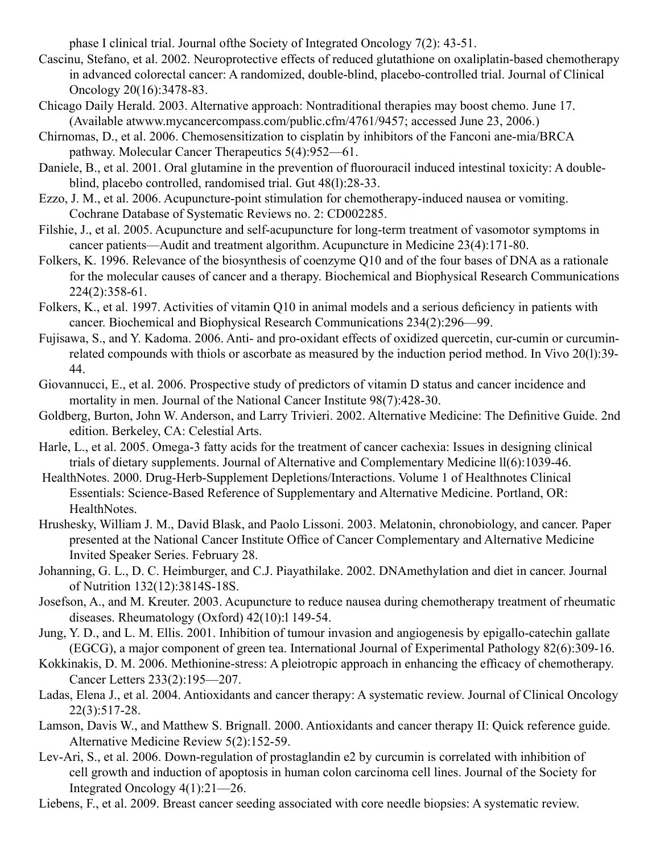phase I clinical trial. Journal ofthe Society of Integrated Oncology 7(2): 43-51.

- Cascinu, Stefano, et al. 2002. Neuroprotective effects of reduced glutathione on oxaliplatin-based chemotherapy in advanced colorectal cancer: A randomized, double-blind, placebo-controlled trial. Journal of Clinical Oncology 20(16):3478-83.
- Chicago Daily Herald. 2003. Alternative approach: Nontraditional therapies may boost chemo. June 17. (Available atwww.mycancercompass.com/public.cfm/4761/9457; accessed June 23, 2006.)
- Chirnomas, D., et al. 2006. Chemosensitization to cisplatin by inhibitors of the Fanconi ane-mia/BRCA pathway. Molecular Cancer Therapeutics 5(4):952—61.
- Daniele, B., et al. 2001. Oral glutamine in the prevention of fluorouracil induced intestinal toxicity: A doubleblind, placebo controlled, randomised trial. Gut 48(l):28-33.
- Ezzo, J. M., et al. 2006. Acupuncture-point stimulation for chemotherapy-induced nausea or vomiting. Cochrane Database of Systematic Reviews no. 2: CD002285.
- Filshie, J., et al. 2005. Acupuncture and self-acupuncture for long-term treatment of vasomotor symptoms in cancer patients—Audit and treatment algorithm. Acupuncture in Medicine 23(4):171-80.
- Folkers, K. 1996. Relevance of the biosynthesis of coenzyme Q10 and of the four bases of DNA as a rationale for the molecular causes of cancer and a therapy. Biochemical and Biophysical Research Communications 224(2):358-61.
- Folkers, K., et al. 1997. Activities of vitamin Q10 in animal models and a serious deficiency in patients with cancer. Biochemical and Biophysical Research Communications 234(2):296—99.
- Fujisawa, S., and Y. Kadoma. 2006. Anti- and pro-oxidant effects of oxidized quercetin, cur-cumin or curcuminrelated compounds with thiols or ascorbate as measured by the induction period method. In Vivo 20(l):39- 44.
- Giovannucci, E., et al. 2006. Prospective study of predictors of vitamin D status and cancer incidence and mortality in men. Journal of the National Cancer Institute 98(7):428-30.
- Goldberg, Burton, John W. Anderson, and Larry Trivieri. 2002. Alternative Medicine: The Definitive Guide. 2nd edition. Berkeley, CA: Celestial Arts.
- Harle, L., et al. 2005. Omega-3 fatty acids for the treatment of cancer cachexia: Issues in designing clinical trials of dietary supplements. Journal of Alternative and Complementary Medicine ll(6):1039-46.
- HealthNotes. 2000. Drug-Herb-Supplement Depletions/Interactions. Volume 1 of Healthnotes Clinical Essentials: Science-Based Reference of Supplementary and Alternative Medicine. Portland, OR: HealthNotes.
- Hrushesky, William J. M., David Blask, and Paolo Lissoni. 2003. Melatonin, chronobiology, and cancer. Paper presented at the National Cancer Institute Office of Cancer Complementary and Alternative Medicine Invited Speaker Series. February 28.
- Johanning, G. L., D. C. Heimburger, and C.J. Piayathilake. 2002. DNAmethylation and diet in cancer. Journal of Nutrition 132(12):3814S-18S.
- Josefson, A., and M. Kreuter. 2003. Acupuncture to reduce nausea during chemotherapy treatment of rheumatic diseases. Rheumatology (Oxford) 42(10):l 149-54.
- Jung, Y. D., and L. M. Ellis. 2001. Inhibition of tumour invasion and angiogenesis by epigallo-catechin gallate (EGCG), a major component of green tea. International Journal of Experimental Pathology 82(6):309-16.
- Kokkinakis, D. M. 2006. Methionine-stress: A pleiotropic approach in enhancing the efficacy of chemotherapy. Cancer Letters 233(2):195—207.
- Ladas, Elena J., et al. 2004. Antioxidants and cancer therapy: A systematic review. Journal of Clinical Oncology 22(3):517-28.
- Lamson, Davis W., and Matthew S. Brignall. 2000. Antioxidants and cancer therapy II: Quick reference guide. Alternative Medicine Review 5(2):152-59.
- Lev-Ari, S., et al. 2006. Down-regulation of prostaglandin e2 by curcumin is correlated with inhibition of cell growth and induction of apoptosis in human colon carcinoma cell lines. Journal of the Society for Integrated Oncology 4(1):21—26.
- Liebens, F., et al. 2009. Breast cancer seeding associated with core needle biopsies: A systematic review.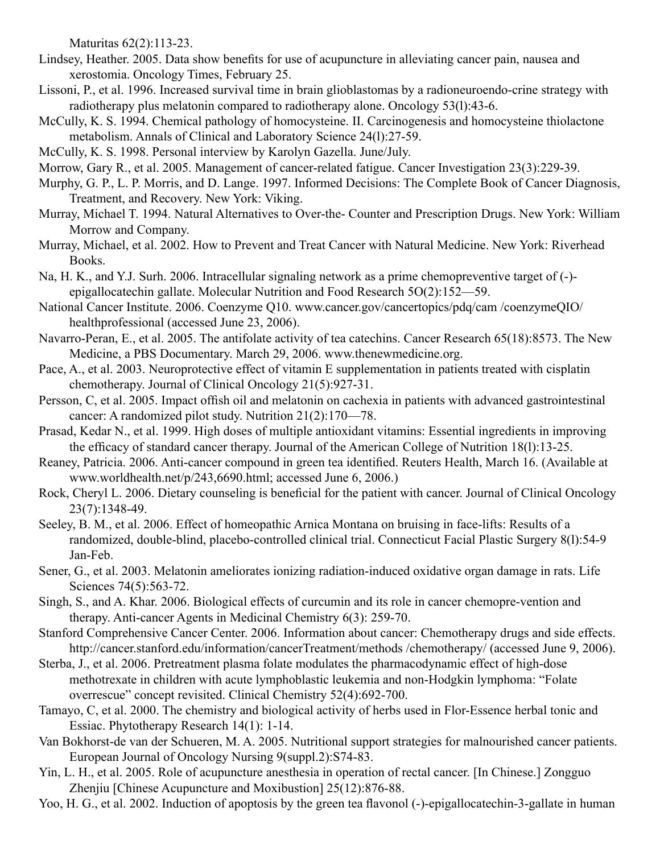Maturitas 62(2):113-23.

- Lindsey, Heather. 2005. Data show benefits for use of acupuncture in alleviating cancer pain, nausea and xerostomia. Oncology Times, February 25.
- Lissoni, P., et al. 1996. Increased survival time in brain glioblastomas by a radioneuroendo-crine strategy with radiotherapy plus melatonin compared to radiotherapy alone. Oncology 53(l):43-6.
- McCully, K. S. 1994. Chemical pathology of homocysteine. II. Carcinogenesis and homocysteine thiolactone metabolism. Annals of Clinical and Laboratory Science 24(l):27-59.
- McCully, K. S. 1998. Personal interview by Karolyn Gazella. June/July.
- Morrow, Gary R., et al. 2005. Management of cancer-related fatigue. Cancer Investigation 23(3):229-39.
- Murphy, G. P., L. P. Morris, and D. Lange. 1997. Informed Decisions: The Complete Book of Cancer Diagnosis, Treatment, and Recovery. New York: Viking.
- Murray, Michael T. 1994. Natural Alternatives to Over-the- Counter and Prescription Drugs. New York: William Morrow and Company.
- Murray, Michael, et al. 2002. How to Prevent and Treat Cancer with Natural Medicine. New York: Riverhead Books.
- Na, H. K., and Y.J. Surh. 2006. Intracellular signaling network as a prime chemopreventive target of (-) epigallocatechin gallate. Molecular Nutrition and Food Research 5O(2):152—59.
- National Cancer Institute. 2006. Coenzyme Q10. www.cancer.gov/cancertopics/pdq/cam /coenzymeQIO/ healthprofessional (accessed June 23, 2006).
- Navarro-Peran, E., et al. 2005. The antifolate activity of tea catechins. Cancer Research 65(18):8573. The New Medicine, a PBS Documentary. March 29, 2006. www.thenewmedicine.org.
- Pace, A., et al. 2003. Neuroprotective effect of vitamin E supplementation in patients treated with cisplatin chemotherapy. Journal of Clinical Oncology 21(5):927-31.
- Persson, C, et al. 2005. Impact offish oil and melatonin on cachexia in patients with advanced gastrointestinal cancer: A randomized pilot study. Nutrition 21(2):170—78.
- Prasad, Kedar N., et al. 1999. High doses of multiple antioxidant vitamins: Essential ingredients in improving the efficacy of standard cancer therapy. Journal of the American College of Nutrition 18(l):13-25.
- Reaney, Patricia. 2006. Anti-cancer compound in green tea identified. Reuters Health, March 16. (Available at www.worldhealth.net/p/243,6690.html; accessed June 6, 2006.)
- Rock, Cheryl L. 2006. Dietary counseling is beneficial for the patient with cancer. Journal of Clinical Oncology 23(7):1348-49.
- Seeley, B. M., et al. 2006. Effect of homeopathic Arnica Montana on bruising in face-lifts: Results of a randomized, double-blind, placebo-controlled clinical trial. Connecticut Facial Plastic Surgery 8(l):54-9 Jan-Feb.
- Sener, G., et al. 2003. Melatonin ameliorates ionizing radiation-induced oxidative organ damage in rats. Life Sciences 74(5):563-72.
- Singh, S., and A. Khar. 2006. Biological effects of curcumin and its role in cancer chemopre-vention and therapy. Anti-cancer Agents in Medicinal Chemistry 6(3): 259-70.
- Stanford Comprehensive Cancer Center. 2006. Information about cancer: Chemotherapy drugs and side effects. http://cancer.stanford.edu/information/cancerTreatment/methods /chemotherapy/ (accessed June 9, 2006).
- Sterba, J., et al. 2006. Pretreatment plasma folate modulates the pharmacodynamic effect of high-dose methotrexate in children with acute lymphoblastic leukemia and non-Hodgkin lymphoma: "Folate overrescue" concept revisited. Clinical Chemistry 52(4):692-700.
- Tamayo, C, et al. 2000. The chemistry and biological activity of herbs used in Flor-Essence herbal tonic and Essiac. Phytotherapy Research 14(1): 1-14.
- Van Bokhorst-de van der Schueren, M. A. 2005. Nutritional support strategies for malnourished cancer patients. European Journal of Oncology Nursing 9(suppl.2):S74-83.
- Yin, L. H., et al. 2005. Role of acupuncture anesthesia in operation of rectal cancer. [In Chinese.] Zongguo Zhenjiu [Chinese Acupuncture and Moxibustion] 25(12):876-88.
- Yoo, H. G., et al. 2002. Induction of apoptosis by the green tea flavonol (-)-epigallocatechin-3-gallate in human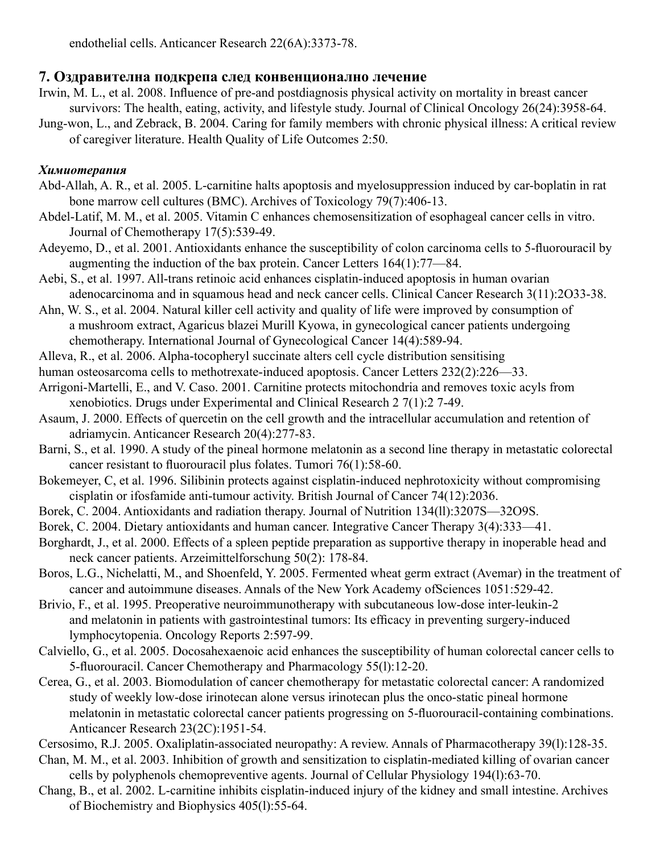### **7. Оздравителна подкрепа след конвенционално лечение**

- Irwin, M. L., et al. 2008. Influence of pre-and postdiagnosis physical activity on mortality in breast cancer survivors: The health, eating, activity, and lifestyle study. Journal of Clinical Oncology 26(24):3958-64.
- Jung-won, L., and Zebrack, B. 2004. Caring for family members with chronic physical illness: A critical review of caregiver literature. Health Quality of Life Outcomes 2:50.

### *Химиотерапия*

- Abd-Allah, A. R., et al. 2005. L-carnitine halts apoptosis and myelosuppression induced by car-boplatin in rat bone marrow cell cultures (BMC). Archives of Toxicology 79(7):406-13.
- Abdel-Latif, M. M., et al. 2005. Vitamin C enhances chemosensitization of esophageal cancer cells in vitro. Journal of Chemotherapy 17(5):539-49.
- Adeyemo, D., et al. 2001. Antioxidants enhance the susceptibility of colon carcinoma cells to 5-fluorouracil by augmenting the induction of the bax protein. Cancer Letters 164(1):77—84.
- Aebi, S., et al. 1997. All-trans retinoic acid enhances cisplatin-induced apoptosis in human ovarian adenocarcinoma and in squamous head and neck cancer cells. Clinical Cancer Research 3(11):2O33-38.
- Ahn, W. S., et al. 2004. Natural killer cell activity and quality of life were improved by consumption of a mushroom extract, Agaricus blazei Murill Kyowa, in gynecological cancer patients undergoing chemotherapy. International Journal of Gynecological Cancer 14(4):589-94.
- Alleva, R., et al. 2006. Alpha-tocopheryl succinate alters cell cycle distribution sensitising
- human osteosarcoma cells to methotrexate-induced apoptosis. Cancer Letters 232(2):226-33.
- Arrigoni-Martelli, E., and V. Caso. 2001. Carnitine protects mitochondria and removes toxic acyls from xenobiotics. Drugs under Experimental and Clinical Research 2 7(1):2 7-49.
- Asaum, J. 2000. Effects of quercetin on the cell growth and the intracellular accumulation and retention of adriamycin. Anticancer Research 20(4):277-83.
- Barni, S., et al. 1990. A study of the pineal hormone melatonin as a second line therapy in metastatic colorectal cancer resistant to fluorouracil plus folates. Tumori 76(1):58-60.
- Bokemeyer, C, et al. 1996. Silibinin protects against cisplatin-induced nephrotoxicity without compromising cisplatin or ifosfamide anti-tumour activity. British Journal of Cancer 74(12):2036.
- Borek, C. 2004. Antioxidants and radiation therapy. Journal of Nutrition 134(ll):3207S—32O9S.
- Borek, C. 2004. Dietary antioxidants and human cancer. Integrative Cancer Therapy 3(4):333—41.
- Borghardt, J., et al. 2000. Effects of a spleen peptide preparation as supportive therapy in inoperable head and neck cancer patients. Arzeimittelforschung 50(2): 178-84.
- Boros, L.G., Nichelatti, M., and Shoenfeld, Y. 2005. Fermented wheat germ extract (Avemar) in the treatment of cancer and autoimmune diseases. Annals of the New York Academy ofSciences 1051:529-42.
- Brivio, F., et al. 1995. Preoperative neuroimmunotherapy with subcutaneous low-dose inter-leukin-2 and melatonin in patients with gastrointestinal tumors: Its efficacy in preventing surgery-induced lymphocytopenia. Oncology Reports 2:597-99.
- Calviello, G., et al. 2005. Docosahexaenoic acid enhances the susceptibility of human colorectal cancer cells to 5-fluorouracil. Cancer Chemotherapy and Pharmacology 55(l):12-20.
- Cerea, G., et al. 2003. Biomodulation of cancer chemotherapy for metastatic colorectal cancer: A randomized study of weekly low-dose irinotecan alone versus irinotecan plus the onco-static pineal hormone melatonin in metastatic colorectal cancer patients progressing on 5-fluorouracil-containing combinations. Anticancer Research 23(2C):1951-54.
- Cersosimo, R.J. 2005. Oxaliplatin-associated neuropathy: A review. Annals of Pharmacotherapy 39(l):128-35.
- Chan, M. M., et al. 2003. Inhibition of growth and sensitization to cisplatin-mediated killing of ovarian cancer cells by polyphenols chemopreventive agents. Journal of Cellular Physiology 194(l):63-70.
- Chang, B., et al. 2002. L-carnitine inhibits cisplatin-induced injury of the kidney and small intestine. Archives of Biochemistry and Biophysics 405(l):55-64.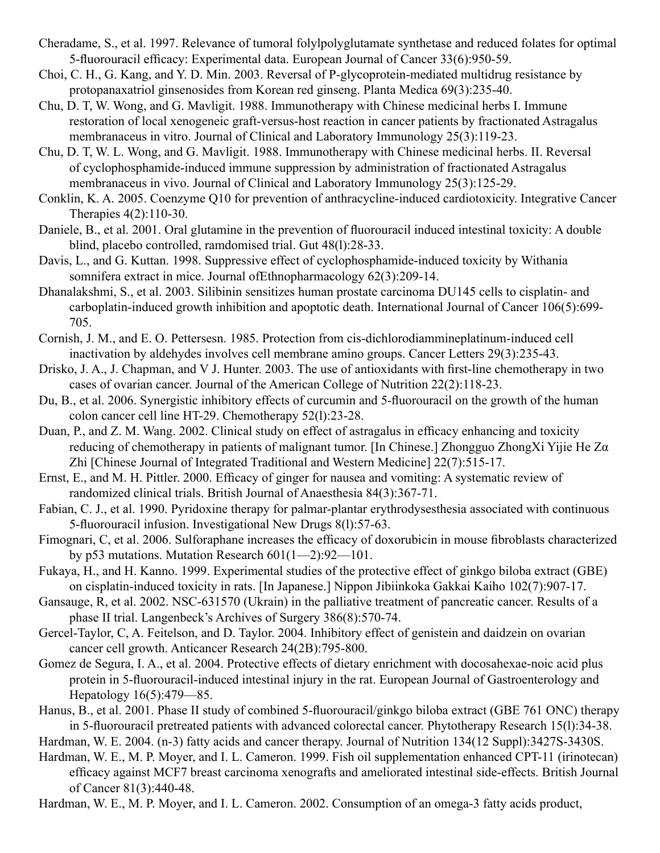- Cheradame, S., et al. 1997. Relevance of tumoral folylpolyglutamate synthetase and reduced folates for optimal 5-fluorouracil efficacy: Experimental data. European Journal of Cancer 33(6):950-59.
- Choi, C. H., G. Kang, and Y. D. Min. 2003. Reversal of P-glycoprotein-mediated multidrug resistance by protopanaxatriol ginsenosides from Korean red ginseng. Planta Medica 69(3):235-40.
- Chu, D. T, W. Wong, and G. Mavligit. 1988. Immunotherapy with Chinese medicinal herbs I. Immune restoration of local xenogeneic graft-versus-host reaction in cancer patients by fractionated Astragalus membranaceus in vitro. Journal of Clinical and Laboratory Immunology 25(3):119-23.
- Chu, D. T, W. L. Wong, and G. Mavligit. 1988. Immunotherapy with Chinese medicinal herbs. II. Reversal of cyclophosphamide-induced immune suppression by administration of fractionated Astragalus membranaceus in vivo. Journal of Clinical and Laboratory Immunology 25(3):125-29.
- Conklin, K. A. 2005. Coenzyme Q10 for prevention of anthracycline-induced cardiotoxicity. Integrative Cancer Therapies 4(2):110-30.
- Daniele, B., et al. 2001. Oral glutamine in the prevention of fluorouracil induced intestinal toxicity: A double blind, placebo controlled, ramdomised trial. Gut 48(l):28-33.
- Davis, L., and G. Kuttan. 1998. Suppressive effect of cyclophosphamide-induced toxicity by Withania somnifera extract in mice. Journal ofEthnopharmacology 62(3):209-14.
- Dhanalakshmi, S., et al. 2003. Silibinin sensitizes human prostate carcinoma DU145 cells to cisplatin- and carboplatin-induced growth inhibition and apoptotic death. International Journal of Cancer 106(5):699- 705.
- Cornish, J. M., and E. O. Pettersesn. 1985. Protection from cis-dichlorodiammineplatinum-induced cell inactivation by aldehydes involves cell membrane amino groups. Cancer Letters 29(3):235-43.
- Drisko, J. A., J. Chapman, and V J. Hunter. 2003. The use of antioxidants with first-line chemotherapy in two cases of ovarian cancer. Journal of the American College of Nutrition 22(2):118-23.
- Du, B., et al. 2006. Synergistic inhibitory effects of curcumin and 5-fluorouracil on the growth of the human colon cancer cell line HT-29. Chemotherapy 52(l):23-28.
- Duan, P., and Z. M. Wang. 2002. Clinical study on effect of astragalus in efficacy enhancing and toxicity reducing of chemotherapy in patients of malignant tumor. [In Chinese.] Zhongguo ZhongXi Yijie He Zα Zhi [Chinese Journal of Integrated Traditional and Western Medicine] 22(7):515-17.
- Ernst, E., and M. H. Pittler. 2000. Efficacy of ginger for nausea and vomiting: A systematic review of randomized clinical trials. British Journal of Anaesthesia 84(3):367-71.
- Fabian, C. J., et al. 1990. Pyridoxine therapy for palmar-plantar erythrodysesthesia associated with continuous 5-fluorouracil infusion. Investigational New Drugs 8(l):57-63.
- Fimognari, C, et al. 2006. Sulforaphane increases the efficacy of doxorubicin in mouse fibroblasts characterized by p53 mutations. Mutation Research 601(1—2):92—101.
- Fukaya, H., and H. Kanno. 1999. Experimental studies of the protective effect of ginkgo biloba extract (GBE) on cisplatin-induced toxicity in rats. [In Japanese.] Nippon Jibiinkoka Gakkai Kaiho 102(7):907-17.
- Gansauge, R, et al. 2002. NSC-631570 (Ukrain) in the palliative treatment of pancreatic cancer. Results of a phase II trial. Langenbeck's Archives of Surgery 386(8):570-74.
- Gercel-Taylor, C, A. Feitelson, and D. Taylor. 2004. Inhibitory effect of genistein and daidzein on ovarian cancer cell growth. Anticancer Research 24(2B):795-800.
- Gomez de Segura, I. A., et al. 2004. Protective effects of dietary enrichment with docosahexae-noic acid plus protein in 5-fluorouracil-induced intestinal injury in the rat. European Journal of Gastroenterology and Hepatology 16(5):479—85.
- Hanus, B., et al. 2001. Phase II study of combined 5-fluorouracil/ginkgo biloba extract (GBE 761 ONC) therapy in 5-fluorouracil pretreated patients with advanced colorectal cancer. Phytotherapy Research 15(l):34-38.
- Hardman, W. E. 2004. (n-3) fatty acids and cancer therapy. Journal of Nutrition 134(12 Suppl):3427S-3430S.
- Hardman, W. E., M. P. Moyer, and I. L. Cameron. 1999. Fish oil supplementation enhanced CPT-11 (irinotecan) efficacy against MCF7 breast carcinoma xenografts and ameliorated intestinal side-effects. British Journal of Cancer 81(3):440-48.
- Hardman, W. E., M. P. Moyer, and I. L. Cameron. 2002. Consumption of an omega-3 fatty acids product,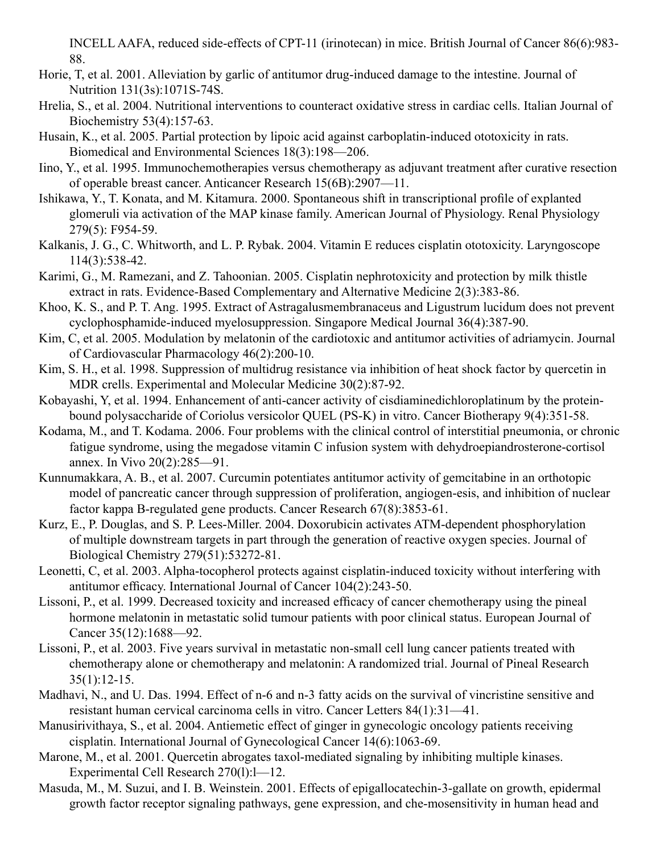INCELL AAFA, reduced side-effects of CPT-11 (irinotecan) in mice. British Journal of Cancer 86(6):983- 88.

- Horie, T, et al. 2001. Alleviation by garlic of antitumor drug-induced damage to the intestine. Journal of Nutrition 131(3s):1071S-74S.
- Hrelia, S., et al. 2004. Nutritional interventions to counteract oxidative stress in cardiac cells. Italian Journal of Biochemistry 53(4):157-63.
- Husain, K., et al. 2005. Partial protection by lipoic acid against carboplatin-induced ototoxicity in rats. Biomedical and Environmental Sciences 18(3):198—206.
- Iino, Y., et al. 1995. Immunochemotherapies versus chemotherapy as adjuvant treatment after curative resection of operable breast cancer. Anticancer Research 15(6B):2907—11.
- Ishikawa, Y., T. Konata, and M. Kitamura. 2000. Spontaneous shift in transcriptional profile of explanted glomeruli via activation of the MAP kinase family. American Journal of Physiology. Renal Physiology 279(5): F954-59.
- Kalkanis, J. G., C. Whitworth, and L. P. Rybak. 2004. Vitamin E reduces cisplatin ototoxicity. Laryngoscope 114(3):538-42.
- Karimi, G., M. Ramezani, and Z. Tahoonian. 2005. Cisplatin nephrotoxicity and protection by milk thistle extract in rats. Evidence-Based Complementary and Alternative Medicine 2(3):383-86.
- Khoo, K. S., and P. T. Ang. 1995. Extract of Astragalusmembranaceus and Ligustrum lucidum does not prevent cyclophosphamide-induced myelosuppression. Singapore Medical Journal 36(4):387-90.
- Kim, C, et al. 2005. Modulation by melatonin of the cardiotoxic and antitumor activities of adriamycin. Journal of Cardiovascular Pharmacology 46(2):200-10.
- Kim, S. H., et al. 1998. Suppression of multidrug resistance via inhibition of heat shock factor by quercetin in MDR crells. Experimental and Molecular Medicine 30(2):87-92.
- Kobayashi, Y, et al. 1994. Enhancement of anti-cancer activity of cisdiaminedichloroplatinum by the proteinbound polysaccharide of Coriolus versicolor QUEL (PS-K) in vitro. Cancer Biotherapy 9(4):351-58.
- Kodama, M., and T. Kodama. 2006. Four problems with the clinical control of interstitial pneumonia, or chronic fatigue syndrome, using the megadose vitamin C infusion system with dehydroepiandrosterone-cortisol annex. In Vivo 20(2):285—91.
- Kunnumakkara, A. B., et al. 2007. Curcumin potentiates antitumor activity of gemcitabine in an orthotopic model of pancreatic cancer through suppression of proliferation, angiogen-esis, and inhibition of nuclear factor kappa B-regulated gene products. Cancer Research 67(8):3853-61.
- Kurz, E., P. Douglas, and S. P. Lees-Miller. 2004. Doxorubicin activates ATM-dependent phosphorylation of multiple downstream targets in part through the generation of reactive oxygen species. Journal of Biological Chemistry 279(51):53272-81.
- Leonetti, C, et al. 2003. Alpha-tocopherol protects against cisplatin-induced toxicity without interfering with antitumor efficacy. International Journal of Cancer 104(2):243-50.
- Lissoni, P., et al. 1999. Decreased toxicity and increased efficacy of cancer chemotherapy using the pineal hormone melatonin in metastatic solid tumour patients with poor clinical status. European Journal of Cancer 35(12):1688—92.
- Lissoni, P., et al. 2003. Five years survival in metastatic non-small cell lung cancer patients treated with chemotherapy alone or chemotherapy and melatonin: A randomized trial. Journal of Pineal Research  $35(1):12-15.$
- Madhavi, N., and U. Das. 1994. Effect of n-6 and n-3 fatty acids on the survival of vincristine sensitive and resistant human cervical carcinoma cells in vitro. Cancer Letters 84(1):31—41.
- Manusirivithaya, S., et al. 2004. Antiemetic effect of ginger in gynecologic oncology patients receiving cisplatin. International Journal of Gynecological Cancer 14(6):1063-69.
- Marone, M., et al. 2001. Quercetin abrogates taxol-mediated signaling by inhibiting multiple kinases. Experimental Cell Research 270(1):1—12.
- Masuda, M., M. Suzui, and I. B. Weinstein. 2001. Effects of epigallocatechin-3-gallate on growth, epidermal growth factor receptor signaling pathways, gene expression, and che-mosensitivity in human head and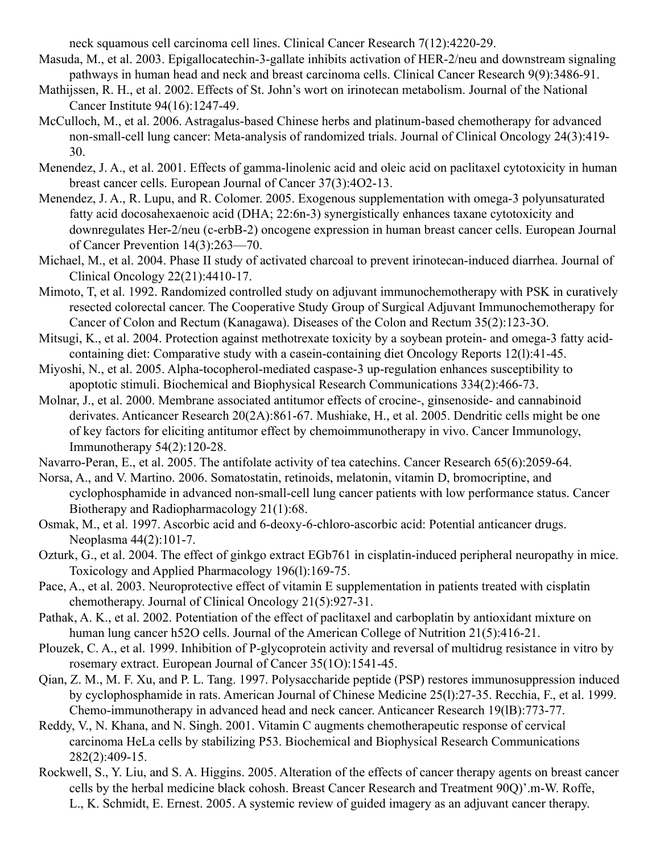neck squamous cell carcinoma cell lines. Clinical Cancer Research 7(12):4220-29.

- Masuda, M., et al. 2003. Epigallocatechin-3-gallate inhibits activation of HER-2/neu and downstream signaling pathways in human head and neck and breast carcinoma cells. Clinical Cancer Research 9(9):3486-91.
- Mathijssen, R. H., et al. 2002. Effects of St. John's wort on irinotecan metabolism. Journal of the National Cancer Institute 94(16):1247-49.
- McCulloch, M., et al. 2006. Astragalus-based Chinese herbs and platinum-based chemotherapy for advanced non-small-cell lung cancer: Meta-analysis of randomized trials. Journal of Clinical Oncology 24(3):419- 30.
- Menendez, J. A., et al. 2001. Effects of gamma-linolenic acid and oleic acid on paclitaxel cytotoxicity in human breast cancer cells. European Journal of Cancer 37(3):4O2-13.
- Menendez, J. A., R. Lupu, and R. Colomer. 2005. Exogenous supplementation with omega-3 polyunsaturated fatty acid docosahexaenoic acid (DHA; 22:6n-3) synergistically enhances taxane cytotoxicity and downregulates Her-2/neu (c-erbB-2) oncogene expression in human breast cancer cells. European Journal of Cancer Prevention 14(3):263—70.
- Michael, M., et al. 2004. Phase II study of activated charcoal to prevent irinotecan-induced diarrhea. Journal of Clinical Oncology 22(21):4410-17.
- Mimoto, T, et al. 1992. Randomized controlled study on adjuvant immunochemotherapy with PSK in curatively resected colorectal cancer. The Cooperative Study Group of Surgical Adjuvant Immunochemotherapy for Cancer of Colon and Rectum (Kanagawa). Diseases of the Colon and Rectum 35(2):123-3O.
- Mitsugi, K., et al. 2004. Protection against methotrexate toxicity by a soybean protein- and omega-3 fatty acidcontaining diet: Comparative study with a casein-containing diet Oncology Reports 12(l):41-45.
- Miyoshi, N., et al. 2005. Alpha-tocopherol-mediated caspase-3 up-regulation enhances susceptibility to apoptotic stimuli. Biochemical and Biophysical Research Communications 334(2):466-73.
- Molnar, J., et al. 2000. Membrane associated antitumor effects of crocine-, ginsenoside- and cannabinoid derivates. Anticancer Research 20(2A):861-67. Mushiake, H., et al. 2005. Dendritic cells might be one of key factors for eliciting antitumor effect by chemoimmunotherapy in vivo. Cancer Immunology, Immunotherapy 54(2):120-28.
- Navarro-Peran, E., et al. 2005. The antifolate activity of tea catechins. Cancer Research 65(6):2059-64.
- Norsa, A., and V. Martino. 2006. Somatostatin, retinoids, melatonin, vitamin D, bromocriptine, and cyclophosphamide in advanced non-small-cell lung cancer patients with low performance status. Cancer Biotherapy and Radiopharmacology 21(1):68.
- Osmak, M., et al. 1997. Ascorbic acid and 6-deoxy-6-chloro-ascorbic acid: Potential anticancer drugs. Neoplasma 44(2):101-7.
- Ozturk, G., et al. 2004. The effect of ginkgo extract EGb761 in cisplatin-induced peripheral neuropathy in mice. Toxicology and Applied Pharmacology 196(l):169-75.
- Pace, A., et al. 2003. Neuroprotective effect of vitamin E supplementation in patients treated with cisplatin chemotherapy. Journal of Clinical Oncology 21(5):927-31.
- Pathak, A. K., et al. 2002. Potentiation of the effect of paclitaxel and carboplatin by antioxidant mixture on human lung cancer h52O cells. Journal of the American College of Nutrition 21(5):416-21.
- Plouzek, C. A., et al. 1999. Inhibition of P-glycoprotein activity and reversal of multidrug resistance in vitro by rosemary extract. European Journal of Cancer 35(1O):1541-45.
- Qian, Z. M., M. F. Xu, and P. L. Tang. 1997. Polysaccharide peptide (PSP) restores immunosuppression induced by cyclophosphamide in rats. American Journal of Chinese Medicine 25(l):27-35. Recchia, F., et al. 1999. Chemo-immunotherapy in advanced head and neck cancer. Anticancer Research 19(lB):773-77.
- Reddy, V., N. Khana, and N. Singh. 2001. Vitamin C augments chemotherapeutic response of cervical carcinoma HeLa cells by stabilizing P53. Biochemical and Biophysical Research Communications 282(2):409-15.
- Rockwell, S., Y. Liu, and S. A. Higgins. 2005. Alteration of the effects of cancer therapy agents on breast cancer cells by the herbal medicine black cohosh. Breast Cancer Research and Treatment 90Q)'.m-W. Roffe, L., K. Schmidt, E. Ernest. 2005. A systemic review of guided imagery as an adjuvant cancer therapy.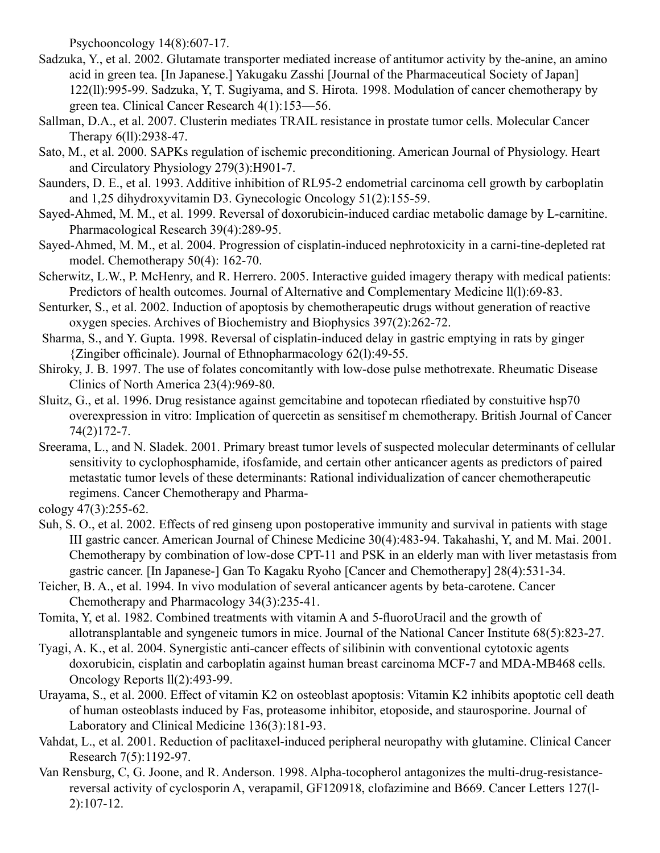Psychooncology 14(8):607-17.

- Sadzuka, Y., et al. 2002. Glutamate transporter mediated increase of antitumor activity by the-anine, an amino acid in green tea. [In Japanese.] Yakugaku Zasshi [Journal of the Pharmaceutical Society of Japan] 122(ll):995-99. Sadzuka, Y, T. Sugiyama, and S. Hirota. 1998. Modulation of cancer chemotherapy by green tea. Clinical Cancer Research 4(1):153—56.
- Sallman, D.A., et al. 2007. Clusterin mediates TRAIL resistance in prostate tumor cells. Molecular Cancer Therapy 6(ll):2938-47.
- Sato, M., et al. 2000. SAPKs regulation of ischemic preconditioning. American Journal of Physiology. Heart and Circulatory Physiology 279(3):H901-7.
- Saunders, D. E., et al. 1993. Additive inhibition of RL95-2 endometrial carcinoma cell growth by carboplatin and 1,25 dihydroxyvitamin D3. Gynecologic Oncology 51(2):155-59.
- Sayed-Ahmed, M. M., et al. 1999. Reversal of doxorubicin-induced cardiac metabolic damage by L-carnitine. Pharmacological Research 39(4):289-95.
- Sayed-Ahmed, M. M., et al. 2004. Progression of cisplatin-induced nephrotoxicity in a carni-tine-depleted rat model. Chemotherapy 50(4): 162-70.
- Scherwitz, L.W., P. McHenry, and R. Herrero. 2005. Interactive guided imagery therapy with medical patients: Predictors of health outcomes. Journal of Alternative and Complementary Medicine ll(l):69-83.
- Senturker, S., et al. 2002. Induction of apoptosis by chemotherapeutic drugs without generation of reactive oxygen species. Archives of Biochemistry and Biophysics 397(2):262-72.
- Sharma, S., and Y. Gupta. 1998. Reversal of cisplatin-induced delay in gastric emptying in rats by ginger {Zingiber officinale). Journal of Ethnopharmacology 62(l):49-55.
- Shiroky, J. B. 1997. The use of folates concomitantly with low-dose pulse methotrexate. Rheumatic Disease Clinics of North America 23(4):969-80.
- Sluitz, G., et al. 1996. Drug resistance against gemcitabine and topotecan rfiediated by constuitive hsp70 overexpression in vitro: Implication of quercetin as sensitisef m chemotherapy. British Journal of Cancer 74(2)172-7.
- Sreerama, L., and N. Sladek. 2001. Primary breast tumor levels of suspected molecular determinants of cellular sensitivity to cyclophosphamide, ifosfamide, and certain other anticancer agents as predictors of paired metastatic tumor levels of these determinants: Rational individualization of cancer chemotherapeutic regimens. Cancer Chemotherapy and Pharma-

cology 47(3):255-62.

- Suh, S. O., et al. 2002. Effects of red ginseng upon postoperative immunity and survival in patients with stage III gastric cancer. American Journal of Chinese Medicine 30(4):483-94. Takahashi, Y, and M. Mai. 2001. Chemotherapy by combination of low-dose CPT-11 and PSK in an elderly man with liver metastasis from gastric cancer. [In Japanese-] Gan To Kagaku Ryoho [Cancer and Chemotherapy] 28(4):531-34.
- Teicher, B. A., et al. 1994. In vivo modulation of several anticancer agents by beta-carotene. Cancer Chemotherapy and Pharmacology 34(3):235-41.
- Tomita, Y, et al. 1982. Combined treatments with vitamin A and 5-fluoroUracil and the growth of allotransplantable and syngeneic tumors in mice. Journal of the National Cancer Institute 68(5):823-27.
- Tyagi, A. K., et al. 2004. Synergistic anti-cancer effects of silibinin with conventional cytotoxic agents doxorubicin, cisplatin and carboplatin against human breast carcinoma MCF-7 and MDA-MB468 cells. Oncology Reports ll(2):493-99.
- Urayama, S., et al. 2000. Effect of vitamin K2 on osteoblast apoptosis: Vitamin K2 inhibits apoptotic cell death of human osteoblasts induced by Fas, proteasome inhibitor, etoposide, and staurosporine. Journal of Laboratory and Clinical Medicine 136(3):181-93.
- Vahdat, L., et al. 2001. Reduction of paclitaxel-induced peripheral neuropathy with glutamine. Clinical Cancer Research 7(5):1192-97.
- Van Rensburg, C, G. Joone, and R. Anderson. 1998. Alpha-tocopherol antagonizes the multi-drug-resistancereversal activity of cyclosporin A, verapamil, GF120918, clofazimine and B669. Cancer Letters 127(l-2):107-12.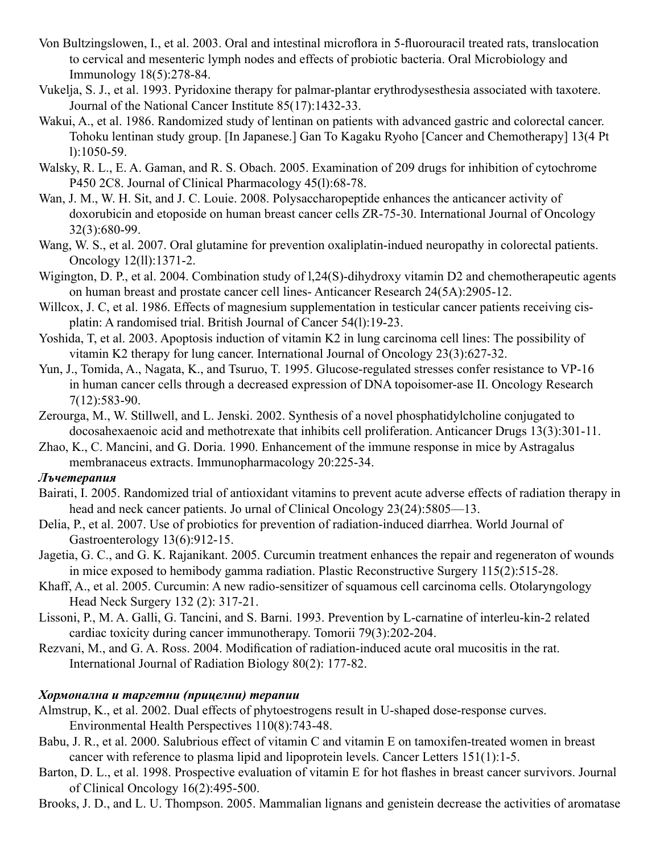- Von Bultzingslowen, I., et al. 2003. Oral and intestinal microflora in 5-fluorouracil treated rats, translocation to cervical and mesenteric lymph nodes and effects of probiotic bacteria. Oral Microbiology and Immunology 18(5):278-84.
- Vukelja, S. J., et al. 1993. Pyridoxine therapy for palmar-plantar erythrodysesthesia associated with taxotere. Journal of the National Cancer Institute 85(17):1432-33.
- Wakui, A., et al. 1986. Randomized study of lentinan on patients with advanced gastric and colorectal cancer. Tohoku lentinan study group. [In Japanese.] Gan To Kagaku Ryoho [Cancer and Chemotherapy] 13(4 Pt l):1050-59.
- Walsky, R. L., E. A. Gaman, and R. S. Obach. 2005. Examination of 209 drugs for inhibition of cytochrome P450 2C8. Journal of Clinical Pharmacology 45(l):68-78.
- Wan, J. M., W. H. Sit, and J. C. Louie. 2008. Polysaccharopeptide enhances the anticancer activity of doxorubicin and etoposide on human breast cancer cells ZR-75-30. International Journal of Oncology 32(3):680-99.
- Wang, W. S., et al. 2007. Oral glutamine for prevention oxaliplatin-indued neuropathy in colorectal patients. Oncology 12(ll):1371-2.
- Wigington, D. P., et al. 2004. Combination study of l,24(S)-dihydroxy vitamin D2 and chemotherapeutic agents on human breast and prostate cancer cell lines- Anticancer Research 24(5A):2905-12.
- Willcox, J. C, et al. 1986. Effects of magnesium supplementation in testicular cancer patients receiving cisplatin: A randomised trial. British Journal of Cancer 54(l):19-23.
- Yoshida, T, et al. 2003. Apoptosis induction of vitamin K2 in lung carcinoma cell lines: The possibility of vitamin K2 therapy for lung cancer. International Journal of Oncology 23(3):627-32.
- Yun, J., Tomida, A., Nagata, K., and Tsuruo, T. 1995. Glucose-regulated stresses confer resistance to VP-16 in human cancer cells through a decreased expression of DNA topoisomer-ase II. Oncology Research 7(12):583-90.
- Zerourga, M., W. Stillwell, and L. Jenski. 2002. Synthesis of a novel phosphatidylcholine conjugated to docosahexaenoic acid and methotrexate that inhibits cell proliferation. Anticancer Drugs 13(3):301-11.
- Zhao, K., C. Mancini, and G. Doria. 1990. Enhancement of the immune response in mice by Astragalus membranaceus extracts. Immunopharmacology 20:225-34.

#### *Лъчетерапия*

- Bairati, I. 2005. Randomized trial of antioxidant vitamins to prevent acute adverse effects of radiation therapy in head and neck cancer patients. Jo urnal of Clinical Oncology 23(24):5805—13.
- Delia, P., et al. 2007. Use of probiotics for prevention of radiation-induced diarrhea. World Journal of Gastroenterology 13(6):912-15.
- Jagetia, G. C., and G. K. Rajanikant. 2005. Curcumin treatment enhances the repair and regeneraton of wounds in mice exposed to hemibody gamma radiation. Plastic Reconstructive Surgery 115(2):515-28.
- Khaff, A., et al. 2005. Curcumin: A new radio-sensitizer of squamous cell carcinoma cells. Otolaryngology Head Neck Surgery 132 (2): 317-21.
- Lissoni, P., M. A. Galli, G. Tancini, and S. Barni. 1993. Prevention by L-carnatine of interleu-kin-2 related cardiac toxicity during cancer immunotherapy. Tomorii 79(3):202-204.
- Rezvani, M., and G. A. Ross. 2004. Modification of radiation-induced acute oral mucositis in the rat. International Journal of Radiation Biology 80(2): 177-82.

#### *Хормонална и таргетни (прицелни) терапии*

- Almstrup, K., et al. 2002. Dual effects of phytoestrogens result in U-shaped dose-response curves. Environmental Health Perspectives 110(8):743-48.
- Babu, J. R., et al. 2000. Salubrious effect of vitamin C and vitamin E on tamoxifen-treated women in breast cancer with reference to plasma lipid and lipoprotein levels. Cancer Letters 151(1):1-5.
- Barton, D. L., et al. 1998. Prospective evaluation of vitamin E for hot flashes in breast cancer survivors. Journal of Clinical Oncology 16(2):495-500.
- Brooks, J. D., and L. U. Thompson. 2005. Mammalian lignans and genistein decrease the activities of aromatase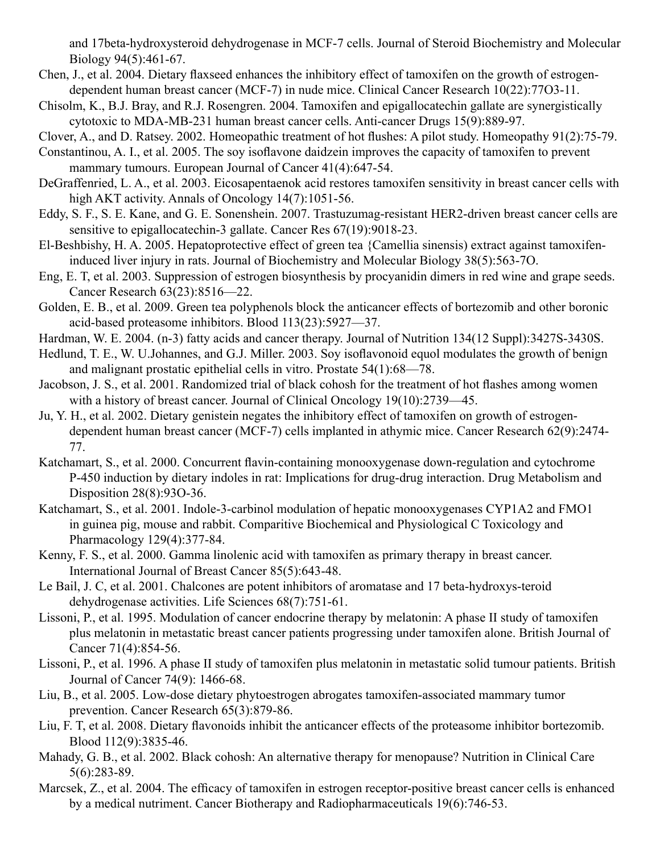and 17beta-hydroxysteroid dehydrogenase in MCF-7 cells. Journal of Steroid Biochemistry and Molecular Biology 94(5):461-67.

- Chen, J., et al. 2004. Dietary flaxseed enhances the inhibitory effect of tamoxifen on the growth of estrogendependent human breast cancer (MCF-7) in nude mice. Clinical Cancer Research 10(22):77O3-11.
- Chisolm, K., B.J. Bray, and R.J. Rosengren. 2004. Tamoxifen and epigallocatechin gallate are synergistically cytotoxic to MDA-MB-231 human breast cancer cells. Anti-cancer Drugs 15(9):889-97.

Clover, A., and D. Ratsey. 2002. Homeopathic treatment of hot flushes: A pilot study. Homeopathy 91(2):75-79.

Constantinou, A. I., et al. 2005. The soy isoflavone daidzein improves the capacity of tamoxifen to prevent mammary tumours. European Journal of Cancer 41(4):647-54.

- DeGraffenried, L. A., et al. 2003. Eicosapentaenok acid restores tamoxifen sensitivity in breast cancer cells with high AKT activity. Annals of Oncology 14(7):1051-56.
- Eddy, S. F., S. E. Kane, and G. E. Sonenshein. 2007. Trastuzumag-resistant HER2-driven breast cancer cells are sensitive to epigallocatechin-3 gallate. Cancer Res 67(19):9018-23.
- El-Beshbishy, H. A. 2005. Hepatoprotective effect of green tea {Camellia sinensis) extract against tamoxifeninduced liver injury in rats. Journal of Biochemistry and Molecular Biology 38(5):563-7O.
- Eng, E. T, et al. 2003. Suppression of estrogen biosynthesis by procyanidin dimers in red wine and grape seeds. Cancer Research 63(23):8516—22.
- Golden, E. B., et al. 2009. Green tea polyphenols block the anticancer effects of bortezomib and other boronic acid-based proteasome inhibitors. Blood 113(23):5927—37.
- Hardman, W. E. 2004. (n-3) fatty acids and cancer therapy. Journal of Nutrition 134(12 Suppl):3427S-3430S.
- Hedlund, T. E., W. U.Johannes, and G.J. Miller. 2003. Soy isoflavonoid equol modulates the growth of benign and malignant prostatic epithelial cells in vitro. Prostate 54(1):68—78.
- Jacobson, J. S., et al. 2001. Randomized trial of black cohosh for the treatment of hot flashes among women with a history of breast cancer. Journal of Clinical Oncology 19(10):2739—45.
- Ju, Y. H., et al. 2002. Dietary genistein negates the inhibitory effect of tamoxifen on growth of estrogendependent human breast cancer (MCF-7) cells implanted in athymic mice. Cancer Research 62(9):2474- 77.
- Katchamart, S., et al. 2000. Concurrent flavin-containing monooxygenase down-regulation and cytochrome P-450 induction by dietary indoles in rat: Implications for drug-drug interaction. Drug Metabolism and Disposition 28(8):93O-36.
- Katchamart, S., et al. 2001. Indole-3-carbinol modulation of hepatic monooxygenases CYP1A2 and FMO1 in guinea pig, mouse and rabbit. Comparitive Biochemical and Physiological C Toxicology and Pharmacology 129(4):377-84.
- Kenny, F. S., et al. 2000. Gamma linolenic acid with tamoxifen as primary therapy in breast cancer. International Journal of Breast Cancer 85(5):643-48.
- Le Bail, J. C, et al. 2001. Chalcones are potent inhibitors of aromatase and 17 beta-hydroxys-teroid dehydrogenase activities. Life Sciences 68(7):751-61.
- Lissoni, P., et al. 1995. Modulation of cancer endocrine therapy by melatonin: A phase II study of tamoxifen plus melatonin in metastatic breast cancer patients progressing under tamoxifen alone. British Journal of Cancer 71(4):854-56.
- Lissoni, P., et al. 1996. A phase II study of tamoxifen plus melatonin in metastatic solid tumour patients. British Journal of Cancer 74(9): 1466-68.
- Liu, B., et al. 2005. Low-dose dietary phytoestrogen abrogates tamoxifen-associated mammary tumor prevention. Cancer Research 65(3):879-86.
- Liu, F. T, et al. 2008. Dietary flavonoids inhibit the anticancer effects of the proteasome inhibitor bortezomib. Blood 112(9):3835-46.
- Mahady, G. B., et al. 2002. Black cohosh: An alternative therapy for menopause? Nutrition in Clinical Care 5(6):283-89.
- Marcsek, Z., et al. 2004. The efficacy of tamoxifen in estrogen receptor-positive breast cancer cells is enhanced by a medical nutriment. Cancer Biotherapy and Radiopharmaceuticals 19(6):746-53.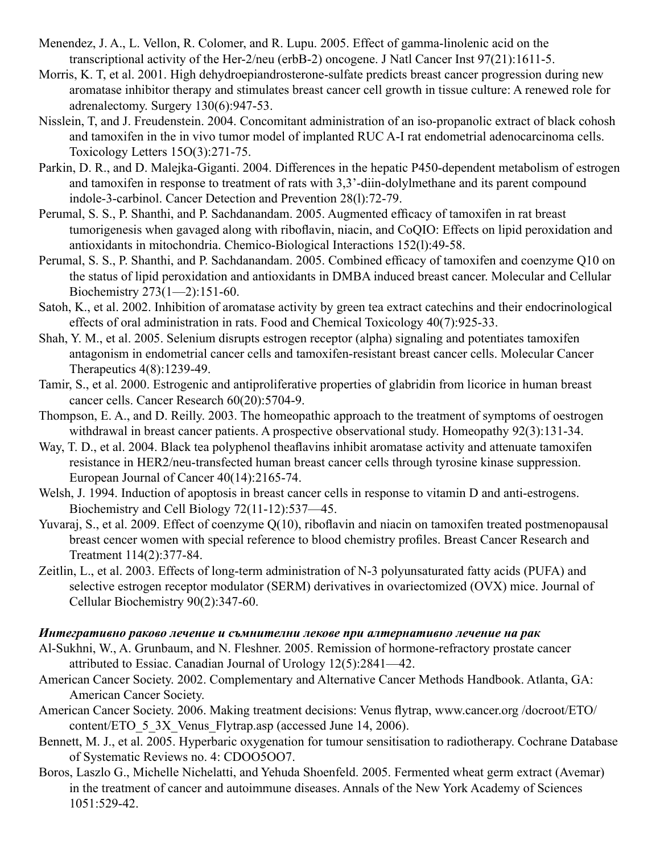- Menendez, J. A., L. Vellon, R. Colomer, and R. Lupu. 2005. Effect of gamma-linolenic acid on the transcriptional activity of the Her-2/neu (erbB-2) oncogene. J Natl Cancer Inst 97(21):1611-5.
- Morris, K. T, et al. 2001. High dehydroepiandrosterone-sulfate predicts breast cancer progression during new aromatase inhibitor therapy and stimulates breast cancer cell growth in tissue culture: A renewed role for adrenalectomy. Surgery 130(6):947-53.
- Nisslein, T, and J. Freudenstein. 2004. Concomitant administration of an iso-propanolic extract of black cohosh and tamoxifen in the in vivo tumor model of implanted RUC A-I rat endometrial adenocarcinoma cells. Toxicology Letters 15O(3):271-75.
- Parkin, D. R., and D. Malejka-Giganti. 2004. Differences in the hepatic P450-dependent metabolism of estrogen and tamoxifen in response to treatment of rats with 3,3'-diin-dolylmethane and its parent compound indole-3-carbinol. Cancer Detection and Prevention 28(l):72-79.
- Perumal, S. S., P. Shanthi, and P. Sachdanandam. 2005. Augmented efficacy of tamoxifen in rat breast tumorigenesis when gavaged along with riboflavin, niacin, and CoQIO: Effects on lipid peroxidation and antioxidants in mitochondria. Chemico-Biological Interactions 152(l):49-58.
- Perumal, S. S., P. Shanthi, and P. Sachdanandam. 2005. Combined efficacy of tamoxifen and coenzyme Q10 on the status of lipid peroxidation and antioxidants in DMBA induced breast cancer. Molecular and Cellular Biochemistry 273(1—2):151-60.
- Satoh, K., et al. 2002. Inhibition of aromatase activity by green tea extract catechins and their endocrinological effects of oral administration in rats. Food and Chemical Toxicology 40(7):925-33.
- Shah, Y. M., et al. 2005. Selenium disrupts estrogen receptor (alpha) signaling and potentiates tamoxifen antagonism in endometrial cancer cells and tamoxifen-resistant breast cancer cells. Molecular Cancer Therapeutics 4(8):1239-49.
- Tamir, S., et al. 2000. Estrogenic and antiproliferative properties of glabridin from licorice in human breast cancer cells. Cancer Research 60(20):5704-9.
- Thompson, E. A., and D. Reilly. 2003. The homeopathic approach to the treatment of symptoms of oestrogen withdrawal in breast cancer patients. A prospective observational study. Homeopathy 92(3):131-34.
- Way, T. D., et al. 2004. Black tea polyphenol theaflavins inhibit aromatase activity and attenuate tamoxifen resistance in HER2/neu-transfected human breast cancer cells through tyrosine kinase suppression. European Journal of Cancer 40(14):2165-74.
- Welsh, J. 1994. Induction of apoptosis in breast cancer cells in response to vitamin D and anti-estrogens. Biochemistry and Cell Biology 72(11-12):537—45.
- Yuvaraj, S., et al. 2009. Effect of coenzyme Q(10), riboflavin and niacin on tamoxifen treated postmenopausal breast cencer women with special reference to blood chemistry profiles. Breast Cancer Research and Treatment 114(2):377-84.
- Zeitlin, L., et al. 2003. Effects of long-term administration of N-3 polyunsaturated fatty acids (PUFA) and selective estrogen receptor modulator (SERM) derivatives in ovariectomized (OVX) mice. Journal of Cellular Biochemistry 90(2):347-60.

#### *Интегративно раково лечение и съмнителни лекове при алтернативно лечение на рак*

- Al-Sukhni, W., A. Grunbaum, and N. Fleshner. 2005. Remission of hormone-refractory prostate cancer attributed to Essiac. Canadian Journal of Urology 12(5):2841—42.
- American Cancer Society. 2002. Complementary and Alternative Cancer Methods Handbook. Atlanta, GA: American Cancer Society.
- American Cancer Society. 2006. Making treatment decisions: Venus flytrap, www.cancer.org /docroot/ETO/ content/ETO 5 3X Venus Flytrap.asp (accessed June 14, 2006).
- Bennett, M. J., et al. 2005. Hyperbaric oxygenation for tumour sensitisation to radiotherapy. Cochrane Database of Systematic Reviews no. 4: CDOO5OO7.
- Boros, Laszlo G., Michelle Nichelatti, and Yehuda Shoenfeld. 2005. Fermented wheat germ extract (Avemar) in the treatment of cancer and autoimmune diseases. Annals of the New York Academy of Sciences 1051:529-42.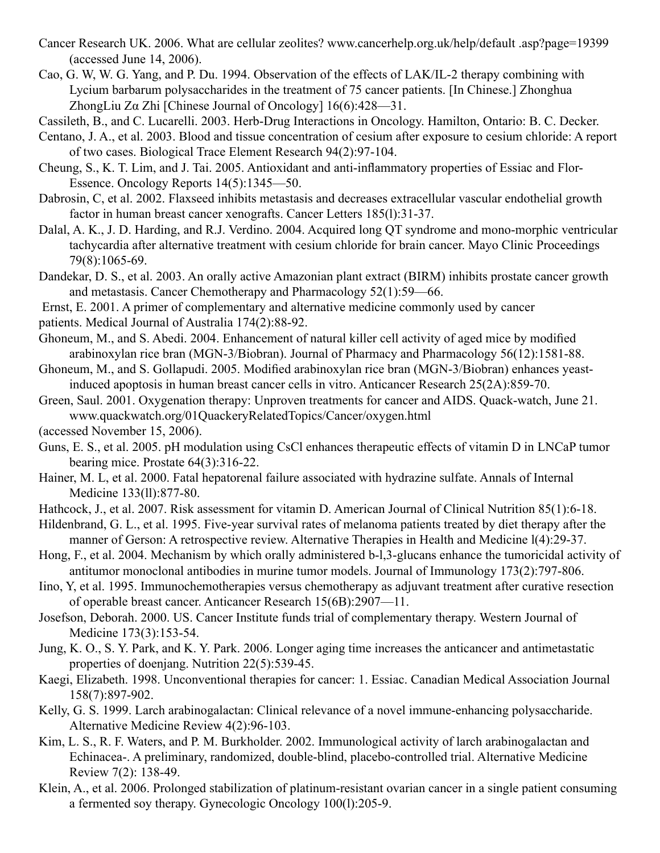- Cancer Research UK. 2006. What are cellular zeolites? www.cancerhelp.org.uk/help/default .asp?page=19399 (accessed June 14, 2006).
- Cao, G. W, W. G. Yang, and P. Du. 1994. Observation of the effects of LAK/IL-2 therapy combining with Lycium barbarum polysaccharides in the treatment of 75 cancer patients. [In Chinese.] Zhonghua ZhongLiu Zα Zhi [Chinese Journal of Oncology] 16(6):428—31.

Cassileth, B., and C. Lucarelli. 2003. Herb-Drug Interactions in Oncology. Hamilton, Ontario: B. C. Decker.

- Centano, J. A., et al. 2003. Blood and tissue concentration of cesium after exposure to cesium chloride: A report of two cases. Biological Trace Element Research 94(2):97-104.
- Cheung, S., K. T. Lim, and J. Tai. 2005. Antioxidant and anti-inflammatory properties of Essiac and Flor-Essence. Oncology Reports 14(5):1345—50.
- Dabrosin, C, et al. 2002. Flaxseed inhibits metastasis and decreases extracellular vascular endothelial growth factor in human breast cancer xenografts. Cancer Letters 185(l):31-37.
- Dalal, A. K., J. D. Harding, and R.J. Verdino. 2004. Acquired long QT syndrome and mono-morphic ventricular tachycardia after alternative treatment with cesium chloride for brain cancer. Mayo Clinic Proceedings 79(8):1065-69.
- Dandekar, D. S., et al. 2003. An orally active Amazonian plant extract (BIRM) inhibits prostate cancer growth and metastasis. Cancer Chemotherapy and Pharmacology 52(1):59—66.
- Ernst, E. 2001. A primer of complementary and alternative medicine commonly used by cancer
- patients. Medical Journal of Australia 174(2):88-92.
- Ghoneum, M., and S. Abedi. 2004. Enhancement of natural killer cell activity of aged mice by modified arabinoxylan rice bran (MGN-3/Biobran). Journal of Pharmacy and Pharmacology 56(12):1581-88.
- Ghoneum, M., and S. Gollapudi. 2005. Modified arabinoxylan rice bran (MGN-3/Biobran) enhances yeastinduced apoptosis in human breast cancer cells in vitro. Anticancer Research 25(2A):859-70.
- Green, Saul. 2001. Oxygenation therapy: Unproven treatments for cancer and AIDS. Quack-watch, June 21. www.quackwatch.org/01QuackeryRelatedTopics/Cancer/oxygen.html
- (accessed November 15, 2006).
- Guns, E. S., et al. 2005. pH modulation using CsCl enhances therapeutic effects of vitamin D in LNCaP tumor bearing mice. Prostate 64(3):316-22.
- Hainer, M. L, et al. 2000. Fatal hepatorenal failure associated with hydrazine sulfate. Annals of Internal Medicine 133(ll):877-80.
- Hathcock, J., et al. 2007. Risk assessment for vitamin D. American Journal of Clinical Nutrition 85(1):6-18.
- Hildenbrand, G. L., et al. 1995. Five-year survival rates of melanoma patients treated by diet therapy after the manner of Gerson: A retrospective review. Alternative Therapies in Health and Medicine l(4):29-37.
- Hong, F., et al. 2004. Mechanism by which orally administered b-l,3-glucans enhance the tumoricidal activity of antitumor monoclonal antibodies in murine tumor models. Journal of Immunology 173(2):797-806.
- Iino, Y, et al. 1995. Immunochemotherapies versus chemotherapy as adjuvant treatment after curative resection of operable breast cancer. Anticancer Research 15(6B):2907—11.
- Josefson, Deborah. 2000. US. Cancer Institute funds trial of complementary therapy. Western Journal of Medicine 173(3):153-54.
- Jung, K. O., S. Y. Park, and K. Y. Park. 2006. Longer aging time increases the anticancer and antimetastatic properties of doenjang. Nutrition 22(5):539-45.
- Kaegi, Elizabeth. 1998. Unconventional therapies for cancer: 1. Essiac. Canadian Medical Association Journal 158(7):897-902.
- Kelly, G. S. 1999. Larch arabinogalactan: Clinical relevance of a novel immune-enhancing polysaccharide. Alternative Medicine Review 4(2):96-103.
- Kim, L. S., R. F. Waters, and P. M. Burkholder. 2002. Immunological activity of larch arabinogalactan and Echinacea-. A preliminary, randomized, double-blind, placebo-controlled trial. Alternative Medicine Review 7(2): 138-49.
- Klein, A., et al. 2006. Prolonged stabilization of platinum-resistant ovarian cancer in a single patient consuming a fermented soy therapy. Gynecologic Oncology 100(l):205-9.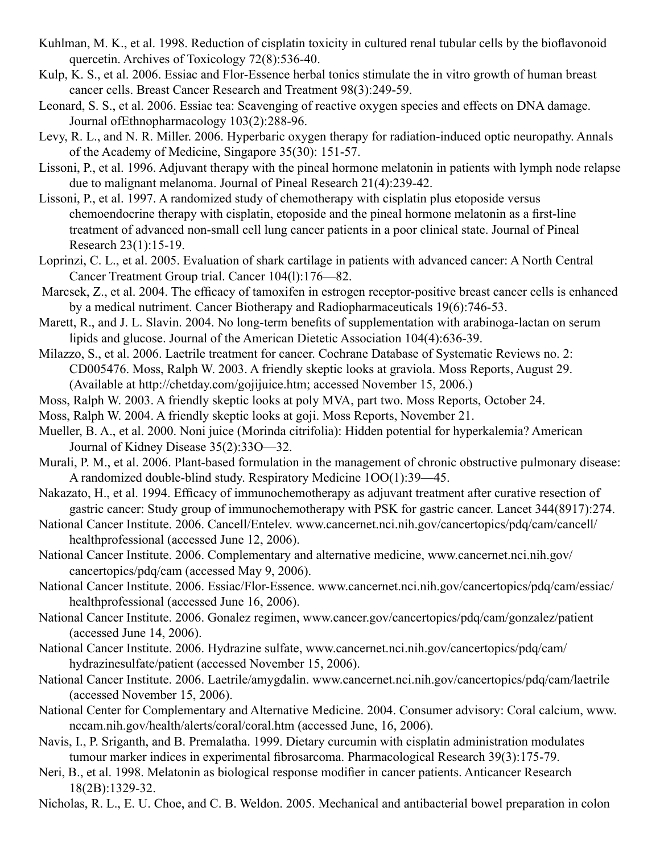- Kuhlman, M. K., et al. 1998. Reduction of cisplatin toxicity in cultured renal tubular cells by the bioflavonoid quercetin. Archives of Toxicology 72(8):536-40.
- Kulp, K. S., et al. 2006. Essiac and Flor-Essence herbal tonics stimulate the in vitro growth of human breast cancer cells. Breast Cancer Research and Treatment 98(3):249-59.
- Leonard, S. S., et al. 2006. Essiac tea: Scavenging of reactive oxygen species and effects on DNA damage. Journal ofEthnopharmacology 103(2):288-96.
- Levy, R. L., and N. R. Miller. 2006. Hyperbaric oxygen therapy for radiation-induced optic neuropathy. Annals of the Academy of Medicine, Singapore 35(30): 151-57.
- Lissoni, P., et al. 1996. Adjuvant therapy with the pineal hormone melatonin in patients with lymph node relapse due to malignant melanoma. Journal of Pineal Research 21(4):239-42.
- Lissoni, P., et al. 1997. A randomized study of chemotherapy with cisplatin plus etoposide versus chemoendocrine therapy with cisplatin, etoposide and the pineal hormone melatonin as a first-line treatment of advanced non-small cell lung cancer patients in a poor clinical state. Journal of Pineal Research 23(1):15-19.
- Loprinzi, C. L., et al. 2005. Evaluation of shark cartilage in patients with advanced cancer: A North Central Cancer Treatment Group trial. Cancer 104(l):176—82.
- Marcsek, Z., et al. 2004. The efficacy of tamoxifen in estrogen receptor-positive breast cancer cells is enhanced by a medical nutriment. Cancer Biotherapy and Radiopharmaceuticals 19(6):746-53.
- Marett, R., and J. L. Slavin. 2004. No long-term benefits of supplementation with arabinoga-lactan on serum lipids and glucose. Journal of the American Dietetic Association 104(4):636-39.
- Milazzo, S., et al. 2006. Laetrile treatment for cancer. Cochrane Database of Systematic Reviews no. 2: CD005476. Moss, Ralph W. 2003. A friendly skeptic looks at graviola. Moss Reports, August 29. (Available at http://chetday.com/gojijuice.htm; accessed November 15, 2006.)
- Moss, Ralph W. 2003. A friendly skeptic looks at poly MVA, part two. Moss Reports, October 24.
- Moss, Ralph W. 2004. A friendly skeptic looks at goji. Moss Reports, November 21.
- Mueller, B. A., et al. 2000. Noni juice (Morinda citrifolia): Hidden potential for hyperkalemia? American Journal of Kidney Disease 35(2):33O—32.
- Murali, P. M., et al. 2006. Plant-based formulation in the management of chronic obstructive pulmonary disease: A randomized double-blind study. Respiratory Medicine 1OO(1):39—45.
- Nakazato, H., et al. 1994. Efficacy of immunochemotherapy as adjuvant treatment after curative resection of gastric cancer: Study group of immunochemotherapy with PSK for gastric cancer. Lancet 344(8917):274.
- National Cancer Institute. 2006. Cancell/Entelev. www.cancernet.nci.nih.gov/cancertopics/pdq/cam/cancell/ healthprofessional (accessed June 12, 2006).
- National Cancer Institute. 2006. Complementary and alternative medicine, www.cancernet.nci.nih.gov/ cancertopics/pdq/cam (accessed May 9, 2006).
- National Cancer Institute. 2006. Essiac/Flor-Essence. www.cancernet.nci.nih.gov/cancertopics/pdq/cam/essiac/ healthprofessional (accessed June 16, 2006).
- National Cancer Institute. 2006. Gonalez regimen, www.cancer.gov/cancertopics/pdq/cam/gonzalez/patient (accessed June 14, 2006).
- National Cancer Institute. 2006. Hydrazine sulfate, www.cancernet.nci.nih.gov/cancertopics/pdq/cam/ hydrazinesulfate/patient (accessed November 15, 2006).
- National Cancer Institute. 2006. Laetrile/amygdalin. www.cancernet.nci.nih.gov/cancertopics/pdq/cam/laetrile (accessed November 15, 2006).
- National Center for Complementary and Alternative Medicine. 2004. Consumer advisory: Coral calcium, www. nccam.nih.gov/health/alerts/coral/coral.htm (accessed June, 16, 2006).
- Navis, I., P. Sriganth, and B. Premalatha. 1999. Dietary curcumin with cisplatin administration modulates tumour marker indices in experimental fibrosarcoma. Pharmacological Research 39(3):175-79.
- Neri, B., et al. 1998. Melatonin as biological response modifier in cancer patients. Anticancer Research 18(2B):1329-32.
- Nicholas, R. L., E. U. Choe, and C. B. Weldon. 2005. Mechanical and antibacterial bowel preparation in colon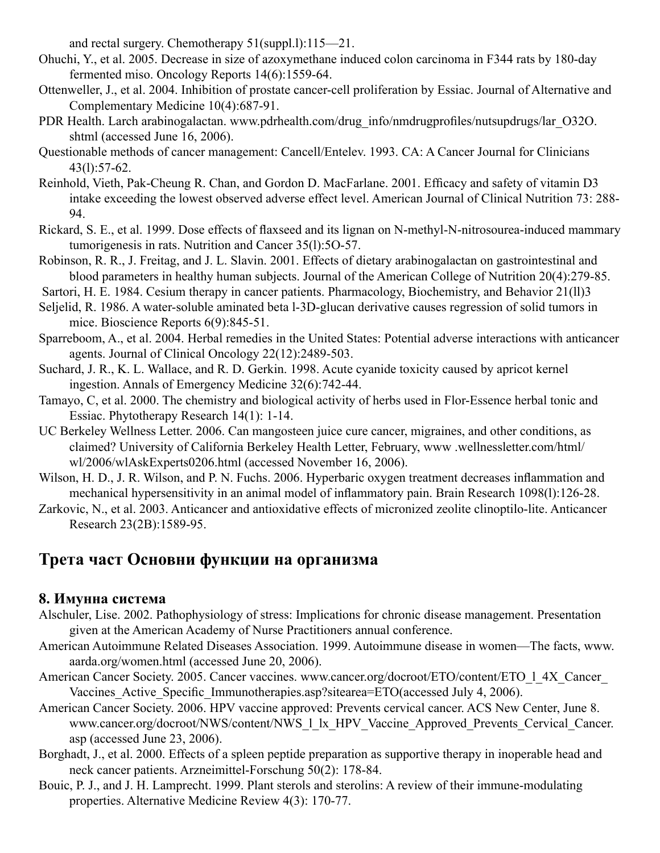and rectal surgery. Chemotherapy 51(suppl.l):115—21.

- Ohuchi, Y., et al. 2005. Decrease in size of azoxymethane induced colon carcinoma in F344 rats by 180-day fermented miso. Oncology Reports 14(6):1559-64.
- Ottenweller, J., et al. 2004. Inhibition of prostate cancer-cell proliferation by Essiac. Journal of Alternative and Complementary Medicine 10(4):687-91.
- PDR Health. Larch arabinogalactan. www.pdrhealth.com/drug\_info/nmdrugprofiles/nutsupdrugs/lar\_O32O. shtml (accessed June 16, 2006).
- Questionable methods of cancer management: Cancell/Entelev. 1993. CA: A Cancer Journal for Clinicians 43(l):57-62.
- Reinhold, Vieth, Pak-Cheung R. Chan, and Gordon D. MacFarlane. 2001. Efficacy and safety of vitamin D3 intake exceeding the lowest observed adverse effect level. American Journal of Clinical Nutrition 73: 288- 94.
- Rickard, S. E., et al. 1999. Dose effects of flaxseed and its lignan on N-methyl-N-nitrosourea-induced mammary tumorigenesis in rats. Nutrition and Cancer 35(l):5O-57.
- Robinson, R. R., J. Freitag, and J. L. Slavin. 2001. Effects of dietary arabinogalactan on gastrointestinal and blood parameters in healthy human subjects. Journal of the American College of Nutrition 20(4):279-85.
- Sartori, H. E. 1984. Cesium therapy in cancer patients. Pharmacology, Biochemistry, and Behavior 21(ll)3
- Seljelid, R. 1986. A water-soluble aminated beta l-3D-glucan derivative causes regression of solid tumors in mice. Bioscience Reports 6(9):845-51.
- Sparreboom, A., et al. 2004. Herbal remedies in the United States: Potential adverse interactions with anticancer agents. Journal of Clinical Oncology 22(12):2489-503.
- Suchard, J. R., K. L. Wallace, and R. D. Gerkin. 1998. Acute cyanide toxicity caused by apricot kernel ingestion. Annals of Emergency Medicine 32(6):742-44.
- Tamayo, C, et al. 2000. The chemistry and biological activity of herbs used in Flor-Essence herbal tonic and Essiac. Phytotherapy Research 14(1): 1-14.
- UC Berkeley Wellness Letter. 2006. Can mangosteen juice cure cancer, migraines, and other conditions, as claimed? University of California Berkeley Health Letter, February, www .wellnessletter.com/html/ wl/2006/wlAskExperts0206.html (accessed November 16, 2006).
- Wilson, H. D., J. R. Wilson, and P. N. Fuchs. 2006. Hyperbaric oxygen treatment decreases inflammation and mechanical hypersensitivity in an animal model of inflammatory pain. Brain Research 1098(l):126-28.
- Zarkovic, N., et al. 2003. Anticancer and antioxidative effects of micronized zeolite clinoptilo-lite. Anticancer Research 23(2B):1589-95.

# **Трета част Основни функции на организма**

# **8. Имунна система**

- Alschuler, Lise. 2002. Pathophysiology of stress: Implications for chronic disease management. Presentation given at the American Academy of Nurse Practitioners annual conference.
- American Autoimmune Related Diseases Association. 1999. Autoimmune disease in women—The facts, www. aarda.org/women.html (accessed June 20, 2006).
- American Cancer Society. 2005. Cancer vaccines. www.cancer.org/docroot/ETO/content/ETO 1 4X Cancer Vaccines Active Specific Immunotherapies.asp?sitearea=ETO(accessed July 4, 2006).
- American Cancer Society. 2006. HPV vaccine approved: Prevents cervical cancer. ACS New Center, June 8. www.cancer.org/docroot/NWS/content/NWS\_1\_lx\_HPV\_Vaccine\_Approved\_Prevents\_Cervical\_Cancer. asp (accessed June 23, 2006).
- Borghadt, J., et al. 2000. Effects of a spleen peptide preparation as supportive therapy in inoperable head and neck cancer patients. Arzneimittel-Forschung 50(2): 178-84.
- Bouic, P. J., and J. H. Lamprecht. 1999. Plant sterols and sterolins: A review of their immune-modulating properties. Alternative Medicine Review 4(3): 170-77.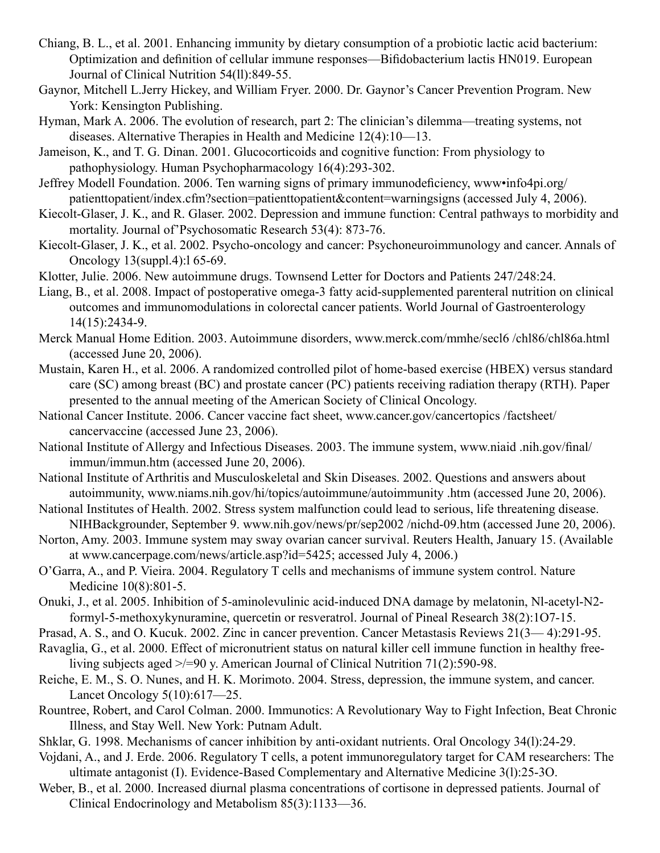- Chiang, B. L., et al. 2001. Enhancing immunity by dietary consumption of a probiotic lactic acid bacterium: Optimization and definition of cellular immune responses—Bifidobacterium lactis HN019. European Journal of Clinical Nutrition 54(ll):849-55.
- Gaynor, Mitchell L.Jerry Hickey, and William Fryer. 2000. Dr. Gaynor's Cancer Prevention Program. New York: Kensington Publishing.
- Hyman, Mark A. 2006. The evolution of research, part 2: The clinician's dilemma—treating systems, not diseases. Alternative Therapies in Health and Medicine 12(4):10—13.
- Jameison, K., and T. G. Dinan. 2001. Glucocorticoids and cognitive function: From physiology to pathophysiology. Human Psychopharmacology 16(4):293-302.
- Jeffrey Modell Foundation. 2006. Ten warning signs of primary immunodeficiency, www•info4pi.org/ patienttopatient/index.cfm?section=patienttopatient&content=warningsigns (accessed July 4, 2006).
- Kiecolt-Glaser, J. K., and R. Glaser. 2002. Depression and immune function: Central pathways to morbidity and mortality. Journal of'Psychosomatic Research 53(4): 873-76.
- Kiecolt-Glaser, J. K., et al. 2002. Psycho-oncology and cancer: Psychoneuroimmunology and cancer. Annals of Oncology 13(suppl.4):l 65-69.
- Klotter, Julie. 2006. New autoimmune drugs. Townsend Letter for Doctors and Patients 247/248:24.
- Liang, B., et al. 2008. Impact of postoperative omega-3 fatty acid-supplemented parenteral nutrition on clinical outcomes and immunomodulations in colorectal cancer patients. World Journal of Gastroenterology 14(15):2434-9.
- Merck Manual Home Edition. 2003. Autoimmune disorders, www.merck.com/mmhe/secl6 /chl86/chl86a.html (accessed June 20, 2006).
- Mustain, Karen H., et al. 2006. A randomized controlled pilot of home-based exercise (HBEX) versus standard care (SC) among breast (BC) and prostate cancer (PC) patients receiving radiation therapy (RTH). Paper presented to the annual meeting of the American Society of Clinical Oncology.
- National Cancer Institute. 2006. Cancer vaccine fact sheet, www.cancer.gov/cancertopics /factsheet/ cancervaccine (accessed June 23, 2006).
- National Institute of Allergy and Infectious Diseases. 2003. The immune system, www.niaid .nih.gov/final/ immun/immun.htm (accessed June 20, 2006).
- National Institute of Arthritis and Musculoskeletal and Skin Diseases. 2002. Questions and answers about autoimmunity, www.niams.nih.gov/hi/topics/autoimmune/autoimmunity .htm (accessed June 20, 2006).
- National Institutes of Health. 2002. Stress system malfunction could lead to serious, life threatening disease. NIHBackgrounder, September 9. www.nih.gov/news/pr/sep2002 /nichd-09.htm (accessed June 20, 2006).
- Norton, Amy. 2003. Immune system may sway ovarian cancer survival. Reuters Health, January 15. (Available at www.cancerpage.com/news/article.asp?id=5425; accessed July 4, 2006.)
- O'Garra, A., and P. Vieira. 2004. Regulatory T cells and mechanisms of immune system control. Nature Medicine 10(8):801-5.
- Onuki, J., et al. 2005. Inhibition of 5-aminolevulinic acid-induced DNA damage by melatonin, Nl-acetyl-N2 formyl-5-methoxykynuramine, quercetin or resveratrol. Journal of Pineal Research 38(2):1O7-15.
- Prasad, A. S., and O. Kucuk. 2002. Zinc in cancer prevention. Cancer Metastasis Reviews 21(3— 4):291-95.
- Ravaglia, G., et al. 2000. Effect of micronutrient status on natural killer cell immune function in healthy freeliving subjects aged >/=90 y. American Journal of Clinical Nutrition 71(2):590-98.
- Reiche, E. M., S. O. Nunes, and H. K. Morimoto. 2004. Stress, depression, the immune system, and cancer. Lancet Oncology 5(10):617—25.
- Rountree, Robert, and Carol Colman. 2000. Immunotics: A Revolutionary Way to Fight Infection, Beat Chronic Illness, and Stay Well. New York: Putnam Adult.
- Shklar, G. 1998. Mechanisms of cancer inhibition by anti-oxidant nutrients. Oral Oncology 34(l):24-29.
- Vojdani, A., and J. Erde. 2006. Regulatory T cells, a potent immunoregulatory target for CAM researchers: The ultimate antagonist (I). Evidence-Based Complementary and Alternative Medicine 3(l):25-3O.
- Weber, B., et al. 2000. Increased diurnal plasma concentrations of cortisone in depressed patients. Journal of Clinical Endocrinology and Metabolism 85(3):1133—36.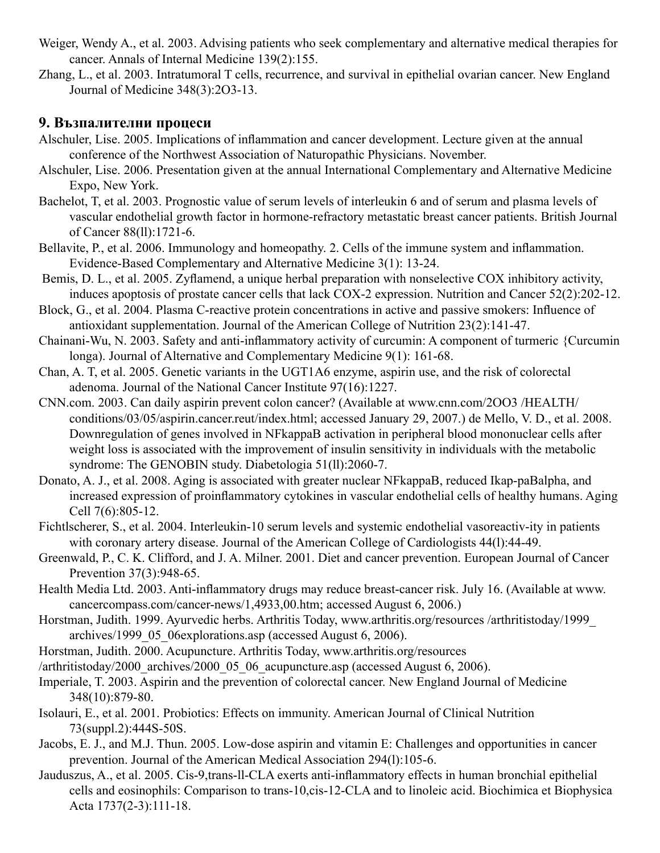- Weiger, Wendy A., et al. 2003. Advising patients who seek complementary and alternative medical therapies for cancer. Annals of Internal Medicine 139(2):155.
- Zhang, L., et al. 2003. Intratumoral T cells, recurrence, and survival in epithelial ovarian cancer. New England Journal of Medicine 348(3):2O3-13.

# **9. Възпалителни процеси**

- Alschuler, Lise. 2005. Implications of inflammation and cancer development. Lecture given at the annual conference of the Northwest Association of Naturopathic Physicians. November.
- Alschuler, Lise. 2006. Presentation given at the annual International Complementary and Alternative Medicine Expo, New York.
- Bachelot, T, et al. 2003. Prognostic value of serum levels of interleukin 6 and of serum and plasma levels of vascular endothelial growth factor in hormone-refractory metastatic breast cancer patients. British Journal of Cancer 88(ll):1721-6.
- Bellavite, P., et al. 2006. Immunology and homeopathy. 2. Cells of the immune system and inflammation. Evidence-Based Complementary and Alternative Medicine 3(1): 13-24.
- Bemis, D. L., et al. 2005. Zyflamend, a unique herbal preparation with nonselective COX inhibitory activity, induces apoptosis of prostate cancer cells that lack COX-2 expression. Nutrition and Cancer 52(2):202-12.
- Block, G., et al. 2004. Plasma C-reactive protein concentrations in active and passive smokers: Influence of antioxidant supplementation. Journal of the American College of Nutrition 23(2):141-47.
- Chainani-Wu, N. 2003. Safety and anti-inflammatory activity of curcumin: A component of turmeric {Curcumin longa). Journal of Alternative and Complementary Medicine 9(1): 161-68.
- Chan, A. T, et al. 2005. Genetic variants in the UGT1A6 enzyme, aspirin use, and the risk of colorectal adenoma. Journal of the National Cancer Institute 97(16):1227.
- CNN.com. 2003. Can daily aspirin prevent colon cancer? (Available at www.cnn.com/2OO3 /HEALTH/ conditions/03/05/aspirin.cancer.reut/index.html; accessed January 29, 2007.) de Mello, V. D., et al. 2008. Downregulation of genes involved in NFkappaB activation in peripheral blood mononuclear cells after weight loss is associated with the improvement of insulin sensitivity in individuals with the metabolic syndrome: The GENOBIN study. Diabetologia 51(ll):2060-7.
- Donato, A. J., et al. 2008. Aging is associated with greater nuclear NFkappaB, reduced Ikap-paBalpha, and increased expression of proinflammatory cytokines in vascular endothelial cells of healthy humans. Aging Cell 7(6):805-12.
- Fichtlscherer, S., et al. 2004. Interleukin-10 serum levels and systemic endothelial vasoreactiv-ity in patients with coronary artery disease. Journal of the American College of Cardiologists 44(l):44-49.
- Greenwald, P., C. K. Clifford, and J. A. Milner. 2001. Diet and cancer prevention. European Journal of Cancer Prevention 37(3):948-65.
- Health Media Ltd. 2003. Anti-inflammatory drugs may reduce breast-cancer risk. July 16. (Available at www. cancercompass.com/cancer-news/1,4933,00.htm; accessed August 6, 2006.)
- Horstman, Judith. 1999. Ayurvedic herbs. Arthritis Today, www.arthritis.org/resources /arthritistoday/1999\_ archives/1999\_05\_06explorations.asp (accessed August 6, 2006).
- Horstman, Judith. 2000. Acupuncture. Arthritis Today, www.arthritis.org/resources
- /arthritistoday/2000\_archives/2000\_05\_06\_acupuncture.asp (accessed August 6, 2006).
- Imperiale, T. 2003. Aspirin and the prevention of colorectal cancer. New England Journal of Medicine 348(10):879-80.
- Isolauri, E., et al. 2001. Probiotics: Effects on immunity. American Journal of Clinical Nutrition 73(suppl.2):444S-50S.
- Jacobs, E. J., and M.J. Thun. 2005. Low-dose aspirin and vitamin E: Challenges and opportunities in cancer prevention. Journal of the American Medical Association 294(l):105-6.
- Jauduszus, A., et al. 2005. Cis-9,trans-ll-CLA exerts anti-inflammatory effects in human bronchial epithelial cells and eosinophils: Comparison to trans-10,cis-12-CLA and to linoleic acid. Biochimica et Biophysica Acta 1737(2-3):111-18.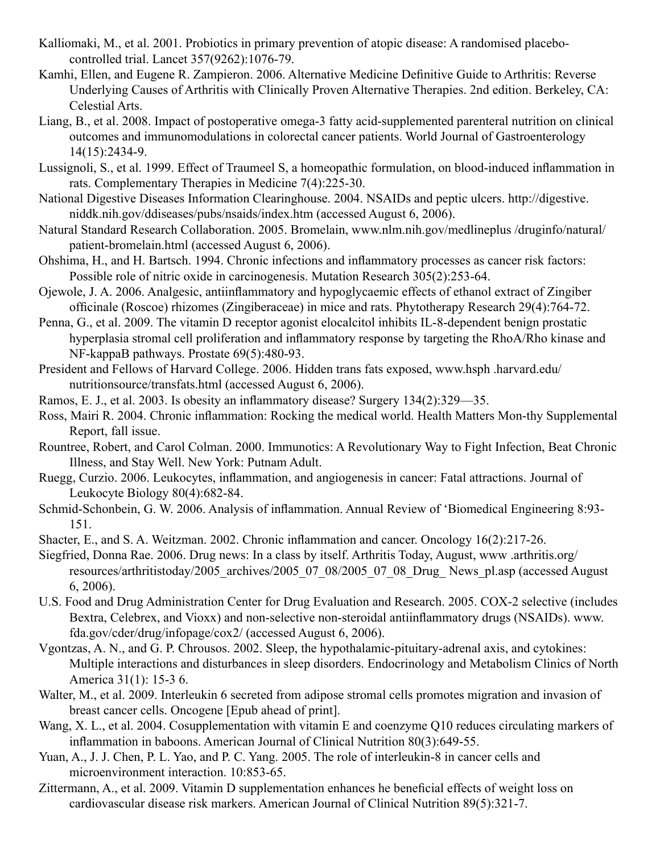- Kalliomaki, M., et al. 2001. Probiotics in primary prevention of atopic disease: A randomised placebocontrolled trial. Lancet 357(9262):1076-79.
- Kamhi, Ellen, and Eugene R. Zampieron. 2006. Alternative Medicine Definitive Guide to Arthritis: Reverse Underlying Causes of Arthritis with Clinically Proven Alternative Therapies. 2nd edition. Berkeley, CA: Celestial Arts.
- Liang, B., et al. 2008. Impact of postoperative omega-3 fatty acid-supplemented parenteral nutrition on clinical outcomes and immunomodulations in colorectal cancer patients. World Journal of Gastroenterology 14(15):2434-9.
- Lussignoli, S., et al. 1999. Effect of Traumeel S, a homeopathic formulation, on blood-induced inflammation in rats. Complementary Therapies in Medicine 7(4):225-30.
- National Digestive Diseases Information Clearinghouse. 2004. NSAIDs and peptic ulcers. http://digestive. niddk.nih.gov/ddiseases/pubs/nsaids/index.htm (accessed August 6, 2006).
- Natural Standard Research Collaboration. 2005. Bromelain, www.nlm.nih.gov/medlineplus /druginfo/natural/ patient-bromelain.html (accessed August 6, 2006).
- Ohshima, H., and H. Bartsch. 1994. Chronic infections and inflammatory processes as cancer risk factors: Possible role of nitric oxide in carcinogenesis. Mutation Research 305(2):253-64.
- Ojewole, J. A. 2006. Analgesic, antiinflammatory and hypoglycaemic effects of ethanol extract of Zingiber officinale (Roscoe) rhizomes (Zingiberaceae) in mice and rats. Phytotherapy Research 29(4):764-72.
- Penna, G., et al. 2009. The vitamin D receptor agonist elocalcitol inhibits IL-8-dependent benign prostatic hyperplasia stromal cell proliferation and inflammatory response by targeting the RhoA/Rho kinase and NF-kappaB pathways. Prostate 69(5):480-93.
- President and Fellows of Harvard College. 2006. Hidden trans fats exposed, www.hsph .harvard.edu/ nutritionsource/transfats.html (accessed August 6, 2006).
- Ramos, E. J., et al. 2003. Is obesity an inflammatory disease? Surgery 134(2):329—35.
- Ross, Mairi R. 2004. Chronic inflammation: Rocking the medical world. Health Matters Mon-thy Supplemental Report, fall issue.
- Rountree, Robert, and Carol Colman. 2000. Immunotics: A Revolutionary Way to Fight Infection, Beat Chronic Illness, and Stay Well. New York: Putnam Adult.
- Ruegg, Curzio. 2006. Leukocytes, inflammation, and angiogenesis in cancer: Fatal attractions. Journal of Leukocyte Biology 80(4):682-84.
- Schmid-Schonbein, G. W. 2006. Analysis of inflammation. Annual Review of 'Biomedical Engineering 8:93- 151.
- Shacter, E., and S. A. Weitzman. 2002. Chronic inflammation and cancer. Oncology 16(2):217-26.
- Siegfried, Donna Rae. 2006. Drug news: In a class by itself. Arthritis Today, August, www .arthritis.org/ resources/arthritistoday/2005\_archives/2005\_07\_08/2005\_07\_08\_Drug\_ News\_pl.asp (accessed August 6, 2006).
- U.S. Food and Drug Administration Center for Drug Evaluation and Research. 2005. COX-2 selective (includes Bextra, Celebrex, and Vioxx) and non-selective non-steroidal antiinflammatory drugs (NSAIDs). www. fda.gov/cder/drug/infopage/cox2/ (accessed August 6, 2006).
- Vgontzas, A. N., and G. P. Chrousos. 2002. Sleep, the hypothalamic-pituitary-adrenal axis, and cytokines: Multiple interactions and disturbances in sleep disorders. Endocrinology and Metabolism Clinics of North America 31(1): 15-3 6.
- Walter, M., et al. 2009. Interleukin 6 secreted from adipose stromal cells promotes migration and invasion of breast cancer cells. Oncogene [Epub ahead of print].
- Wang, X. L., et al. 2004. Cosupplementation with vitamin E and coenzyme Q10 reduces circulating markers of inflammation in baboons. American Journal of Clinical Nutrition 80(3):649-55.
- Yuan, A., J. J. Chen, P. L. Yao, and P. C. Yang. 2005. The role of interleukin-8 in cancer cells and microenvironment interaction. 10:853-65.
- Zittermann, A., et al. 2009. Vitamin D supplementation enhances he beneficial effects of weight loss on cardiovascular disease risk markers. American Journal of Clinical Nutrition 89(5):321-7.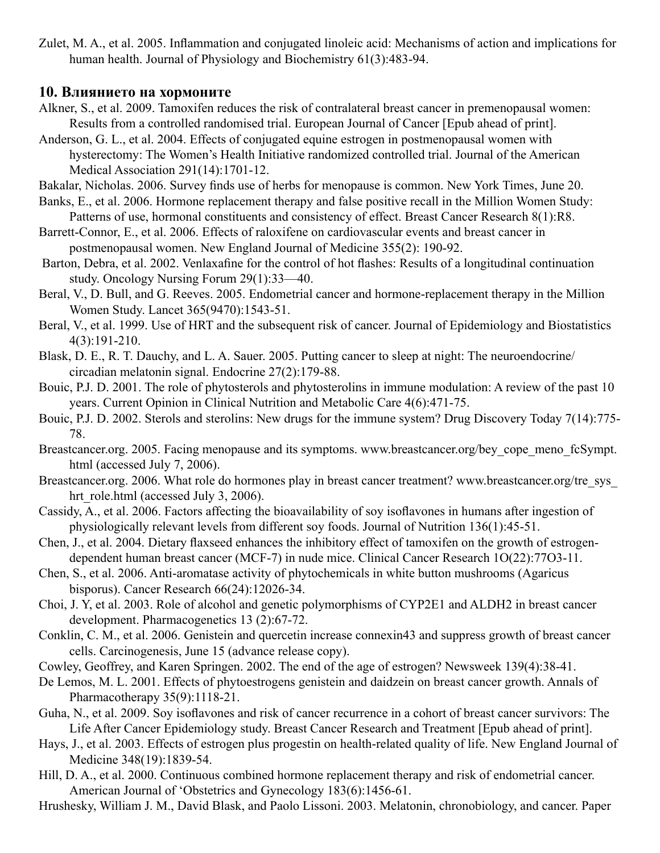Zulet, M. A., et al. 2005. Inflammation and conjugated linoleic acid: Mechanisms of action and implications for human health. Journal of Physiology and Biochemistry 61(3):483-94.

#### **10. Влиянието на хормоните**

- Alkner, S., et al. 2009. Tamoxifen reduces the risk of contralateral breast cancer in premenopausal women: Results from a controlled randomised trial. European Journal of Cancer [Epub ahead of print].
- Anderson, G. L., et al. 2004. Effects of conjugated equine estrogen in postmenopausal women with hysterectomy: The Women's Health Initiative randomized controlled trial. Journal of the American Medical Association 291(14):1701-12.

Bakalar, Nicholas. 2006. Survey finds use of herbs for menopause is common. New York Times, June 20.

- Banks, E., et al. 2006. Hormone replacement therapy and false positive recall in the Million Women Study: Patterns of use, hormonal constituents and consistency of effect. Breast Cancer Research 8(1):R8.
- Barrett-Connor, E., et al. 2006. Effects of raloxifene on cardiovascular events and breast cancer in postmenopausal women. New England Journal of Medicine 355(2): 190-92.
- Barton, Debra, et al. 2002. Venlaxafine for the control of hot flashes: Results of a longitudinal continuation study. Oncology Nursing Forum 29(1):33—40.
- Beral, V., D. Bull, and G. Reeves. 2005. Endometrial cancer and hormone-replacement therapy in the Million Women Study. Lancet 365(9470):1543-51.
- Beral, V., et al. 1999. Use of HRT and the subsequent risk of cancer. Journal of Epidemiology and Biostatistics 4(3):191-210.
- Blask, D. E., R. T. Dauchy, and L. A. Sauer. 2005. Putting cancer to sleep at night: The neuroendocrine/ circadian melatonin signal. Endocrine 27(2):179-88.
- Bouic, P.J. D. 2001. The role of phytosterols and phytosterolins in immune modulation: A review of the past 10 years. Current Opinion in Clinical Nutrition and Metabolic Care 4(6):471-75.
- Bouic, P.J. D. 2002. Sterols and sterolins: New drugs for the immune system? Drug Discovery Today 7(14):775- 78.
- Breastcancer.org. 2005. Facing menopause and its symptoms. www.breastcancer.org/bey\_cope\_meno\_fcSympt. html (accessed July 7, 2006).
- Breastcancer.org. 2006. What role do hormones play in breast cancer treatment? www.breastcancer.org/tre\_sys hrt\_role.html (accessed July 3, 2006).
- Cassidy, A., et al. 2006. Factors affecting the bioavailability of soy isoflavones in humans after ingestion of physiologically relevant levels from different soy foods. Journal of Nutrition 136(1):45-51.
- Chen, J., et al. 2004. Dietary flaxseed enhances the inhibitory effect of tamoxifen on the growth of estrogendependent human breast cancer (MCF-7) in nude mice. Clinical Cancer Research 1O(22):77O3-11.
- Chen, S., et al. 2006. Anti-aromatase activity of phytochemicals in white button mushrooms (Agaricus bisporus). Cancer Research 66(24):12026-34.
- Choi, J. Y, et al. 2003. Role of alcohol and genetic polymorphisms of CYP2E1 and ALDH2 in breast cancer development. Pharmacogenetics 13 (2):67-72.
- Conklin, C. M., et al. 2006. Genistein and quercetin increase connexin43 and suppress growth of breast cancer cells. Carcinogenesis, June 15 (advance release copy).
- Cowley, Geoffrey, and Karen Springen. 2002. The end of the age of estrogen? Newsweek 139(4):38-41.
- De Lemos, M. L. 2001. Effects of phytoestrogens genistein and daidzein on breast cancer growth. Annals of Pharmacotherapy 35(9):1118-21.
- Guha, N., et al. 2009. Soy isoflavones and risk of cancer recurrence in a cohort of breast cancer survivors: The Life After Cancer Epidemiology study. Breast Cancer Research and Treatment [Epub ahead of print].
- Hays, J., et al. 2003. Effects of estrogen plus progestin on health-related quality of life. New England Journal of Medicine 348(19):1839-54.
- Hill, D. A., et al. 2000. Continuous combined hormone replacement therapy and risk of endometrial cancer. American Journal of 'Obstetrics and Gynecology 183(6):1456-61.
- Hrushesky, William J. M., David Blask, and Paolo Lissoni. 2003. Melatonin, chronobiology, and cancer. Paper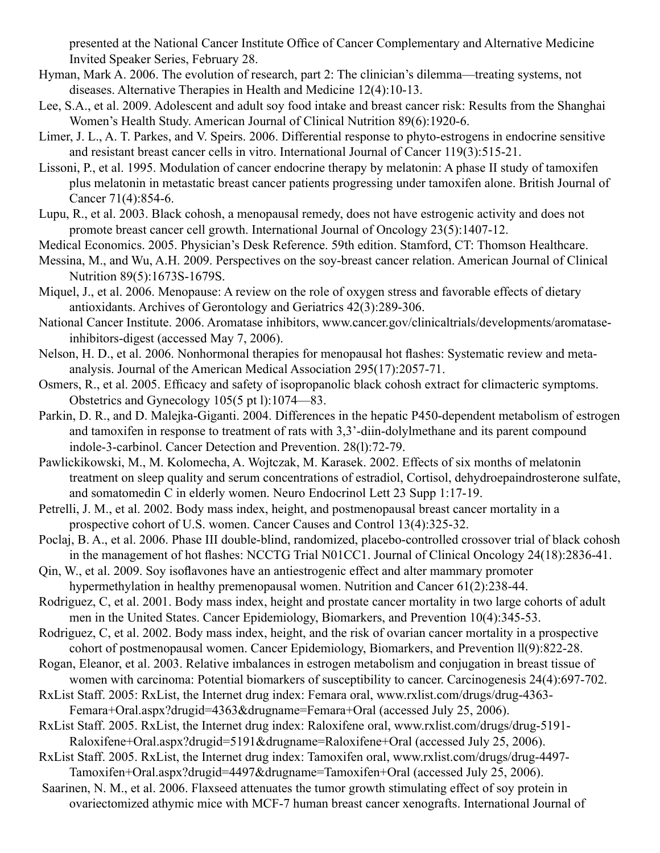presented at the National Cancer Institute Office of Cancer Complementary and Alternative Medicine Invited Speaker Series, February 28.

- Hyman, Mark A. 2006. The evolution of research, part 2: The clinician's dilemma—treating systems, not diseases. Alternative Therapies in Health and Medicine 12(4):10-13.
- Lee, S.A., et al. 2009. Adolescent and adult soy food intake and breast cancer risk: Results from the Shanghai Women's Health Study. American Journal of Clinical Nutrition 89(6):1920-6.
- Limer, J. L., A. T. Parkes, and V. Speirs. 2006. Differential response to phyto-estrogens in endocrine sensitive and resistant breast cancer cells in vitro. International Journal of Cancer 119(3):515-21.
- Lissoni, P., et al. 1995. Modulation of cancer endocrine therapy by melatonin: A phase II study of tamoxifen plus melatonin in metastatic breast cancer patients progressing under tamoxifen alone. British Journal of Cancer 71(4):854-6.
- Lupu, R., et al. 2003. Black cohosh, a menopausal remedy, does not have estrogenic activity and does not promote breast cancer cell growth. International Journal of Oncology 23(5):1407-12.
- Medical Economics. 2005. Physician's Desk Reference. 59th edition. Stamford, CT: Thomson Healthcare.
- Messina, M., and Wu, A.H. 2009. Perspectives on the soy-breast cancer relation. American Journal of Clinical Nutrition 89(5):1673S-1679S.
- Miquel, J., et al. 2006. Menopause: A review on the role of oxygen stress and favorable effects of dietary antioxidants. Archives of Gerontology and Geriatrics 42(3):289-306.
- National Cancer Institute. 2006. Aromatase inhibitors, www.cancer.gov/clinicaltrials/developments/aromataseinhibitors-digest (accessed May 7, 2006).
- Nelson, H. D., et al. 2006. Nonhormonal therapies for menopausal hot flashes: Systematic review and metaanalysis. Journal of the American Medical Association 295(17):2057-71.
- Osmers, R., et al. 2005. Efficacy and safety of isopropanolic black cohosh extract for climacteric symptoms. Obstetrics and Gynecology 105(5 pt l):1074—83.
- Parkin, D. R., and D. Malejka-Giganti. 2004. Differences in the hepatic P450-dependent metabolism of estrogen and tamoxifen in response to treatment of rats with 3,3'-diin-dolylmethane and its parent compound indole-3-carbinol. Cancer Detection and Prevention. 28(l):72-79.
- Pawlickikowski, M., M. Kolomecha, A. Wojtczak, M. Karasek. 2002. Effects of six months of melatonin treatment on sleep quality and serum concentrations of estradiol, Cortisol, dehydroepaindrosterone sulfate, and somatomedin C in elderly women. Neuro Endocrinol Lett 23 Supp 1:17-19.
- Petrelli, J. M., et al. 2002. Body mass index, height, and postmenopausal breast cancer mortality in a prospective cohort of U.S. women. Cancer Causes and Control 13(4):325-32.
- Poclaj, B. A., et al. 2006. Phase III double-blind, randomized, placebo-controlled crossover trial of black cohosh in the management of hot flashes: NCCTG Trial N01CC1. Journal of Clinical Oncology 24(18):2836-41.
- Qin, W., et al. 2009. Soy isoflavones have an antiestrogenic effect and alter mammary promoter hypermethylation in healthy premenopausal women. Nutrition and Cancer 61(2):238-44.
- Rodriguez, C, et al. 2001. Body mass index, height and prostate cancer mortality in two large cohorts of adult men in the United States. Cancer Epidemiology, Biomarkers, and Prevention 10(4):345-53.
- Rodriguez, C, et al. 2002. Body mass index, height, and the risk of ovarian cancer mortality in a prospective cohort of postmenopausal women. Cancer Epidemiology, Biomarkers, and Prevention ll(9):822-28.
- Rogan, Eleanor, et al. 2003. Relative imbalances in estrogen metabolism and conjugation in breast tissue of women with carcinoma: Potential biomarkers of susceptibility to cancer. Carcinogenesis 24(4):697-702.
- RxList Staff. 2005: RxList, the Internet drug index: Femara oral, www.rxlist.com/drugs/drug-4363- Femara+Oral.aspx?drugid=4363&drugname=Femara+Oral (accessed July 25, 2006).
- RxList Staff. 2005. RxList, the Internet drug index: Raloxifene oral, www.rxlist.com/drugs/drug-5191- Raloxifene+Oral.aspx?drugid=5191&drugname=Raloxifene+Oral (accessed July 25, 2006).
- RxList Staff. 2005. RxList, the Internet drug index: Tamoxifen oral, www.rxlist.com/drugs/drug-4497- Tamoxifen+Oral.aspx?drugid=4497&drugname=Tamoxifen+Oral (accessed July 25, 2006).
- Saarinen, N. M., et al. 2006. Flaxseed attenuates the tumor growth stimulating effect of soy protein in ovariectomized athymic mice with MCF-7 human breast cancer xenografts. International Journal of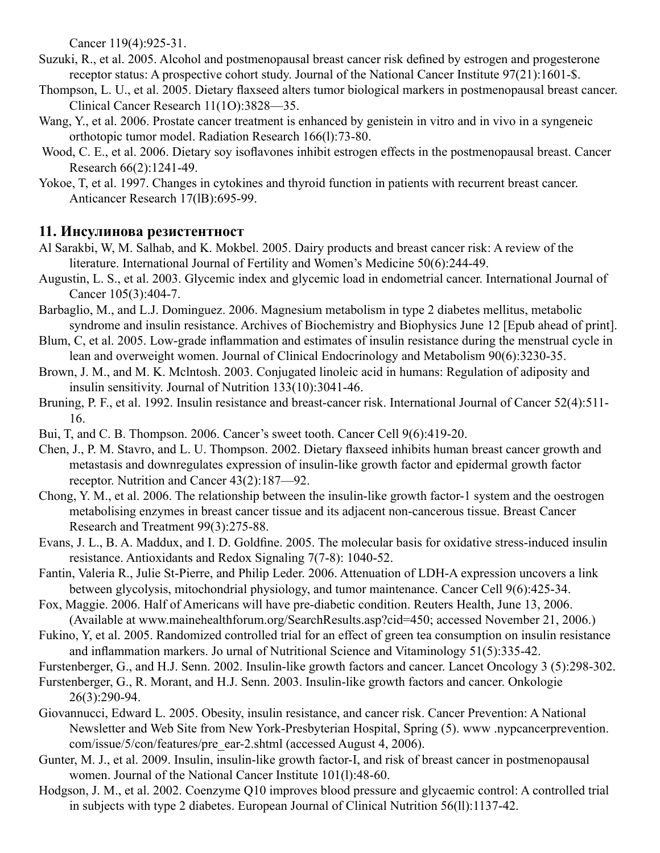Cancer 119(4):925-31.

- Suzuki, R., et al. 2005. Alcohol and postmenopausal breast cancer risk defined by estrogen and progesterone receptor status: A prospective cohort study. Journal of the National Cancer Institute 97(21):1601-\$.
- Thompson, L. U., et al. 2005. Dietary flaxseed alters tumor biological markers in postmenopausal breast cancer. Clinical Cancer Research 11(1O):3828—35.
- Wang, Y., et al. 2006. Prostate cancer treatment is enhanced by genistein in vitro and in vivo in a syngeneic orthotopic tumor model. Radiation Research 166(l):73-80.
- Wood, C. E., et al. 2006. Dietary soy isoflavones inhibit estrogen effects in the postmenopausal breast. Cancer Research 66(2):1241-49.
- Yokoe, T, et al. 1997. Changes in cytokines and thyroid function in patients with recurrent breast cancer. Anticancer Research 17(lB):695-99.

### **11. Инсулинова резистентност**

- Al Sarakbi, W, M. Salhab, and K. Mokbel. 2005. Dairy products and breast cancer risk: A review of the literature. International Journal of Fertility and Women's Medicine 50(6):244-49.
- Augustin, L. S., et al. 2003. Glycemic index and glycemic load in endometrial cancer. International Journal of Cancer 105(3):404-7.
- Barbaglio, M., and L.J. Dominguez. 2006. Magnesium metabolism in type 2 diabetes mellitus, metabolic syndrome and insulin resistance. Archives of Biochemistry and Biophysics June 12 [Epub ahead of print].
- Blum, C, et al. 2005. Low-grade inflammation and estimates of insulin resistance during the menstrual cycle in lean and overweight women. Journal of Clinical Endocrinology and Metabolism 90(6):3230-35.
- Brown, J. M., and M. K. Mclntosh. 2003. Conjugated linoleic acid in humans: Regulation of adiposity and insulin sensitivity. Journal of Nutrition 133(10):3041-46.
- Bruning, P. F., et al. 1992. Insulin resistance and breast-cancer risk. International Journal of Cancer 52(4):511- 16.
- Bui, T, and C. B. Thompson. 2006. Cancer's sweet tooth. Cancer Cell 9(6):419-20.
- Chen, J., P. M. Stavro, and L. U. Thompson. 2002. Dietary flaxseed inhibits human breast cancer growth and metastasis and downregulates expression of insulin-like growth factor and epidermal growth factor receptor. Nutrition and Cancer 43(2):187—92.
- Chong, Y. M., et al. 2006. The relationship between the insulin-like growth factor-1 system and the oestrogen metabolising enzymes in breast cancer tissue and its adjacent non-cancerous tissue. Breast Cancer Research and Treatment 99(3):275-88.
- Evans, J. L., B. A. Maddux, and I. D. Goldfine. 2005. The molecular basis for oxidative stress-induced insulin resistance. Antioxidants and Redox Signaling 7(7-8): 1040-52.
- Fantin, Valeria R., Julie St-Pierre, and Philip Leder. 2006. Attenuation of LDH-A expression uncovers a link between glycolysis, mitochondrial physiology, and tumor maintenance. Cancer Cell 9(6):425-34.
- Fox, Maggie. 2006. Half of Americans will have pre-diabetic condition. Reuters Health, June 13, 2006. (Available at www.mainehealthforum.org/SearchResults.asp?cid=450; accessed November 21, 2006.)
- Fukino, Y, et al. 2005. Randomized controlled trial for an effect of green tea consumption on insulin resistance and inflammation markers. Jo urnal of Nutritional Science and Vitaminology 51(5):335-42.
- Furstenberger, G., and H.J. Senn. 2002. Insulin-like growth factors and cancer. Lancet Oncology 3 (5):298-302.
- Furstenberger, G., R. Morant, and H.J. Senn. 2003. Insulin-like growth factors and cancer. Onkologie 26(3):290-94.
- Giovannucci, Edward L. 2005. Obesity, insulin resistance, and cancer risk. Cancer Prevention: A National Newsletter and Web Site from New York-Presbyterian Hospital, Spring (5). www .nypcancerprevention. com/issue/5/con/features/pre\_ear-2.shtml (accessed August 4, 2006).
- Gunter, M. J., et al. 2009. Insulin, insulin-like growth factor-I, and risk of breast cancer in postmenopausal women. Journal of the National Cancer Institute 101(l):48-60.
- Hodgson, J. M., et al. 2002. Coenzyme Q10 improves blood pressure and glycaemic control: A controlled trial in subjects with type 2 diabetes. European Journal of Clinical Nutrition 56(ll):1137-42.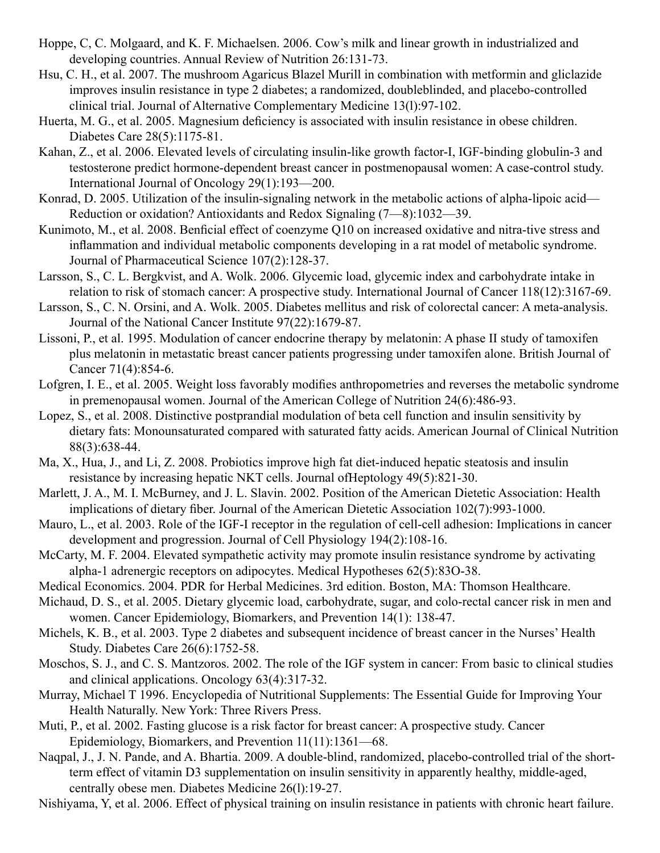- Hoppe, C, C. Molgaard, and K. F. Michaelsen. 2006. Cow's milk and linear growth in industrialized and developing countries. Annual Review of Nutrition 26:131-73.
- Hsu, C. H., et al. 2007. The mushroom Agaricus Blazel Murill in combination with metformin and gliclazide improves insulin resistance in type 2 diabetes; a randomized, doubleblinded, and placebo-controlled clinical trial. Journal of Alternative Complementary Medicine 13(l):97-102.
- Huerta, M. G., et al. 2005. Magnesium deficiency is associated with insulin resistance in obese children. Diabetes Care 28(5):1175-81.
- Kahan, Z., et al. 2006. Elevated levels of circulating insulin-like growth factor-I, IGF-binding globulin-3 and testosterone predict hormone-dependent breast cancer in postmenopausal women: A case-control study. International Journal of Oncology 29(1):193—200.
- Konrad, D. 2005. Utilization of the insulin-signaling network in the metabolic actions of alpha-lipoic acid— Reduction or oxidation? Antioxidants and Redox Signaling (7—8):1032—39.
- Kunimoto, M., et al. 2008. Benficial effect of coenzyme Q10 on increased oxidative and nitra-tive stress and inflammation and individual metabolic components developing in a rat model of metabolic syndrome. Journal of Pharmaceutical Science 107(2):128-37.
- Larsson, S., C. L. Bergkvist, and A. Wolk. 2006. Glycemic load, glycemic index and carbohydrate intake in relation to risk of stomach cancer: A prospective study. International Journal of Cancer 118(12):3167-69.
- Larsson, S., C. N. Orsini, and A. Wolk. 2005. Diabetes mellitus and risk of colorectal cancer: A meta-analysis. Journal of the National Cancer Institute 97(22):1679-87.
- Lissoni, P., et al. 1995. Modulation of cancer endocrine therapy by melatonin: A phase II study of tamoxifen plus melatonin in metastatic breast cancer patients progressing under tamoxifen alone. British Journal of Cancer 71(4):854-6.
- Lofgren, I. E., et al. 2005. Weight loss favorably modifies anthropometries and reverses the metabolic syndrome in premenopausal women. Journal of the American College of Nutrition 24(6):486-93.
- Lopez, S., et al. 2008. Distinctive postprandial modulation of beta cell function and insulin sensitivity by dietary fats: Monounsaturated compared with saturated fatty acids. American Journal of Clinical Nutrition 88(3):638-44.
- Ma, X., Hua, J., and Li, Z. 2008. Probiotics improve high fat diet-induced hepatic steatosis and insulin resistance by increasing hepatic NKT cells. Journal ofHeptology 49(5):821-30.
- Marlett, J. A., M. I. McBurney, and J. L. Slavin. 2002. Position of the American Dietetic Association: Health implications of dietary fiber. Journal of the American Dietetic Association 102(7):993-1000.
- Mauro, L., et al. 2003. Role of the IGF-I receptor in the regulation of cell-cell adhesion: Implications in cancer development and progression. Journal of Cell Physiology 194(2):108-16.
- McCarty, M. F. 2004. Elevated sympathetic activity may promote insulin resistance syndrome by activating alpha-1 adrenergic receptors on adipocytes. Medical Hypotheses 62(5):83O-38.
- Medical Economics. 2004. PDR for Herbal Medicines. 3rd edition. Boston, MA: Thomson Healthcare.
- Michaud, D. S., et al. 2005. Dietary glycemic load, carbohydrate, sugar, and colo-rectal cancer risk in men and women. Cancer Epidemiology, Biomarkers, and Prevention 14(1): 138-47.
- Michels, K. B., et al. 2003. Type 2 diabetes and subsequent incidence of breast cancer in the Nurses' Health Study. Diabetes Care 26(6):1752-58.
- Moschos, S. J., and C. S. Mantzoros. 2002. The role of the IGF system in cancer: From basic to clinical studies and clinical applications. Oncology 63(4):317-32.
- Murray, Michael T 1996. Encyclopedia of Nutritional Supplements: The Essential Guide for Improving Your Health Naturally. New York: Three Rivers Press.
- Muti, P., et al. 2002. Fasting glucose is a risk factor for breast cancer: A prospective study. Cancer Epidemiology, Biomarkers, and Prevention 11(11):1361—68.
- Naqpal, J., J. N. Pande, and A. Bhartia. 2009. A double-blind, randomized, placebo-controlled trial of the shortterm effect of vitamin D3 supplementation on insulin sensitivity in apparently healthy, middle-aged, centrally obese men. Diabetes Medicine 26(l):19-27.
- Nishiyama, Y, et al. 2006. Effect of physical training on insulin resistance in patients with chronic heart failure.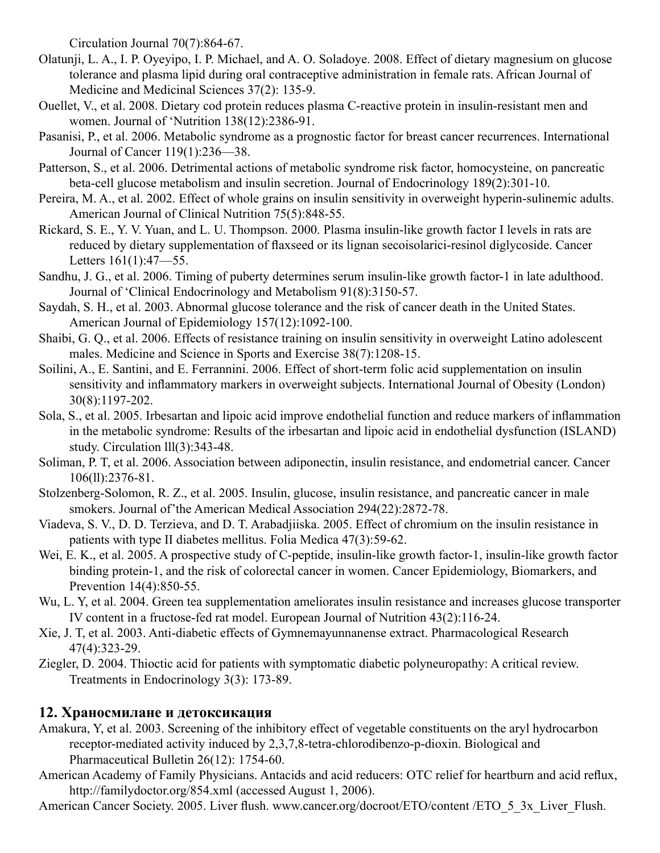Circulation Journal 70(7):864-67.

- Olatunji, L. A., I. P. Oyeyipo, I. P. Michael, and A. O. Soladoye. 2008. Effect of dietary magnesium on glucose tolerance and plasma lipid during oral contraceptive administration in female rats. African Journal of Medicine and Medicinal Sciences 37(2): 135-9.
- Ouellet, V., et al. 2008. Dietary cod protein reduces plasma C-reactive protein in insulin-resistant men and women. Journal of 'Nutrition 138(12):2386-91.
- Pasanisi, P., et al. 2006. Metabolic syndrome as a prognostic factor for breast cancer recurrences. International Journal of Cancer 119(1):236—38.
- Patterson, S., et al. 2006. Detrimental actions of metabolic syndrome risk factor, homocysteine, on pancreatic beta-cell glucose metabolism and insulin secretion. Journal of Endocrinology 189(2):301-10.
- Pereira, M. A., et al. 2002. Effect of whole grains on insulin sensitivity in overweight hyperin-sulinemic adults. American Journal of Clinical Nutrition 75(5):848-55.
- Rickard, S. E., Y. V. Yuan, and L. U. Thompson. 2000. Plasma insulin-like growth factor I levels in rats are reduced by dietary supplementation of flaxseed or its lignan secoisolarici-resinol diglycoside. Cancer Letters 161(1):47—55.
- Sandhu, J. G., et al. 2006. Timing of puberty determines serum insulin-like growth factor-1 in late adulthood. Journal of 'Clinical Endocrinology and Metabolism 91(8):3150-57.
- Saydah, S. H., et al. 2003. Abnormal glucose tolerance and the risk of cancer death in the United States. American Journal of Epidemiology 157(12):1092-100.
- Shaibi, G. Q., et al. 2006. Effects of resistance training on insulin sensitivity in overweight Latino adolescent males. Medicine and Science in Sports and Exercise 38(7):1208-15.
- Soilini, A., E. Santini, and E. Ferrannini. 2006. Effect of short-term folic acid supplementation on insulin sensitivity and inflammatory markers in overweight subjects. International Journal of Obesity (London) 30(8):1197-202.
- Sola, S., et al. 2005. Irbesartan and lipoic acid improve endothelial function and reduce markers of inflammation in the metabolic syndrome: Results of the irbesartan and lipoic acid in endothelial dysfunction (ISLAND) study. Circulation lll(3):343-48.
- Soliman, P. T, et al. 2006. Association between adiponectin, insulin resistance, and endometrial cancer. Cancer 106(ll):2376-81.
- Stolzenberg-Solomon, R. Z., et al. 2005. Insulin, glucose, insulin resistance, and pancreatic cancer in male smokers. Journal of'the American Medical Association 294(22):2872-78.
- Viadeva, S. V., D. D. Terzieva, and D. T. Arabadjiiska. 2005. Effect of chromium on the insulin resistance in patients with type II diabetes mellitus. Folia Medica 47(3):59-62.
- Wei, E. K., et al. 2005. A prospective study of C-peptide, insulin-like growth factor-1, insulin-like growth factor binding protein-1, and the risk of colorectal cancer in women. Cancer Epidemiology, Biomarkers, and Prevention 14(4):850-55.
- Wu, L. Y, et al. 2004. Green tea supplementation ameliorates insulin resistance and increases glucose transporter IV content in a fructose-fed rat model. European Journal of Nutrition 43(2):116-24.
- Xie, J. T, et al. 2003. Anti-diabetic effects of Gymnemayunnanense extract. Pharmacological Research 47(4):323-29.
- Ziegler, D. 2004. Thioctic acid for patients with symptomatic diabetic polyneuropathy: A critical review. Treatments in Endocrinology 3(3): 173-89.

# **12. Храносмилане и детоксикация**

- Amakura, Y, et al. 2003. Screening of the inhibitory effect of vegetable constituents on the aryl hydrocarbon receptor-mediated activity induced by 2,3,7,8-tetra-chlorodibenzo-p-dioxin. Biological and Pharmaceutical Bulletin 26(12): 1754-60.
- American Academy of Family Physicians. Antacids and acid reducers: OTC relief for heartburn and acid reflux, http://familydoctor.org/854.xml (accessed August 1, 2006).
- American Cancer Society. 2005. Liver flush. www.cancer.org/docroot/ETO/content /ETO\_5\_3x\_Liver\_Flush.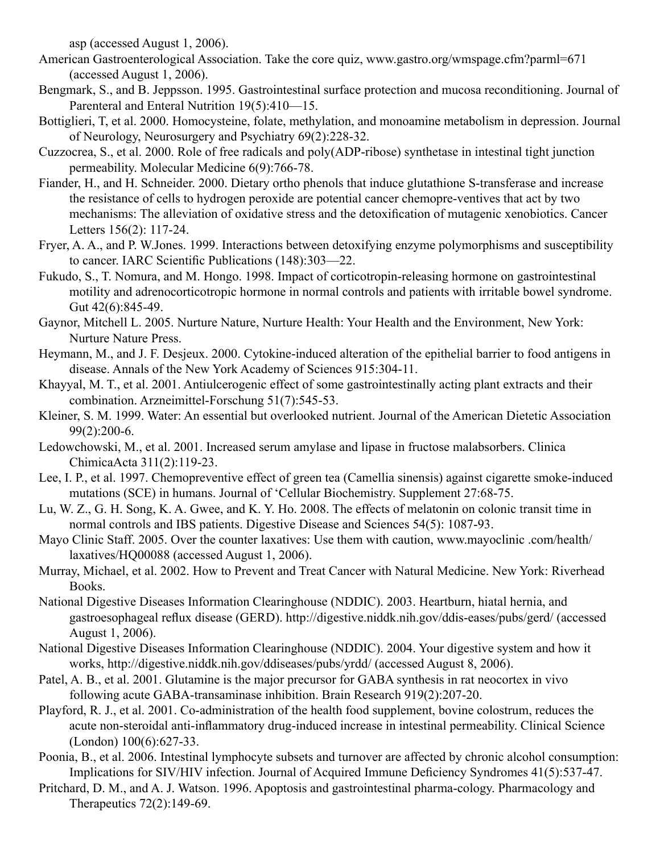asp (accessed August 1, 2006).

- American Gastroenterological Association. Take the core quiz, www.gastro.org/wmspage.cfm?parml=671 (accessed August 1, 2006).
- Bengmark, S., and B. Jeppsson. 1995. Gastrointestinal surface protection and mucosa reconditioning. Journal of Parenteral and Enteral Nutrition 19(5):410—15.
- Bottiglieri, T, et al. 2000. Homocysteine, folate, methylation, and monoamine metabolism in depression. Journal of Neurology, Neurosurgery and Psychiatry 69(2):228-32.
- Cuzzocrea, S., et al. 2000. Role of free radicals and poly(ADP-ribose) synthetase in intestinal tight junction permeability. Molecular Medicine 6(9):766-78.
- Fiander, H., and H. Schneider. 2000. Dietary ortho phenols that induce glutathione S-transferase and increase the resistance of cells to hydrogen peroxide are potential cancer chemopre-ventives that act by two mechanisms: The alleviation of oxidative stress and the detoxification of mutagenic xenobiotics. Cancer Letters 156(2): 117-24.
- Fryer, A. A., and P. W.Jones. 1999. Interactions between detoxifying enzyme polymorphisms and susceptibility to cancer. IARC Scientific Publications (148):303—22.
- Fukudo, S., T. Nomura, and M. Hongo. 1998. Impact of corticotropin-releasing hormone on gastrointestinal motility and adrenocorticotropic hormone in normal controls and patients with irritable bowel syndrome. Gut 42(6):845-49.
- Gaynor, Mitchell L. 2005. Nurture Nature, Nurture Health: Your Health and the Environment, New York: Nurture Nature Press.
- Heymann, M., and J. F. Desjeux. 2000. Cytokine-induced alteration of the epithelial barrier to food antigens in disease. Annals of the New York Academy of Sciences 915:304-11.
- Khayyal, M. T., et al. 2001. Antiulcerogenic effect of some gastrointestinally acting plant extracts and their combination. Arzneimittel-Forschung 51(7):545-53.
- Kleiner, S. M. 1999. Water: An essential but overlooked nutrient. Journal of the American Dietetic Association 99(2):200-6.
- Ledowchowski, M., et al. 2001. Increased serum amylase and lipase in fructose malabsorbers. Clinica ChimicaActa 311(2):119-23.
- Lee, I. P., et al. 1997. Chemopreventive effect of green tea (Camellia sinensis) against cigarette smoke-induced mutations (SCE) in humans. Journal of 'Cellular Biochemistry. Supplement 27:68-75.
- Lu, W. Z., G. H. Song, K. A. Gwee, and K. Y. Ho. 2008. The effects of melatonin on colonic transit time in normal controls and IBS patients. Digestive Disease and Sciences 54(5): 1087-93.
- Mayo Clinic Staff. 2005. Over the counter laxatives: Use them with caution, www.mayoclinic .com/health/ laxatives/HQ00088 (accessed August 1, 2006).
- Murray, Michael, et al. 2002. How to Prevent and Treat Cancer with Natural Medicine. New York: Riverhead Books.
- National Digestive Diseases Information Clearinghouse (NDDIC). 2003. Heartburn, hiatal hernia, and gastroesophageal reflux disease (GERD). http://digestive.niddk.nih.gov/ddis-eases/pubs/gerd/ (accessed August 1, 2006).
- National Digestive Diseases Information Clearinghouse (NDDIC). 2004. Your digestive system and how it works, http://digestive.niddk.nih.gov/ddiseases/pubs/yrdd/ (accessed August 8, 2006).
- Patel, A. B., et al. 2001. Glutamine is the major precursor for GABA synthesis in rat neocortex in vivo following acute GABA-transaminase inhibition. Brain Research 919(2):207-20.
- Playford, R. J., et al. 2001. Co-administration of the health food supplement, bovine colostrum, reduces the acute non-steroidal anti-inflammatory drug-induced increase in intestinal permeability. Clinical Science (London) 100(6):627-33.
- Poonia, B., et al. 2006. Intestinal lymphocyte subsets and turnover are affected by chronic alcohol consumption: Implications for SIV/HIV infection. Journal of Acquired Immune Deficiency Syndromes 41(5):537-47.
- Pritchard, D. M., and A. J. Watson. 1996. Apoptosis and gastrointestinal pharma-cology. Pharmacology and Therapeutics 72(2):149-69.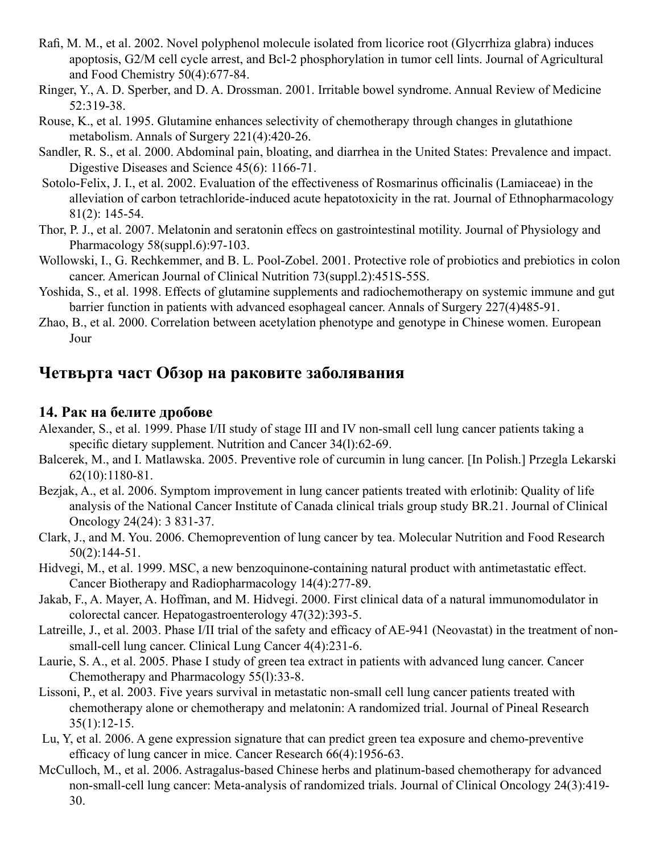- Rafi, M. M., et al. 2002. Novel polyphenol molecule isolated from licorice root (Glycrrhiza glabra) induces apoptosis, G2/M cell cycle arrest, and Bcl-2 phosphorylation in tumor cell lints. Journal of Agricultural and Food Chemistry 50(4):677-84.
- Ringer, Y., A. D. Sperber, and D. A. Drossman. 2001. Irritable bowel syndrome. Annual Review of Medicine 52:319-38.
- Rouse, K., et al. 1995. Glutamine enhances selectivity of chemotherapy through changes in glutathione metabolism. Annals of Surgery 221(4):420-26.
- Sandler, R. S., et al. 2000. Abdominal pain, bloating, and diarrhea in the United States: Prevalence and impact. Digestive Diseases and Science 45(6): 1166-71.
- Sotolo-Felix, J. I., et al. 2002. Evaluation of the effectiveness of Rosmarinus officinalis (Lamiaceae) in the alleviation of carbon tetrachloride-induced acute hepatotoxicity in the rat. Journal of Ethnopharmacology 81(2): 145-54.
- Thor, P. J., et al. 2007. Melatonin and seratonin effecs on gastrointestinal motility. Journal of Physiology and Pharmacology 58(suppl.6):97-103.
- Wollowski, I., G. Rechkemmer, and B. L. Pool-Zobel. 2001. Protective role of probiotics and prebiotics in colon cancer. American Journal of Clinical Nutrition 73(suppl.2):451S-55S.
- Yoshida, S., et al. 1998. Effects of glutamine supplements and radiochemotherapy on systemic immune and gut barrier function in patients with advanced esophageal cancer. Annals of Surgery 227(4)485-91.
- Zhao, B., et al. 2000. Correlation between acetylation phenotype and genotype in Chinese women. European Jour

# **Четвърта част Обзор на раковите заболявания**

### **14. Рак на белите дробове**

- Alexander, S., et al. 1999. Phase I/II study of stage III and IV non-small cell lung cancer patients taking a specific dietary supplement. Nutrition and Cancer 34(1):62-69.
- Balcerek, M., and I. Matlawska. 2005. Preventive role of curcumin in lung cancer. [In Polish.] Przegla Lekarski 62(10):1180-81.
- Bezjak, A., et al. 2006. Symptom improvement in lung cancer patients treated with erlotinib: Quality of life analysis of the National Cancer Institute of Canada clinical trials group study BR.21. Journal of Clinical Oncology 24(24): 3 831-37.
- Clark, J., and M. You. 2006. Chemoprevention of lung cancer by tea. Molecular Nutrition and Food Research 50(2):144-51.
- Hidvegi, M., et al. 1999. MSC, a new benzoquinone-containing natural product with antimetastatic effect. Cancer Biotherapy and Radiopharmacology 14(4):277-89.
- Jakab, F., A. Mayer, A. Hoffman, and M. Hidvegi. 2000. First clinical data of a natural immunomodulator in colorectal cancer. Hepatogastroenterology 47(32):393-5.
- Latreille, J., et al. 2003. Phase I/II trial of the safety and efficacy of AE-941 (Neovastat) in the treatment of nonsmall-cell lung cancer. Clinical Lung Cancer 4(4):231-6.
- Laurie, S. A., et al. 2005. Phase I study of green tea extract in patients with advanced lung cancer. Cancer Chemotherapy and Pharmacology 55(l):33-8.
- Lissoni, P., et al. 2003. Five years survival in metastatic non-small cell lung cancer patients treated with chemotherapy alone or chemotherapy and melatonin: A randomized trial. Journal of Pineal Research 35(1):12-15.
- Lu, Y, et al. 2006. A gene expression signature that can predict green tea exposure and chemo-preventive efficacy of lung cancer in mice. Cancer Research 66(4):1956-63.
- McCulloch, M., et al. 2006. Astragalus-based Chinese herbs and platinum-based chemotherapy for advanced non-small-cell lung cancer: Meta-analysis of randomized trials. Journal of Clinical Oncology 24(3):419- 30.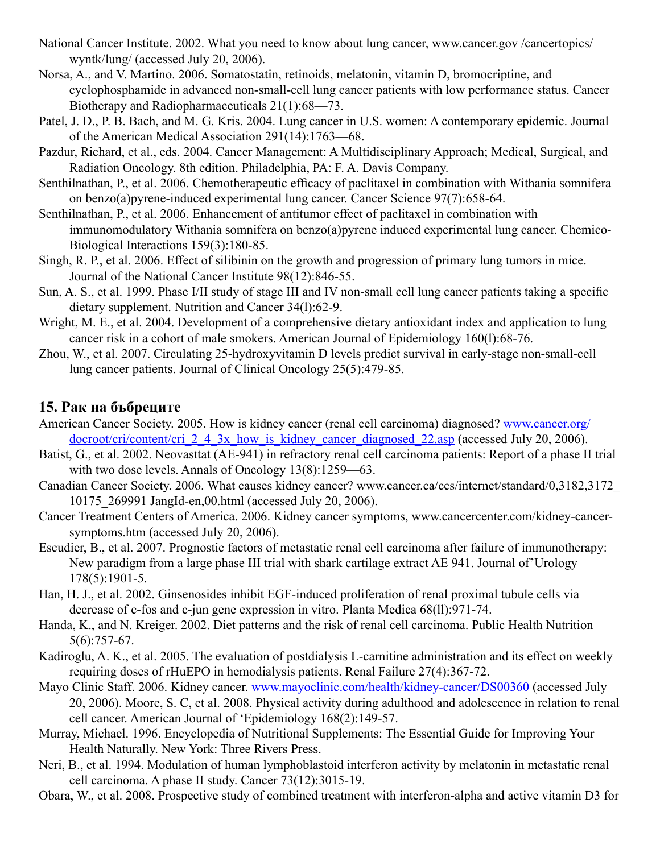- National Cancer Institute. 2002. What you need to know about lung cancer, www.cancer.gov /cancertopics/ wyntk/lung/ (accessed July 20, 2006).
- Norsa, A., and V. Martino. 2006. Somatostatin, retinoids, melatonin, vitamin D, bromocriptine, and cyclophosphamide in advanced non-small-cell lung cancer patients with low performance status. Cancer Biotherapy and Radiopharmaceuticals 21(1):68—73.
- Patel, J. D., P. B. Bach, and M. G. Kris. 2004. Lung cancer in U.S. women: A contemporary epidemic. Journal of the American Medical Association 291(14):1763—68.
- Pazdur, Richard, et al., eds. 2004. Cancer Management: A Multidisciplinary Approach; Medical, Surgical, and Radiation Oncology. 8th edition. Philadelphia, PA: F. A. Davis Company.
- Senthilnathan, P., et al. 2006. Chemotherapeutic efficacy of paclitaxel in combination with Withania somnifera on benzo(a)pyrene-induced experimental lung cancer. Cancer Science 97(7):658-64.
- Senthilnathan, P., et al. 2006. Enhancement of antitumor effect of paclitaxel in combination with immunomodulatory Withania somnifera on benzo(a)pyrene induced experimental lung cancer. Chemico-Biological Interactions 159(3):180-85.
- Singh, R. P., et al. 2006. Effect of silibinin on the growth and progression of primary lung tumors in mice. Journal of the National Cancer Institute 98(12):846-55.
- Sun, A. S., et al. 1999. Phase I/II study of stage III and IV non-small cell lung cancer patients taking a specific dietary supplement. Nutrition and Cancer 34(l):62-9.
- Wright, M. E., et al. 2004. Development of a comprehensive dietary antioxidant index and application to lung cancer risk in a cohort of male smokers. American Journal of Epidemiology 160(l):68-76.
- Zhou, W., et al. 2007. Circulating 25-hydroxyvitamin D levels predict survival in early-stage non-small-cell lung cancer patients. Journal of Clinical Oncology 25(5):479-85.

### **15. Рак на бъбреците**

- American Cancer Society. 2005. How is kidney cancer (renal cell carcinoma) diagnosed? www.cancer.org/ docroot/cri/content/cri\_2\_4\_3x\_how\_is\_kidney\_cancer\_diagnosed\_22.asp (accessed July 20, 2006).
- Batist, G., et al. 2002. Neovasttat (AE-941) in refractory renal cell carcinoma patients: Report of a phase II trial with two dose levels. Annals of Oncology 13(8):1259—63.
- Canadian Cancer Society. 2006. What causes kidney cancer? www.cancer.ca/ccs/internet/standard/0,3182,3172\_ 10175\_269991 JangId-en,00.html (accessed July 20, 2006).
- Cancer Treatment Centers of America. 2006. Kidney cancer symptoms, www.cancercenter.com/kidney-cancersymptoms.htm (accessed July 20, 2006).
- Escudier, B., et al. 2007. Prognostic factors of metastatic renal cell carcinoma after failure of immunotherapy: New paradigm from a large phase III trial with shark cartilage extract AE 941. Journal of'Urology 178(5):1901-5.
- Han, H. J., et al. 2002. Ginsenosides inhibit EGF-induced proliferation of renal proximal tubule cells via decrease of c-fos and c-jun gene expression in vitro. Planta Medica 68(ll):971-74.
- Handa, K., and N. Kreiger. 2002. Diet patterns and the risk of renal cell carcinoma. Public Health Nutrition 5(6):757-67.
- Kadiroglu, A. K., et al. 2005. The evaluation of postdialysis L-carnitine administration and its effect on weekly requiring doses of rHuEPO in hemodialysis patients. Renal Failure 27(4):367-72.
- Mayo Clinic Staff. 2006. Kidney cancer. www.mayoclinic.com/health/kidney-cancer/DS00360 (accessed July 20, 2006). Moore, S. C, et al. 2008. Physical activity during adulthood and adolescence in relation to renal cell cancer. American Journal of 'Epidemiology 168(2):149-57.
- Murray, Michael. 1996. Encyclopedia of Nutritional Supplements: The Essential Guide for Improving Your Health Naturally. New York: Three Rivers Press.
- Neri, B., et al. 1994. Modulation of human lymphoblastoid interferon activity by melatonin in metastatic renal cell carcinoma. A phase II study. Cancer 73(12):3015-19.
- Obara, W., et al. 2008. Prospective study of combined treatment with interferon-alpha and active vitamin D3 for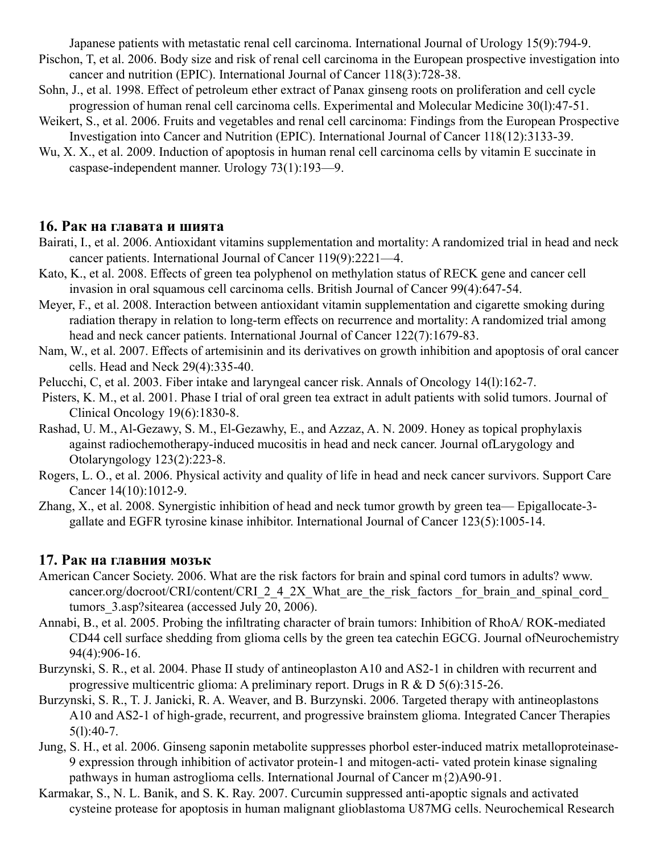Japanese patients with metastatic renal cell carcinoma. International Journal of Urology 15(9):794-9.

- Pischon, T, et al. 2006. Body size and risk of renal cell carcinoma in the European prospective investigation into cancer and nutrition (EPIC). International Journal of Cancer 118(3):728-38.
- Sohn, J., et al. 1998. Effect of petroleum ether extract of Panax ginseng roots on proliferation and cell cycle progression of human renal cell carcinoma cells. Experimental and Molecular Medicine 30(l):47-51.
- Weikert, S., et al. 2006. Fruits and vegetables and renal cell carcinoma: Findings from the European Prospective Investigation into Cancer and Nutrition (EPIC). International Journal of Cancer 118(12):3133-39.
- Wu, X. X., et al. 2009. Induction of apoptosis in human renal cell carcinoma cells by vitamin E succinate in caspase-independent manner. Urology 73(1):193—9.

#### **16. Рак на главата и шията**

- Bairati, I., et al. 2006. Antioxidant vitamins supplementation and mortality: A randomized trial in head and neck cancer patients. International Journal of Cancer 119(9):2221—4.
- Kato, K., et al. 2008. Effects of green tea polyphenol on methylation status of RECK gene and cancer cell invasion in oral squamous cell carcinoma cells. British Journal of Cancer 99(4):647-54.
- Meyer, F., et al. 2008. Interaction between antioxidant vitamin supplementation and cigarette smoking during radiation therapy in relation to long-term effects on recurrence and mortality: A randomized trial among head and neck cancer patients. International Journal of Cancer 122(7):1679-83.
- Nam, W., et al. 2007. Effects of artemisinin and its derivatives on growth inhibition and apoptosis of oral cancer cells. Head and Neck 29(4):335-40.
- Pelucchi, C, et al. 2003. Fiber intake and laryngeal cancer risk. Annals of Oncology 14(l):162-7.
- Pisters, K. M., et al. 2001. Phase I trial of oral green tea extract in adult patients with solid tumors. Journal of Clinical Oncology 19(6):1830-8.
- Rashad, U. M., Al-Gezawy, S. M., El-Gezawhy, E., and Azzaz, A. N. 2009. Honey as topical prophylaxis against radiochemotherapy-induced mucositis in head and neck cancer. Journal ofLarygology and Otolaryngology 123(2):223-8.
- Rogers, L. O., et al. 2006. Physical activity and quality of life in head and neck cancer survivors. Support Care Cancer 14(10):1012-9.
- Zhang, X., et al. 2008. Synergistic inhibition of head and neck tumor growth by green tea— Epigallocate-3 gallate and EGFR tyrosine kinase inhibitor. International Journal of Cancer 123(5):1005-14.

# **17. Рак на главния мозък**

- American Cancer Society. 2006. What are the risk factors for brain and spinal cord tumors in adults? www. cancer.org/docroot/CRI/content/CRI\_2\_4\_2X\_What\_are\_the\_risk\_factors \_for\_brain\_and\_spinal\_cord tumors\_3.asp?sitearea (accessed July 20, 2006).
- Annabi, B., et al. 2005. Probing the infiltrating character of brain tumors: Inhibition of RhoA/ ROK-mediated CD44 cell surface shedding from glioma cells by the green tea catechin EGCG. Journal ofNeurochemistry 94(4):906-16.
- Burzynski, S. R., et al. 2004. Phase II study of antineoplaston A10 and AS2-1 in children with recurrent and progressive multicentric glioma: A preliminary report. Drugs in R & D 5(6):315-26.
- Burzynski, S. R., T. J. Janicki, R. A. Weaver, and B. Burzynski. 2006. Targeted therapy with antineoplastons A10 and AS2-1 of high-grade, recurrent, and progressive brainstem glioma. Integrated Cancer Therapies  $5(1):40-7.$
- Jung, S. H., et al. 2006. Ginseng saponin metabolite suppresses phorbol ester-induced matrix metalloproteinase-9 expression through inhibition of activator protein-1 and mitogen-acti- vated protein kinase signaling pathways in human astroglioma cells. International Journal of Cancer m{2)A90-91.
- Karmakar, S., N. L. Banik, and S. K. Ray. 2007. Curcumin suppressed anti-apoptic signals and activated cysteine protease for apoptosis in human malignant glioblastoma U87MG cells. Neurochemical Research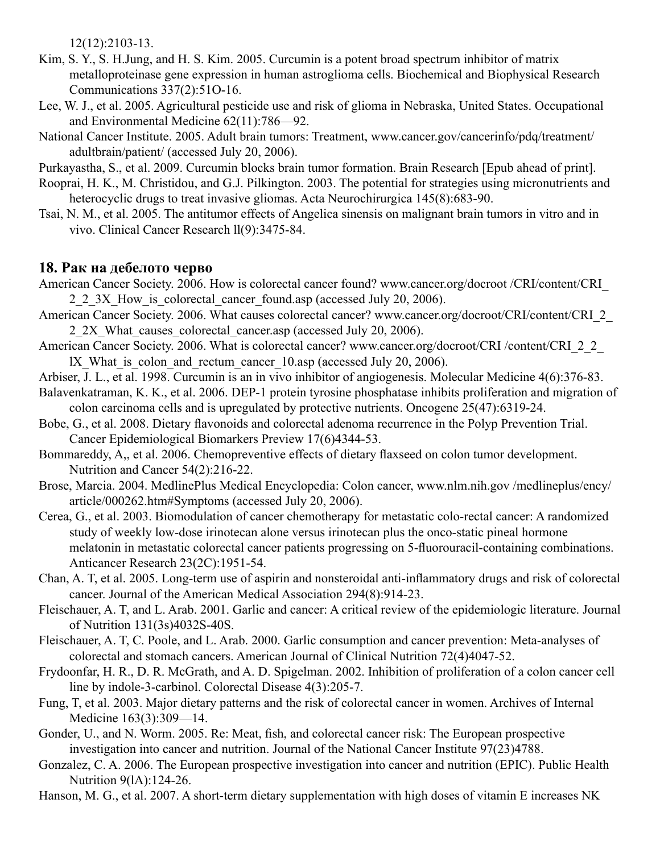12(12):2103-13.

- Kim, S. Y., S. H.Jung, and H. S. Kim. 2005. Curcumin is a potent broad spectrum inhibitor of matrix metalloproteinase gene expression in human astroglioma cells. Biochemical and Biophysical Research Communications 337(2):51O-16.
- Lee, W. J., et al. 2005. Agricultural pesticide use and risk of glioma in Nebraska, United States. Occupational and Environmental Medicine 62(11):786—92.
- National Cancer Institute. 2005. Adult brain tumors: Treatment, www.cancer.gov/cancerinfo/pdq/treatment/ adultbrain/patient/ (accessed July 20, 2006).

Purkayastha, S., et al. 2009. Curcumin blocks brain tumor formation. Brain Research [Epub ahead of print].

- Rooprai, H. K., M. Christidou, and G.J. Pilkington. 2003. The potential for strategies using micronutrients and heterocyclic drugs to treat invasive gliomas. Acta Neurochirurgica 145(8):683-90.
- Tsai, N. M., et al. 2005. The antitumor effects of Angelica sinensis on malignant brain tumors in vitro and in vivo. Clinical Cancer Research ll(9):3475-84.

# **18. Рак на дебелото черво**

- American Cancer Society. 2006. How is colorectal cancer found? www.cancer.org/docroot /CRI/content/CRI\_ 2\_2\_3X\_How\_is\_colorectal\_cancer\_found.asp (accessed July 20, 2006).
- American Cancer Society. 2006. What causes colorectal cancer? www.cancer.org/docroot/CRI/content/CRI\_2\_ 2.2X What causes colorectal cancer.asp (accessed July 20, 2006).
- American Cancer Society. 2006. What is colorectal cancer? www.cancer.org/docroot/CRI /content/CRI\_2\_2 lX What is colon and rectum cancer 10.asp (accessed July 20, 2006).
- Arbiser, J. L., et al. 1998. Curcumin is an in vivo inhibitor of angiogenesis. Molecular Medicine 4(6):376-83.
- Balavenkatraman, K. K., et al. 2006. DEP-1 protein tyrosine phosphatase inhibits proliferation and migration of colon carcinoma cells and is upregulated by protective nutrients. Oncogene 25(47):6319-24.
- Bobe, G., et al. 2008. Dietary flavonoids and colorectal adenoma recurrence in the Polyp Prevention Trial. Cancer Epidemiological Biomarkers Preview 17(6)4344-53.
- Bommareddy, A,, et al. 2006. Chemopreventive effects of dietary flaxseed on colon tumor development. Nutrition and Cancer 54(2):216-22.
- Brose, Marcia. 2004. MedlinePlus Medical Encyclopedia: Colon cancer, www.nlm.nih.gov /medlineplus/ency/ article/000262.htm#Symptoms (accessed July 20, 2006).
- Cerea, G., et al. 2003. Biomodulation of cancer chemotherapy for metastatic colo-rectal cancer: A randomized study of weekly low-dose irinotecan alone versus irinotecan plus the onco-static pineal hormone melatonin in metastatic colorectal cancer patients progressing on 5-fluorouracil-containing combinations. Anticancer Research 23(2C):1951-54.
- Chan, A. T, et al. 2005. Long-term use of aspirin and nonsteroidal anti-inflammatory drugs and risk of colorectal cancer. Journal of the American Medical Association 294(8):914-23.
- Fleischauer, A. T, and L. Arab. 2001. Garlic and cancer: A critical review of the epidemiologic literature. Journal of Nutrition 131(3s)4032S-40S.
- Fleischauer, A. T, C. Poole, and L. Arab. 2000. Garlic consumption and cancer prevention: Meta-analyses of colorectal and stomach cancers. American Journal of Clinical Nutrition 72(4)4047-52.
- Frydoonfar, H. R., D. R. McGrath, and A. D. Spigelman. 2002. Inhibition of proliferation of a colon cancer cell line by indole-3-carbinol. Colorectal Disease 4(3):205-7.
- Fung, T, et al. 2003. Major dietary patterns and the risk of colorectal cancer in women. Archives of Internal Medicine 163(3):309—14.
- Gonder, U., and N. Worm. 2005. Re: Meat, fish, and colorectal cancer risk: The European prospective investigation into cancer and nutrition. Journal of the National Cancer Institute 97(23)4788.
- Gonzalez, C. A. 2006. The European prospective investigation into cancer and nutrition (EPIC). Public Health Nutrition 9(lA):124-26.
- Hanson, M. G., et al. 2007. A short-term dietary supplementation with high doses of vitamin E increases NK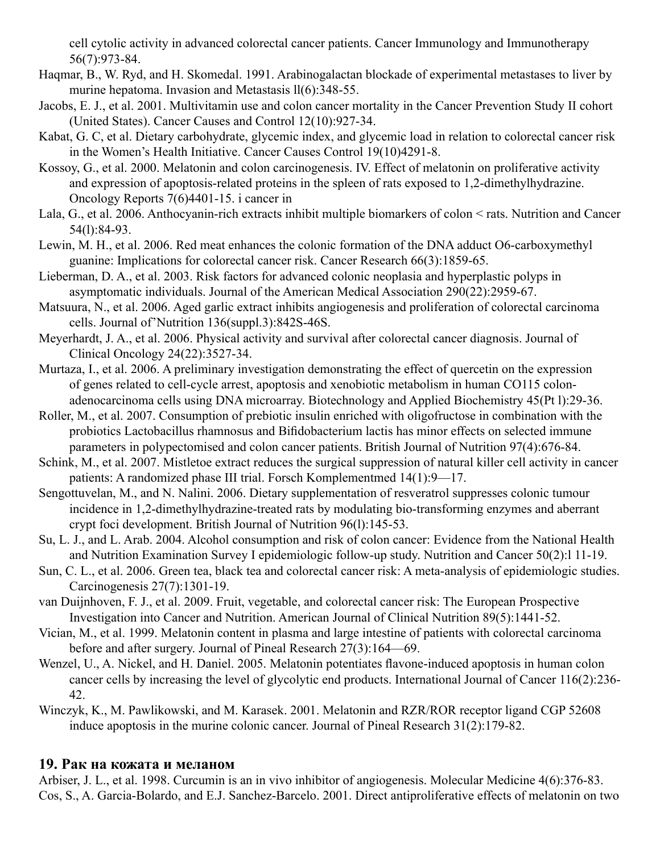cell cytolic activity in advanced colorectal cancer patients. Cancer Immunology and Immunotherapy 56(7):973-84.

- Haqmar, B., W. Ryd, and H. Skomedal. 1991. Arabinogalactan blockade of experimental metastases to liver by murine hepatoma. Invasion and Metastasis  $ll(6)$ : 348-55.
- Jacobs, E. J., et al. 2001. Multivitamin use and colon cancer mortality in the Cancer Prevention Study II cohort (United States). Cancer Causes and Control 12(10):927-34.
- Kabat, G. C, et al. Dietary carbohydrate, glycemic index, and glycemic load in relation to colorectal cancer risk in the Women's Health Initiative. Cancer Causes Control 19(10)4291-8.
- Kossoy, G., et al. 2000. Melatonin and colon carcinogenesis. IV. Effect of melatonin on proliferative activity and expression of apoptosis-related proteins in the spleen of rats exposed to 1,2-dimethylhydrazine. Oncology Reports 7(6)4401-15. i cancer in
- Lala, G., et al. 2006. Anthocyanin-rich extracts inhibit multiple biomarkers of colon < rats. Nutrition and Cancer 54(l):84-93.
- Lewin, M. H., et al. 2006. Red meat enhances the colonic formation of the DNA adduct O6-carboxymethyl guanine: Implications for colorectal cancer risk. Cancer Research 66(3):1859-65.
- Lieberman, D. A., et al. 2003. Risk factors for advanced colonic neoplasia and hyperplastic polyps in asymptomatic individuals. Journal of the American Medical Association 290(22):2959-67.
- Matsuura, N., et al. 2006. Aged garlic extract inhibits angiogenesis and proliferation of colorectal carcinoma cells. Journal of'Nutrition 136(suppl.3):842S-46S.
- Meyerhardt, J. A., et al. 2006. Physical activity and survival after colorectal cancer diagnosis. Journal of Clinical Oncology 24(22):3527-34.
- Murtaza, I., et al. 2006. A preliminary investigation demonstrating the effect of quercetin on the expression of genes related to cell-cycle arrest, apoptosis and xenobiotic metabolism in human CO115 colonadenocarcinoma cells using DNA microarray. Biotechnology and Applied Biochemistry 45(Pt l):29-36.
- Roller, M., et al. 2007. Consumption of prebiotic insulin enriched with oligofructose in combination with the probiotics Lactobacillus rhamnosus and Bifidobacterium lactis has minor effects on selected immune parameters in polypectomised and colon cancer patients. British Journal of Nutrition 97(4):676-84.
- Schink, M., et al. 2007. Mistletoe extract reduces the surgical suppression of natural killer cell activity in cancer patients: A randomized phase III trial. Forsch Komplementmed 14(1):9—17.
- Sengottuvelan, M., and N. Nalini. 2006. Dietary supplementation of resveratrol suppresses colonic tumour incidence in 1,2-dimethylhydrazine-treated rats by modulating bio-transforming enzymes and aberrant crypt foci development. British Journal of Nutrition 96(l):145-53.
- Su, L. J., and L. Arab. 2004. Alcohol consumption and risk of colon cancer: Evidence from the National Health and Nutrition Examination Survey I epidemiologic follow-up study. Nutrition and Cancer 50(2):l 11-19.
- Sun, C. L., et al. 2006. Green tea, black tea and colorectal cancer risk: A meta-analysis of epidemiologic studies. Carcinogenesis 27(7):1301-19.
- van Duijnhoven, F. J., et al. 2009. Fruit, vegetable, and colorectal cancer risk: The European Prospective Investigation into Cancer and Nutrition. American Journal of Clinical Nutrition 89(5):1441-52.
- Vician, M., et al. 1999. Melatonin content in plasma and large intestine of patients with colorectal carcinoma before and after surgery. Journal of Pineal Research 27(3):164—69.
- Wenzel, U., A. Nickel, and H. Daniel. 2005. Melatonin potentiates flavone-induced apoptosis in human colon cancer cells by increasing the level of glycolytic end products. International Journal of Cancer 116(2):236- 42.
- Winczyk, K., M. Pawlikowski, and M. Karasek. 2001. Melatonin and RZR/ROR receptor ligand CGP 52608 induce apoptosis in the murine colonic cancer. Journal of Pineal Research 31(2):179-82.

# **19. Рак на кожата и меланом**

Arbiser, J. L., et al. 1998. Curcumin is an in vivo inhibitor of angiogenesis. Molecular Medicine 4(6):376-83. Cos, S., A. Garcia-Bolardo, and E.J. Sanchez-Barcelo. 2001. Direct antiproliferative effects of melatonin on two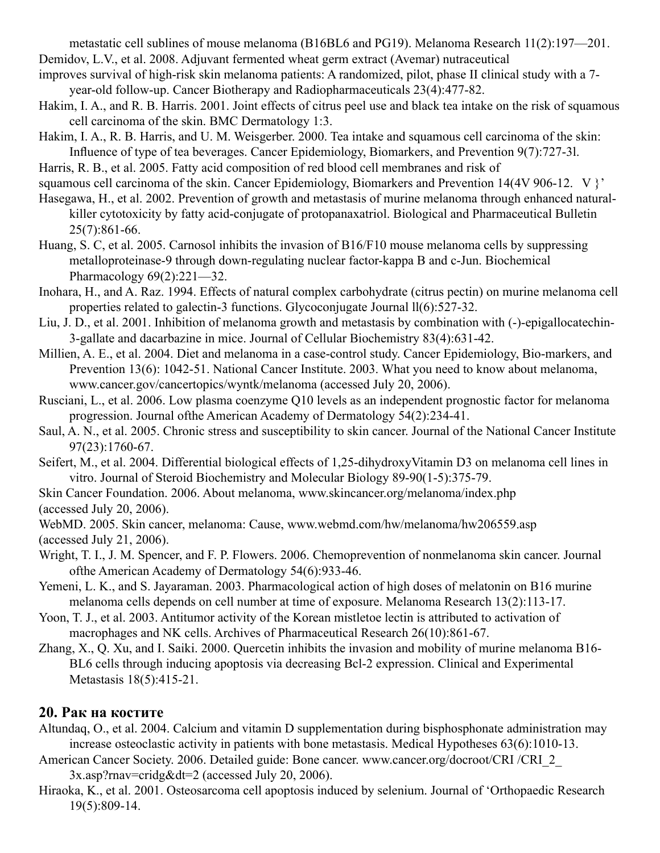metastatic cell sublines of mouse melanoma (B16BL6 and PG19). Melanoma Research 11(2):197—201. Demidov, L.V., et al. 2008. Adjuvant fermented wheat germ extract (Avemar) nutraceutical

improves survival of high-risk skin melanoma patients: A randomized, pilot, phase II clinical study with a 7 year-old follow-up. Cancer Biotherapy and Radiopharmaceuticals 23(4):477-82.

Hakim, I. A., and R. B. Harris. 2001. Joint effects of citrus peel use and black tea intake on the risk of squamous cell carcinoma of the skin. BMC Dermatology 1:3.

Hakim, I. A., R. B. Harris, and U. M. Weisgerber. 2000. Tea intake and squamous cell carcinoma of the skin: Influence of type of tea beverages. Cancer Epidemiology, Biomarkers, and Prevention 9(7):727-3l.

Harris, R. B., et al. 2005. Fatty acid composition of red blood cell membranes and risk of

squamous cell carcinoma of the skin. Cancer Epidemiology, Biomarkers and Prevention 14(4V 906-12. V }'

Hasegawa, H., et al. 2002. Prevention of growth and metastasis of murine melanoma through enhanced naturalkiller cytotoxicity by fatty acid-conjugate of protopanaxatriol. Biological and Pharmaceutical Bulletin 25(7):861-66.

Huang, S. C, et al. 2005. Carnosol inhibits the invasion of B16/F10 mouse melanoma cells by suppressing metalloproteinase-9 through down-regulating nuclear factor-kappa B and c-Jun. Biochemical Pharmacology 69(2):221—32.

Inohara, H., and A. Raz. 1994. Effects of natural complex carbohydrate (citrus pectin) on murine melanoma cell properties related to galectin-3 functions. Glycoconjugate Journal ll(6):527-32.

Liu, J. D., et al. 2001. Inhibition of melanoma growth and metastasis by combination with (-)-epigallocatechin-3-gallate and dacarbazine in mice. Journal of Cellular Biochemistry 83(4):631-42.

Millien, A. E., et al. 2004. Diet and melanoma in a case-control study. Cancer Epidemiology, Bio-markers, and Prevention 13(6): 1042-51. National Cancer Institute. 2003. What you need to know about melanoma, www.cancer.gov/cancertopics/wyntk/melanoma (accessed July 20, 2006).

Rusciani, L., et al. 2006. Low plasma coenzyme Q10 levels as an independent prognostic factor for melanoma progression. Journal ofthe American Academy of Dermatology 54(2):234-41.

Saul, A. N., et al. 2005. Chronic stress and susceptibility to skin cancer. Journal of the National Cancer Institute 97(23):1760-67.

Seifert, M., et al. 2004. Differential biological effects of 1,25-dihydroxyVitamin D3 on melanoma cell lines in vitro. Journal of Steroid Biochemistry and Molecular Biology 89-90(1-5):375-79.

Skin Cancer Foundation. 2006. About melanoma, www.skincancer.org/melanoma/index.php (accessed July 20, 2006).

WebMD. 2005. Skin cancer, melanoma: Cause, www.webmd.com/hw/melanoma/hw206559.asp (accessed July 21, 2006).

- Wright, T. I., J. M. Spencer, and F. P. Flowers. 2006. Chemoprevention of nonmelanoma skin cancer. Journal ofthe American Academy of Dermatology 54(6):933-46.
- Yemeni, L. K., and S. Jayaraman. 2003. Pharmacological action of high doses of melatonin on B16 murine melanoma cells depends on cell number at time of exposure. Melanoma Research 13(2):113-17.

Yoon, T. J., et al. 2003. Antitumor activity of the Korean mistletoe lectin is attributed to activation of macrophages and NK cells. Archives of Pharmaceutical Research 26(10):861-67.

Zhang, X., Q. Xu, and I. Saiki. 2000. Quercetin inhibits the invasion and mobility of murine melanoma B16- BL6 cells through inducing apoptosis via decreasing Bcl-2 expression. Clinical and Experimental Metastasis 18(5):415-21.

# **20. Рак на костите**

Altundaq, O., et al. 2004. Calcium and vitamin D supplementation during bisphosphonate administration may increase osteoclastic activity in patients with bone metastasis. Medical Hypotheses 63(6):1010-13.

American Cancer Society. 2006. Detailed guide: Bone cancer. www.cancer.org/docroot/CRI /CRI\_2\_

3x.asp?rnav=cridg&dt=2 (accessed July 20, 2006).

Hiraoka, K., et al. 2001. Osteosarcoma cell apoptosis induced by selenium. Journal of 'Orthopaedic Research 19(5):809-14.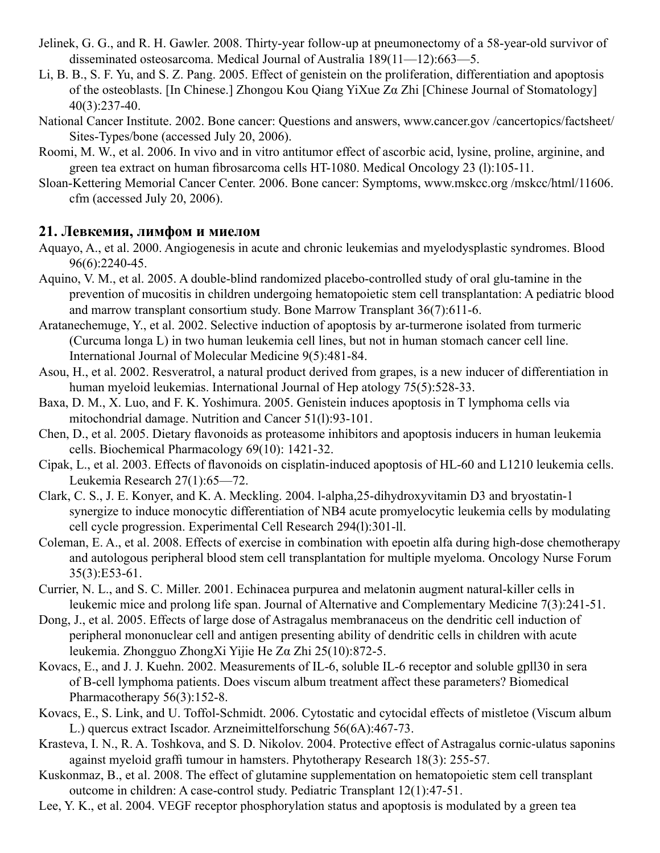- Jelinek, G. G., and R. H. Gawler. 2008. Thirty-year follow-up at pneumonectomy of a 58-year-old survivor of disseminated osteosarcoma. Medical Journal of Australia 189(11—12):663—5.
- Li, B. B., S. F. Yu, and S. Z. Pang. 2005. Effect of genistein on the proliferation, differentiation and apoptosis of the osteoblasts. [In Chinese.] Zhongou Kou Qiang YiXue Zα Zhi [Chinese Journal of Stomatology] 40(3):237-40.
- National Cancer Institute. 2002. Bone cancer: Questions and answers, www.cancer.gov /cancertopics/factsheet/ Sites-Types/bone (accessed July 20, 2006).
- Roomi, M. W., et al. 2006. In vivo and in vitro antitumor effect of ascorbic acid, lysine, proline, arginine, and green tea extract on human fibrosarcoma cells HT-1080. Medical Oncology 23 (l):105-11.
- Sloan-Kettering Memorial Cancer Center. 2006. Bone cancer: Symptoms, www.mskcc.org /mskcc/html/11606. cfm (accessed July 20, 2006).

#### **21. Левкемия, лимфом и миелом**

- Aquayo, A., et al. 2000. Angiogenesis in acute and chronic leukemias and myelodysplastic syndromes. Blood 96(6):2240-45.
- Aquino, V. M., et al. 2005. A double-blind randomized placebo-controlled study of oral glu-tamine in the prevention of mucositis in children undergoing hematopoietic stem cell transplantation: A pediatric blood and marrow transplant consortium study. Bone Marrow Transplant 36(7):611-6.
- Aratanechemuge, Y., et al. 2002. Selective induction of apoptosis by ar-turmerone isolated from turmeric (Curcuma longa L) in two human leukemia cell lines, but not in human stomach cancer cell line. International Journal of Molecular Medicine 9(5):481-84.
- Asou, H., et al. 2002. Resveratrol, a natural product derived from grapes, is a new inducer of differentiation in human myeloid leukemias. International Journal of Hep atology 75(5):528-33.
- Baxa, D. M., X. Luo, and F. K. Yoshimura. 2005. Genistein induces apoptosis in T lymphoma cells via mitochondrial damage. Nutrition and Cancer 51(l):93-101.
- Chen, D., et al. 2005. Dietary flavonoids as proteasome inhibitors and apoptosis inducers in human leukemia cells. Biochemical Pharmacology 69(10): 1421-32.
- Cipak, L., et al. 2003. Effects of flavonoids on cisplatin-induced apoptosis of HL-60 and L1210 leukemia cells. Leukemia Research 27(1):65—72.
- Clark, C. S., J. E. Konyer, and K. A. Meckling. 2004. l-alpha,25-dihydroxyvitamin D3 and bryostatin-1 synergize to induce monocytic differentiation of NB4 acute promyelocytic leukemia cells by modulating cell cycle progression. Experimental Cell Research 294(l):301-ll.
- Coleman, E. A., et al. 2008. Effects of exercise in combination with epoetin alfa during high-dose chemotherapy and autologous peripheral blood stem cell transplantation for multiple myeloma. Oncology Nurse Forum 35(3):E53-61.
- Currier, N. L., and S. C. Miller. 2001. Echinacea purpurea and melatonin augment natural-killer cells in leukemic mice and prolong life span. Journal of Alternative and Complementary Medicine 7(3):241-51.
- Dong, J., et al. 2005. Effects of large dose of Astragalus membranaceus on the dendritic cell induction of peripheral mononuclear cell and antigen presenting ability of dendritic cells in children with acute leukemia. Zhongguo ZhongXi Yijie He Zα Zhi 25(10):872-5.
- Kovacs, E., and J. J. Kuehn. 2002. Measurements of IL-6, soluble IL-6 receptor and soluble gpll30 in sera of B-cell lymphoma patients. Does viscum album treatment affect these parameters? Biomedical Pharmacotherapy 56(3):152-8.
- Kovacs, E., S. Link, and U. Toffol-Schmidt. 2006. Cytostatic and cytocidal effects of mistletoe (Viscum album L.) quercus extract Iscador. Arzneimittelforschung 56(6A):467-73.
- Krasteva, I. N., R. A. Toshkova, and S. D. Nikolov. 2004. Protective effect of Astragalus cornic-ulatus saponins against myeloid graffi tumour in hamsters. Phytotherapy Research 18(3): 255-57.
- Kuskonmaz, B., et al. 2008. The effect of glutamine supplementation on hematopoietic stem cell transplant outcome in children: A case-control study. Pediatric Transplant 12(1):47-51.
- Lee, Y. K., et al. 2004. VEGF receptor phosphorylation status and apoptosis is modulated by a green tea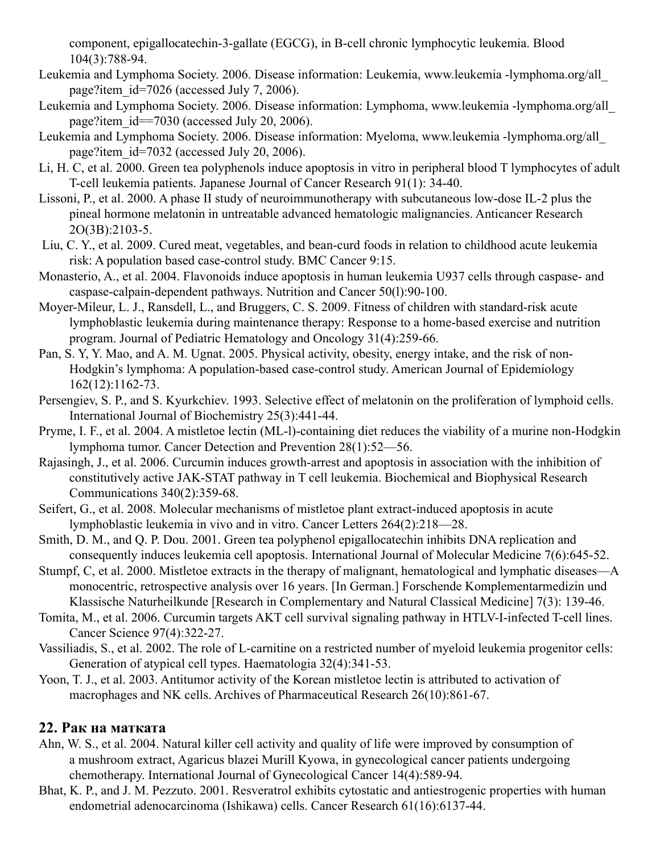component, epigallocatechin-3-gallate (EGCG), in B-cell chronic lymphocytic leukemia. Blood 104(3):788-94.

- Leukemia and Lymphoma Society. 2006. Disease information: Leukemia, www.leukemia -lymphoma.org/all\_ page?item\_id=7026 (accessed July 7, 2006).
- Leukemia and Lymphoma Society. 2006. Disease information: Lymphoma, www.leukemia -lymphoma.org/all\_ page?item\_id==7030 (accessed July 20, 2006).
- Leukemia and Lymphoma Society. 2006. Disease information: Myeloma, www.leukemia -lymphoma.org/all\_ page?item\_id=7032 (accessed July 20, 2006).
- Li, H. C, et al. 2000. Green tea polyphenols induce apoptosis in vitro in peripheral blood T lymphocytes of adult T-cell leukemia patients. Japanese Journal of Cancer Research 91(1): 34-40.
- Lissoni, P., et al. 2000. A phase II study of neuroimmunotherapy with subcutaneous low-dose IL-2 plus the pineal hormone melatonin in untreatable advanced hematologic malignancies. Anticancer Research 2O(3B):2103-5.
- Liu, C. Y., et al. 2009. Cured meat, vegetables, and bean-curd foods in relation to childhood acute leukemia risk: A population based case-control study. BMC Cancer 9:15.
- Monasterio, A., et al. 2004. Flavonoids induce apoptosis in human leukemia U937 cells through caspase- and caspase-calpain-dependent pathways. Nutrition and Cancer 50(l):90-100.
- Moyer-Mileur, L. J., Ransdell, L., and Bruggers, C. S. 2009. Fitness of children with standard-risk acute lymphoblastic leukemia during maintenance therapy: Response to a home-based exercise and nutrition program. Journal of Pediatric Hematology and Oncology 31(4):259-66.
- Pan, S. Y, Y. Mao, and A. M. Ugnat. 2005. Physical activity, obesity, energy intake, and the risk of non-Hodgkin's lymphoma: A population-based case-control study. American Journal of Epidemiology 162(12):1162-73.
- Persengiev, S. P., and S. Kyurkchiev. 1993. Selective effect of melatonin on the proliferation of lymphoid cells. International Journal of Biochemistry 25(3):441-44.
- Pryme, I. F., et al. 2004. A mistletoe lectin (ML-l)-containing diet reduces the viability of a murine non-Hodgkin lymphoma tumor. Cancer Detection and Prevention 28(1):52—56.
- Rajasingh, J., et al. 2006. Curcumin induces growth-arrest and apoptosis in association with the inhibition of constitutively active JAK-STAT pathway in T cell leukemia. Biochemical and Biophysical Research Communications 340(2):359-68.
- Seifert, G., et al. 2008. Molecular mechanisms of mistletoe plant extract-induced apoptosis in acute lymphoblastic leukemia in vivo and in vitro. Cancer Letters 264(2):218—28.
- Smith, D. M., and Q. P. Dou. 2001. Green tea polyphenol epigallocatechin inhibits DNA replication and consequently induces leukemia cell apoptosis. International Journal of Molecular Medicine 7(6):645-52.
- Stumpf, C, et al. 2000. Mistletoe extracts in the therapy of malignant, hematological and lymphatic diseases—A monocentric, retrospective analysis over 16 years. [In German.] Forschende Komplementarmedizin und Klassische Naturheilkunde [Research in Complementary and Natural Classical Medicine] 7(3): 139-46.
- Tomita, M., et al. 2006. Curcumin targets AKT cell survival signaling pathway in HTLV-I-infected T-cell lines. Cancer Science 97(4):322-27.
- Vassiliadis, S., et al. 2002. The role of L-carnitine on a restricted number of myeloid leukemia progenitor cells: Generation of atypical cell types. Haematologia 32(4):341-53.
- Yoon, T. J., et al. 2003. Antitumor activity of the Korean mistletoe lectin is attributed to activation of macrophages and NK cells. Archives of Pharmaceutical Research 26(10):861-67.

# **22. Рак на матката**

- Ahn, W. S., et al. 2004. Natural killer cell activity and quality of life were improved by consumption of a mushroom extract, Agaricus blazei Murill Kyowa, in gynecological cancer patients undergoing chemotherapy. International Journal of Gynecological Cancer 14(4):589-94.
- Bhat, K. P., and J. M. Pezzuto. 2001. Resveratrol exhibits cytostatic and antiestrogenic properties with human endometrial adenocarcinoma (Ishikawa) cells. Cancer Research 61(16):6137-44.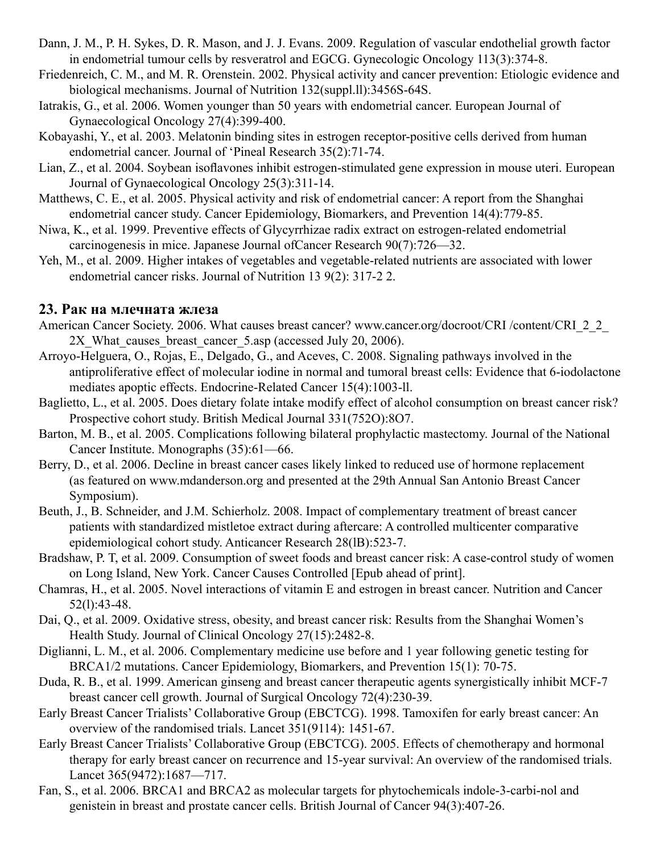- Dann, J. M., P. H. Sykes, D. R. Mason, and J. J. Evans. 2009. Regulation of vascular endothelial growth factor in endometrial tumour cells by resveratrol and EGCG. Gynecologic Oncology 113(3):374-8.
- Friedenreich, C. M., and M. R. Orenstein. 2002. Physical activity and cancer prevention: Etiologic evidence and biological mechanisms. Journal of Nutrition 132(suppl.ll):3456S-64S.
- Iatrakis, G., et al. 2006. Women younger than 50 years with endometrial cancer. European Journal of Gynaecological Oncology 27(4):399-400.
- Kobayashi, Y., et al. 2003. Melatonin binding sites in estrogen receptor-positive cells derived from human endometrial cancer. Journal of 'Pineal Research 35(2):71-74.
- Lian, Z., et al. 2004. Soybean isoflavones inhibit estrogen-stimulated gene expression in mouse uteri. European Journal of Gynaecological Oncology 25(3):311-14.
- Matthews, C. E., et al. 2005. Physical activity and risk of endometrial cancer: A report from the Shanghai endometrial cancer study. Cancer Epidemiology, Biomarkers, and Prevention 14(4):779-85.
- Niwa, K., et al. 1999. Preventive effects of Glycyrrhizae radix extract on estrogen-related endometrial carcinogenesis in mice. Japanese Journal ofCancer Research 90(7):726—32.
- Yeh, M., et al. 2009. Higher intakes of vegetables and vegetable-related nutrients are associated with lower endometrial cancer risks. Journal of Nutrition 13 9(2): 317-2 2.

#### **23. Рак на млечната жлеза**

- American Cancer Society. 2006. What causes breast cancer? www.cancer.org/docroot/CRI /content/CRI\_2\_2 2X What causes breast cancer 5.asp (accessed July 20, 2006).
- Arroyo-Helguera, O., Rojas, E., Delgado, G., and Aceves, C. 2008. Signaling pathways involved in the antiproliferative effect of molecular iodine in normal and tumoral breast cells: Evidence that 6-iodolactone mediates apoptic effects. Endocrine-Related Cancer 15(4):1003-ll.
- Baglietto, L., et al. 2005. Does dietary folate intake modify effect of alcohol consumption on breast cancer risk? Prospective cohort study. British Medical Journal 331(752O):8O7.
- Barton, M. B., et al. 2005. Complications following bilateral prophylactic mastectomy. Journal of the National Cancer Institute. Monographs (35):61—66.
- Berry, D., et al. 2006. Decline in breast cancer cases likely linked to reduced use of hormone replacement (as featured on www.mdanderson.org and presented at the 29th Annual San Antonio Breast Cancer Symposium).
- Beuth, J., B. Schneider, and J.M. Schierholz. 2008. Impact of complementary treatment of breast cancer patients with standardized mistletoe extract during aftercare: A controlled multicenter comparative epidemiological cohort study. Anticancer Research 28(lB):523-7.
- Bradshaw, P. T, et al. 2009. Consumption of sweet foods and breast cancer risk: A case-control study of women on Long Island, New York. Cancer Causes Controlled [Epub ahead of print].
- Chamras, H., et al. 2005. Novel interactions of vitamin E and estrogen in breast cancer. Nutrition and Cancer 52(l):43-48.
- Dai, Q., et al. 2009. Oxidative stress, obesity, and breast cancer risk: Results from the Shanghai Women's Health Study. Journal of Clinical Oncology 27(15):2482-8.
- Diglianni, L. M., et al. 2006. Complementary medicine use before and 1 year following genetic testing for BRCA1/2 mutations. Cancer Epidemiology, Biomarkers, and Prevention 15(1): 70-75.
- Duda, R. B., et al. 1999. American ginseng and breast cancer therapeutic agents synergistically inhibit MCF-7 breast cancer cell growth. Journal of Surgical Oncology 72(4):230-39.
- Early Breast Cancer Trialists' Collaborative Group (EBCTCG). 1998. Tamoxifen for early breast cancer: An overview of the randomised trials. Lancet 351(9114): 1451-67.
- Early Breast Cancer Trialists' Collaborative Group (EBCTCG). 2005. Effects of chemotherapy and hormonal therapy for early breast cancer on recurrence and 15-year survival: An overview of the randomised trials. Lancet 365(9472):1687—717.
- Fan, S., et al. 2006. BRCA1 and BRCA2 as molecular targets for phytochemicals indole-3-carbi-nol and genistein in breast and prostate cancer cells. British Journal of Cancer 94(3):407-26.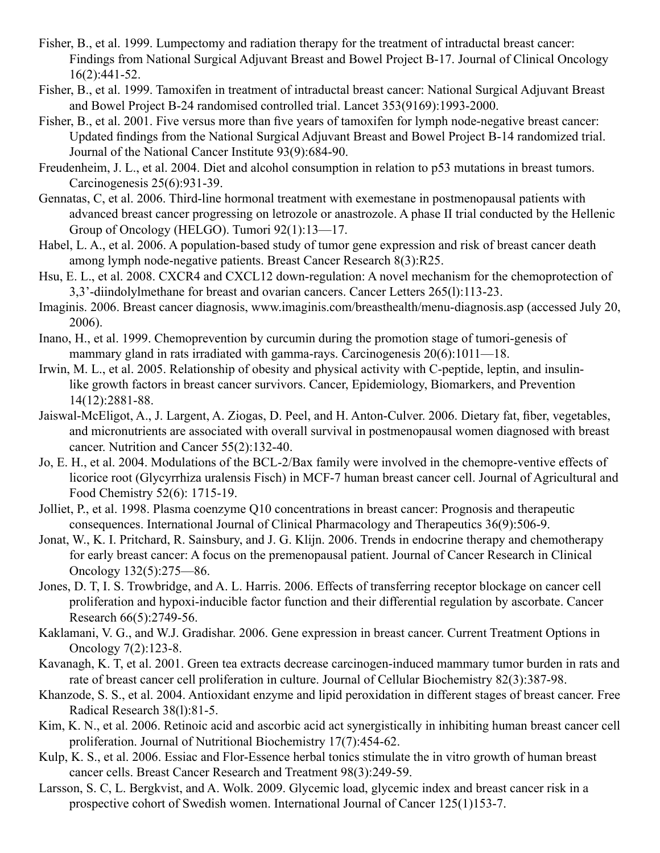- Fisher, B., et al. 1999. Lumpectomy and radiation therapy for the treatment of intraductal breast cancer: Findings from National Surgical Adjuvant Breast and Bowel Project B-17. Journal of Clinical Oncology 16(2):441-52.
- Fisher, B., et al. 1999. Tamoxifen in treatment of intraductal breast cancer: National Surgical Adjuvant Breast and Bowel Project B-24 randomised controlled trial. Lancet 353(9169):1993-2000.
- Fisher, B., et al. 2001. Five versus more than five years of tamoxifen for lymph node-negative breast cancer: Updated findings from the National Surgical Adjuvant Breast and Bowel Project B-14 randomized trial. Journal of the National Cancer Institute 93(9):684-90.
- Freudenheim, J. L., et al. 2004. Diet and alcohol consumption in relation to p53 mutations in breast tumors. Carcinogenesis 25(6):931-39.
- Gennatas, C, et al. 2006. Third-line hormonal treatment with exemestane in postmenopausal patients with advanced breast cancer progressing on letrozole or anastrozole. A phase II trial conducted by the Hellenic Group of Oncology (HELGO). Tumori 92(1):13—17.
- Habel, L. A., et al. 2006. A population-based study of tumor gene expression and risk of breast cancer death among lymph node-negative patients. Breast Cancer Research 8(3):R25.
- Hsu, E. L., et al. 2008. CXCR4 and CXCL12 down-regulation: A novel mechanism for the chemoprotection of 3,3'-diindolylmethane for breast and ovarian cancers. Cancer Letters 265(l):113-23.
- Imaginis. 2006. Breast cancer diagnosis, www.imaginis.com/breasthealth/menu-diagnosis.asp (accessed July 20, 2006).
- Inano, H., et al. 1999. Chemoprevention by curcumin during the promotion stage of tumori-genesis of mammary gland in rats irradiated with gamma-rays. Carcinogenesis 20(6):1011—18.
- Irwin, M. L., et al. 2005. Relationship of obesity and physical activity with C-peptide, leptin, and insulinlike growth factors in breast cancer survivors. Cancer, Epidemiology, Biomarkers, and Prevention 14(12):2881-88.
- Jaiswal-McEligot, A., J. Largent, A. Ziogas, D. Peel, and H. Anton-Culver. 2006. Dietary fat, fiber, vegetables, and micronutrients are associated with overall survival in postmenopausal women diagnosed with breast cancer. Nutrition and Cancer 55(2):132-40.
- Jo, E. H., et al. 2004. Modulations of the BCL-2/Bax family were involved in the chemopre-ventive effects of licorice root (Glycyrrhiza uralensis Fisch) in MCF-7 human breast cancer cell. Journal of Agricultural and Food Chemistry 52(6): 1715-19.
- Jolliet, P., et al. 1998. Plasma coenzyme Q10 concentrations in breast cancer: Prognosis and therapeutic consequences. International Journal of Clinical Pharmacology and Therapeutics 36(9):506-9.
- Jonat, W., K. I. Pritchard, R. Sainsbury, and J. G. Klijn. 2006. Trends in endocrine therapy and chemotherapy for early breast cancer: A focus on the premenopausal patient. Journal of Cancer Research in Clinical Oncology 132(5):275—86.
- Jones, D. T, I. S. Trowbridge, and A. L. Harris. 2006. Effects of transferring receptor blockage on cancer cell proliferation and hypoxi-inducible factor function and their differential regulation by ascorbate. Cancer Research 66(5):2749-56.
- Kaklamani, V. G., and W.J. Gradishar. 2006. Gene expression in breast cancer. Current Treatment Options in Oncology 7(2):123-8.
- Kavanagh, K. T, et al. 2001. Green tea extracts decrease carcinogen-induced mammary tumor burden in rats and rate of breast cancer cell proliferation in culture. Journal of Cellular Biochemistry 82(3):387-98.
- Khanzode, S. S., et al. 2004. Antioxidant enzyme and lipid peroxidation in different stages of breast cancer. Free Radical Research 38(l):81-5.
- Kim, K. N., et al. 2006. Retinoic acid and ascorbic acid act synergistically in inhibiting human breast cancer cell proliferation. Journal of Nutritional Biochemistry 17(7):454-62.
- Kulp, K. S., et al. 2006. Essiac and Flor-Essence herbal tonics stimulate the in vitro growth of human breast cancer cells. Breast Cancer Research and Treatment 98(3):249-59.
- Larsson, S. C, L. Bergkvist, and A. Wolk. 2009. Glycemic load, glycemic index and breast cancer risk in a prospective cohort of Swedish women. International Journal of Cancer 125(1)153-7.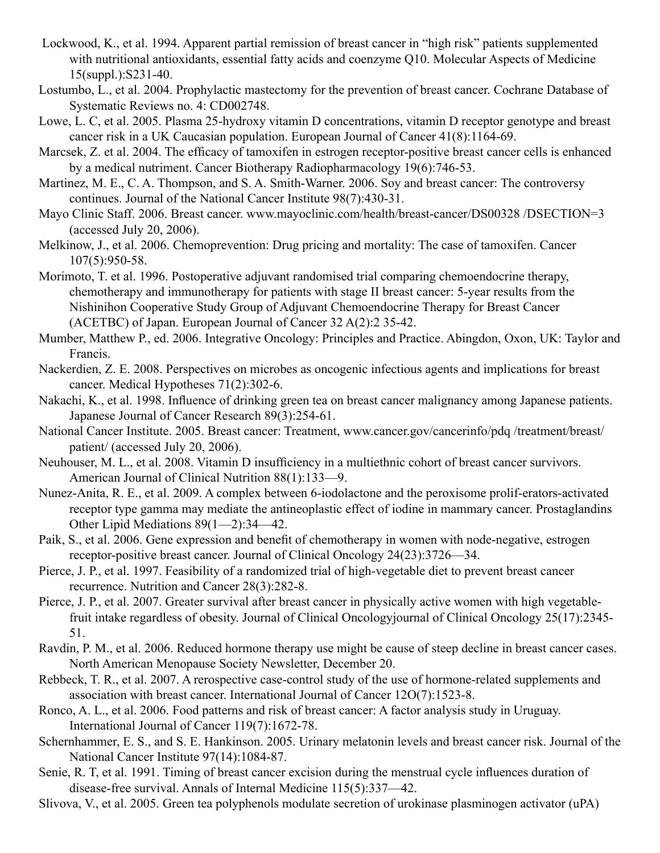- Lockwood, K., et al. 1994. Apparent partial remission of breast cancer in "high risk" patients supplemented with nutritional antioxidants, essential fatty acids and coenzyme Q10. Molecular Aspects of Medicine 15(suppl.):S231-40.
- Lostumbo, L., et al. 2004. Prophylactic mastectomy for the prevention of breast cancer. Cochrane Database of Systematic Reviews no. 4: CD002748.
- Lowe, L. C, et al. 2005. Plasma 25-hydroxy vitamin D concentrations, vitamin D receptor genotype and breast cancer risk in a UK Caucasian population. European Journal of Cancer 41(8):1164-69.
- Marcsek, Z. et al. 2004. The efficacy of tamoxifen in estrogen receptor-positive breast cancer cells is enhanced by a medical nutriment. Cancer Biotherapy Radiopharmacology 19(6):746-53.
- Martinez, M. E., C. A. Thompson, and S. A. Smith-Warner. 2006. Soy and breast cancer: The controversy continues. Journal of the National Cancer Institute 98(7):430-31.
- Mayo Clinic Staff. 2006. Breast cancer. www.mayoclinic.com/health/breast-cancer/DS00328 /DSECTION=3 (accessed July 20, 2006).
- Melkinow, J., et al. 2006. Chemoprevention: Drug pricing and mortality: The case of tamoxifen. Cancer 107(5):950-58.
- Morimoto, T. et al. 1996. Postoperative adjuvant randomised trial comparing chemoendocrine therapy, chemotherapy and immunotherapy for patients with stage II breast cancer: 5-year results from the Nishinihon Cooperative Study Group of Adjuvant Chemoendocrine Therapy for Breast Cancer (ACETBC) of Japan. European Journal of Cancer 32 A(2):2 35-42.

Mumber, Matthew P., ed. 2006. Integrative Oncology: Principles and Practice. Abingdon, Oxon, UK: Taylor and Francis.

- Nackerdien, Z. E. 2008. Perspectives on microbes as oncogenic infectious agents and implications for breast cancer. Medical Hypotheses 71(2):302-6.
- Nakachi, K., et al. 1998. Influence of drinking green tea on breast cancer malignancy among Japanese patients. Japanese Journal of Cancer Research 89(3):254-61.
- National Cancer Institute. 2005. Breast cancer: Treatment, www.cancer.gov/cancerinfo/pdq /treatment/breast/ patient/ (accessed July 20, 2006).
- Neuhouser, M. L., et al. 2008. Vitamin D insufficiency in a multiethnic cohort of breast cancer survivors. American Journal of Clinical Nutrition 88(1):133—9.
- Nunez-Anita, R. E., et al. 2009. A complex between 6-iodolactone and the peroxisome prolif-erators-activated receptor type gamma may mediate the antineoplastic effect of iodine in mammary cancer. Prostaglandins Other Lipid Mediations 89(1—2):34—42.
- Paik, S., et al. 2006. Gene expression and benefit of chemotherapy in women with node-negative, estrogen receptor-positive breast cancer. Journal of Clinical Oncology 24(23):3726—34.
- Pierce, J. P., et al. 1997. Feasibility of a randomized trial of high-vegetable diet to prevent breast cancer recurrence. Nutrition and Cancer 28(3):282-8.
- Pierce, J. P., et al. 2007. Greater survival after breast cancer in physically active women with high vegetablefruit intake regardless of obesity. Journal of Clinical Oncologyjournal of Clinical Oncology 25(17):2345- 51.
- Ravdin, P. M., et al. 2006. Reduced hormone therapy use might be cause of steep decline in breast cancer cases. North American Menopause Society Newsletter, December 20.
- Rebbeck, T. R., et al. 2007. A rerospective case-control study of the use of hormone-related supplements and association with breast cancer. International Journal of Cancer 12O(7):1523-8.
- Ronco, A. L., et al. 2006. Food patterns and risk of breast cancer: A factor analysis study in Uruguay. International Journal of Cancer 119(7):1672-78.
- Schernhammer, E. S., and S. E. Hankinson. 2005. Urinary melatonin levels and breast cancer risk. Journal of the National Cancer Institute 97(14):1084-87.
- Senie, R. T, et al. 1991. Timing of breast cancer excision during the menstrual cycle influences duration of disease-free survival. Annals of Internal Medicine 115(5):337—42.
- Slivova, V., et al. 2005. Green tea polyphenols modulate secretion of urokinase plasminogen activator (uPA)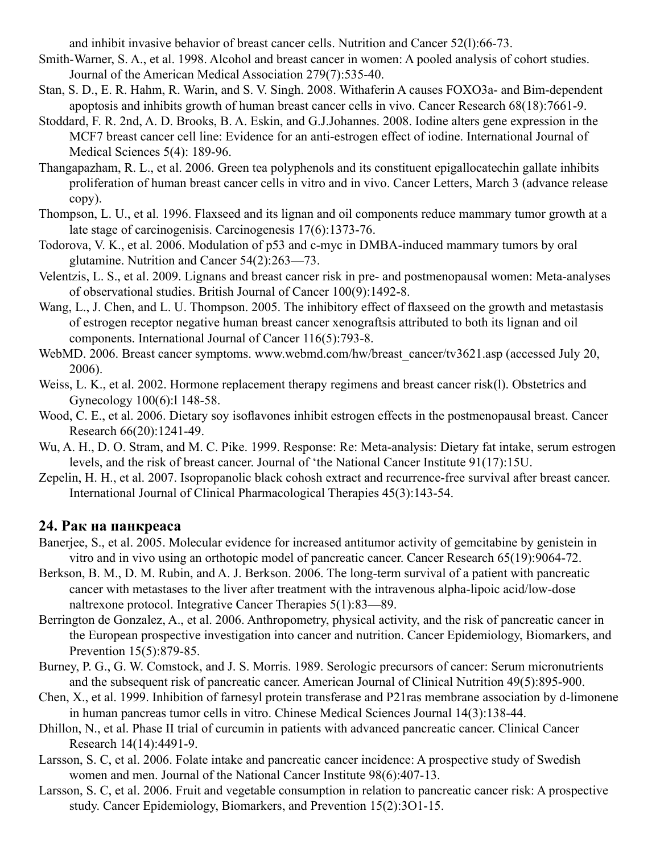and inhibit invasive behavior of breast cancer cells. Nutrition and Cancer 52(l):66-73.

- Smith-Warner, S. A., et al. 1998. Alcohol and breast cancer in women: A pooled analysis of cohort studies. Journal of the American Medical Association 279(7):535-40.
- Stan, S. D., E. R. Hahm, R. Warin, and S. V. Singh. 2008. Withaferin A causes FOXO3a- and Bim-dependent apoptosis and inhibits growth of human breast cancer cells in vivo. Cancer Research 68(18):7661-9.
- Stoddard, F. R. 2nd, A. D. Brooks, B. A. Eskin, and G.J.Johannes. 2008. Iodine alters gene expression in the MCF7 breast cancer cell line: Evidence for an anti-estrogen effect of iodine. International Journal of Medical Sciences 5(4): 189-96.
- Thangapazham, R. L., et al. 2006. Green tea polyphenols and its constituent epigallocatechin gallate inhibits proliferation of human breast cancer cells in vitro and in vivo. Cancer Letters, March 3 (advance release copy).
- Thompson, L. U., et al. 1996. Flaxseed and its lignan and oil components reduce mammary tumor growth at a late stage of carcinogenisis. Carcinogenesis 17(6):1373-76.
- Todorova, V. K., et al. 2006. Modulation of p53 and c-myc in DMBA-induced mammary tumors by oral glutamine. Nutrition and Cancer 54(2):263—73.
- Velentzis, L. S., et al. 2009. Lignans and breast cancer risk in pre- and postmenopausal women: Meta-analyses of observational studies. British Journal of Cancer 100(9):1492-8.
- Wang, L., J. Chen, and L. U. Thompson. 2005. The inhibitory effect of flaxseed on the growth and metastasis of estrogen receptor negative human breast cancer xenograftsis attributed to both its lignan and oil components. International Journal of Cancer 116(5):793-8.
- WebMD. 2006. Breast cancer symptoms. www.webmd.com/hw/breast\_cancer/tv3621.asp (accessed July 20, 2006).
- Weiss, L. K., et al. 2002. Hormone replacement therapy regimens and breast cancer risk(l). Obstetrics and Gynecology 100(6):l 148-58.
- Wood, C. E., et al. 2006. Dietary soy isoflavones inhibit estrogen effects in the postmenopausal breast. Cancer Research 66(20):1241-49.
- Wu, A. H., D. O. Stram, and M. C. Pike. 1999. Response: Re: Meta-analysis: Dietary fat intake, serum estrogen levels, and the risk of breast cancer. Journal of 'the National Cancer Institute 91(17):15U.
- Zepelin, H. H., et al. 2007. Isopropanolic black cohosh extract and recurrence-free survival after breast cancer. International Journal of Clinical Pharmacological Therapies 45(3):143-54.

# **24. Рак на панкреаса**

- Banerjee, S., et al. 2005. Molecular evidence for increased antitumor activity of gemcitabine by genistein in vitro and in vivo using an orthotopic model of pancreatic cancer. Cancer Research 65(19):9064-72.
- Berkson, B. M., D. M. Rubin, and A. J. Berkson. 2006. The long-term survival of a patient with pancreatic cancer with metastases to the liver after treatment with the intravenous alpha-lipoic acid/low-dose naltrexone protocol. Integrative Cancer Therapies 5(1):83—89.
- Berrington de Gonzalez, A., et al. 2006. Anthropometry, physical activity, and the risk of pancreatic cancer in the European prospective investigation into cancer and nutrition. Cancer Epidemiology, Biomarkers, and Prevention 15(5):879-85.
- Burney, P. G., G. W. Comstock, and J. S. Morris. 1989. Serologic precursors of cancer: Serum micronutrients and the subsequent risk of pancreatic cancer. American Journal of Clinical Nutrition 49(5):895-900.
- Chen, X., et al. 1999. Inhibition of farnesyl protein transferase and P21ras membrane association by d-limonene in human pancreas tumor cells in vitro. Chinese Medical Sciences Journal 14(3):138-44.
- Dhillon, N., et al. Phase II trial of curcumin in patients with advanced pancreatic cancer. Clinical Cancer Research 14(14):4491-9.
- Larsson, S. C, et al. 2006. Folate intake and pancreatic cancer incidence: A prospective study of Swedish women and men. Journal of the National Cancer Institute 98(6):407-13.
- Larsson, S. C, et al. 2006. Fruit and vegetable consumption in relation to pancreatic cancer risk: A prospective study. Cancer Epidemiology, Biomarkers, and Prevention 15(2):3O1-15.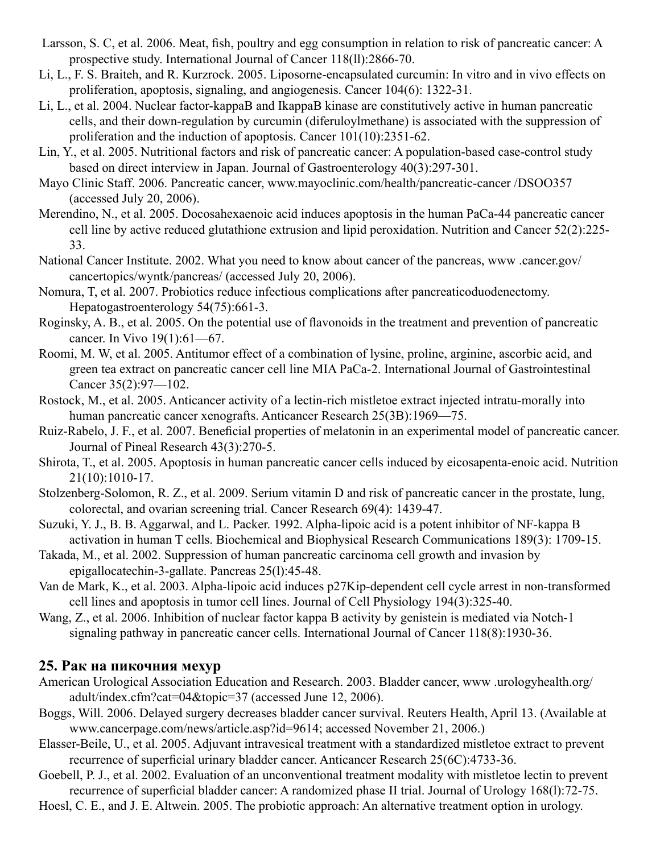- Larsson, S. C, et al. 2006. Meat, fish, poultry and egg consumption in relation to risk of pancreatic cancer: A prospective study. International Journal of Cancer 118(ll):2866-70.
- Li, L., F. S. Braiteh, and R. Kurzrock. 2005. Liposorne-encapsulated curcumin: In vitro and in vivo effects on proliferation, apoptosis, signaling, and angiogenesis. Cancer 104(6): 1322-31.
- Li, L., et al. 2004. Nuclear factor-kappaB and IkappaB kinase are constitutively active in human pancreatic cells, and their down-regulation by curcumin (diferuloylmethane) is associated with the suppression of proliferation and the induction of apoptosis. Cancer 101(10):2351-62.
- Lin, Y., et al. 2005. Nutritional factors and risk of pancreatic cancer: A population-based case-control study based on direct interview in Japan. Journal of Gastroenterology 40(3):297-301.
- Mayo Clinic Staff. 2006. Pancreatic cancer, www.mayoclinic.com/health/pancreatic-cancer /DSOO357 (accessed July 20, 2006).
- Merendino, N., et al. 2005. Docosahexaenoic acid induces apoptosis in the human PaCa-44 pancreatic cancer cell line by active reduced glutathione extrusion and lipid peroxidation. Nutrition and Cancer 52(2):225- 33.
- National Cancer Institute. 2002. What you need to know about cancer of the pancreas, www .cancer.gov/ cancertopics/wyntk/pancreas/ (accessed July 20, 2006).
- Nomura, T, et al. 2007. Probiotics reduce infectious complications after pancreaticoduodenectomy. Hepatogastroenterology 54(75):661-3.
- Roginsky, A. B., et al. 2005. On the potential use of flavonoids in the treatment and prevention of pancreatic cancer. In Vivo 19(1):61—67.
- Roomi, M. W, et al. 2005. Antitumor effect of a combination of lysine, proline, arginine, ascorbic acid, and green tea extract on pancreatic cancer cell line MIA PaCa-2. International Journal of Gastrointestinal Cancer 35(2):97—102.
- Rostock, M., et al. 2005. Anticancer activity of a lectin-rich mistletoe extract injected intratu-morally into human pancreatic cancer xenografts. Anticancer Research 25(3B):1969—75.
- Ruiz-Rabelo, J. F., et al. 2007. Beneficial properties of melatonin in an experimental model of pancreatic cancer. Journal of Pineal Research 43(3):270-5.
- Shirota, T., et al. 2005. Apoptosis in human pancreatic cancer cells induced by eicosapenta-enoic acid. Nutrition 21(10):1010-17.
- Stolzenberg-Solomon, R. Z., et al. 2009. Serium vitamin D and risk of pancreatic cancer in the prostate, lung, colorectal, and ovarian screening trial. Cancer Research 69(4): 1439-47.
- Suzuki, Y. J., B. B. Aggarwal, and L. Packer. 1992. Alpha-lipoic acid is a potent inhibitor of NF-kappa B activation in human T cells. Biochemical and Biophysical Research Communications 189(3): 1709-15.
- Takada, M., et al. 2002. Suppression of human pancreatic carcinoma cell growth and invasion by epigallocatechin-3-gallate. Pancreas 25(l):45-48.
- Van de Mark, K., et al. 2003. Alpha-lipoic acid induces p27Kip-dependent cell cycle arrest in non-transformed cell lines and apoptosis in tumor cell lines. Journal of Cell Physiology 194(3):325-40.
- Wang, Z., et al. 2006. Inhibition of nuclear factor kappa B activity by genistein is mediated via Notch-1 signaling pathway in pancreatic cancer cells. International Journal of Cancer 118(8):1930-36.

#### **25. Рак на пикочния мехур**

- American Urological Association Education and Research. 2003. Bladder cancer, www .urologyhealth.org/ adult/index.cfm?cat=04&topic=37 (accessed June 12, 2006).
- Boggs, Will. 2006. Delayed surgery decreases bladder cancer survival. Reuters Health, April 13. (Available at www.cancerpage.com/news/article.asp?id=9614; accessed November 21, 2006.)
- Elasser-Beile, U., et al. 2005. Adjuvant intravesical treatment with a standardized mistletoe extract to prevent recurrence of superficial urinary bladder cancer. Anticancer Research 25(6C):4733-36.
- Goebell, P. J., et al. 2002. Evaluation of an unconventional treatment modality with mistletoe lectin to prevent recurrence of superficial bladder cancer: A randomized phase II trial. Journal of Urology 168(l):72-75.
- Hoesl, C. E., and J. E. Altwein. 2005. The probiotic approach: An alternative treatment option in urology.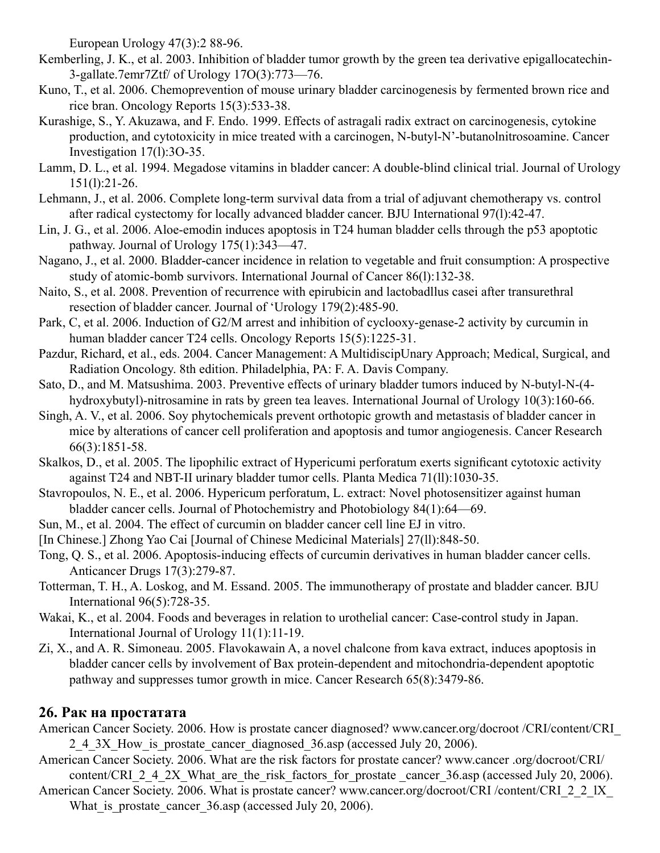European Urology 47(3):2 88-96.

- Kemberling, J. K., et al. 2003. Inhibition of bladder tumor growth by the green tea derivative epigallocatechin-3-gallate.7emr7Ztf/ of Urology 17O(3):773—76.
- Kuno, T., et al. 2006. Chemoprevention of mouse urinary bladder carcinogenesis by fermented brown rice and rice bran. Oncology Reports 15(3):533-38.
- Kurashige, S., Y. Akuzawa, and F. Endo. 1999. Effects of astragali radix extract on carcinogenesis, cytokine production, and cytotoxicity in mice treated with a carcinogen, N-butyl-N'-butanolnitrosoamine. Cancer Investigation 17(l):3O-35.
- Lamm, D. L., et al. 1994. Megadose vitamins in bladder cancer: A double-blind clinical trial. Journal of Urology 151(l):21-26.
- Lehmann, J., et al. 2006. Complete long-term survival data from a trial of adjuvant chemotherapy vs. control after radical cystectomy for locally advanced bladder cancer. BJU International 97(l):42-47.
- Lin, J. G., et al. 2006. Aloe-emodin induces apoptosis in T24 human bladder cells through the p53 apoptotic pathway. Journal of Urology 175(1):343—47.
- Nagano, J., et al. 2000. Bladder-cancer incidence in relation to vegetable and fruit consumption: A prospective study of atomic-bomb survivors. International Journal of Cancer 86(l):132-38.
- Naito, S., et al. 2008. Prevention of recurrence with epirubicin and lactobadllus casei after transurethral resection of bladder cancer. Journal of 'Urology 179(2):485-90.
- Park, C, et al. 2006. Induction of G2/M arrest and inhibition of cyclooxy-genase-2 activity by curcumin in human bladder cancer T24 cells. Oncology Reports 15(5):1225-31.
- Pazdur, Richard, et al., eds. 2004. Cancer Management: A MultidiscipUnary Approach; Medical, Surgical, and Radiation Oncology. 8th edition. Philadelphia, PA: F. A. Davis Company.
- Sato, D., and M. Matsushima. 2003. Preventive effects of urinary bladder tumors induced by N-butyl-N-(4 hydroxybutyl)-nitrosamine in rats by green tea leaves. International Journal of Urology 10(3):160-66.
- Singh, A. V., et al. 2006. Soy phytochemicals prevent orthotopic growth and metastasis of bladder cancer in mice by alterations of cancer cell proliferation and apoptosis and tumor angiogenesis. Cancer Research 66(3):1851-58.
- Skalkos, D., et al. 2005. The lipophilic extract of Hypericumi perforatum exerts significant cytotoxic activity against T24 and NBT-II urinary bladder tumor cells. Planta Medica 71(ll):1030-35.
- Stavropoulos, N. E., et al. 2006. Hypericum perforatum, L. extract: Novel photosensitizer against human bladder cancer cells. Journal of Photochemistry and Photobiology 84(1):64—69.
- Sun, M., et al. 2004. The effect of curcumin on bladder cancer cell line EJ in vitro.
- [In Chinese.] Zhong Yao Cai [Journal of Chinese Medicinal Materials] 27(ll):848-50.
- Tong, Q. S., et al. 2006. Apoptosis-inducing effects of curcumin derivatives in human bladder cancer cells. Anticancer Drugs 17(3):279-87.
- Totterman, T. H., A. Loskog, and M. Essand. 2005. The immunotherapy of prostate and bladder cancer. BJU International 96(5):728-35.
- Wakai, K., et al. 2004. Foods and beverages in relation to urothelial cancer: Case-control study in Japan. International Journal of Urology 11(1):11-19.
- Zi, X., and A. R. Simoneau. 2005. Flavokawain A, a novel chalcone from kava extract, induces apoptosis in bladder cancer cells by involvement of Bax protein-dependent and mitochondria-dependent apoptotic pathway and suppresses tumor growth in mice. Cancer Research 65(8):3479-86.

# **26. Рак на простатата**

- American Cancer Society. 2006. How is prostate cancer diagnosed? www.cancer.org/docroot /CRI/content/CRI\_ 2.4.3X. How is prostate cancer diagnosed 36.asp (accessed July 20, 2006).
- American Cancer Society. 2006. What are the risk factors for prostate cancer? www.cancer .org/docroot/CRI/ content/CRI\_2\_4\_2X\_What\_are\_the\_risk\_factors\_for\_prostate\_cancer\_36.asp (accessed July 20, 2006).
- American Cancer Society. 2006. What is prostate cancer? www.cancer.org/docroot/CRI /content/CRI\_2\_2\_lX What is prostate cancer 36.asp (accessed July 20, 2006).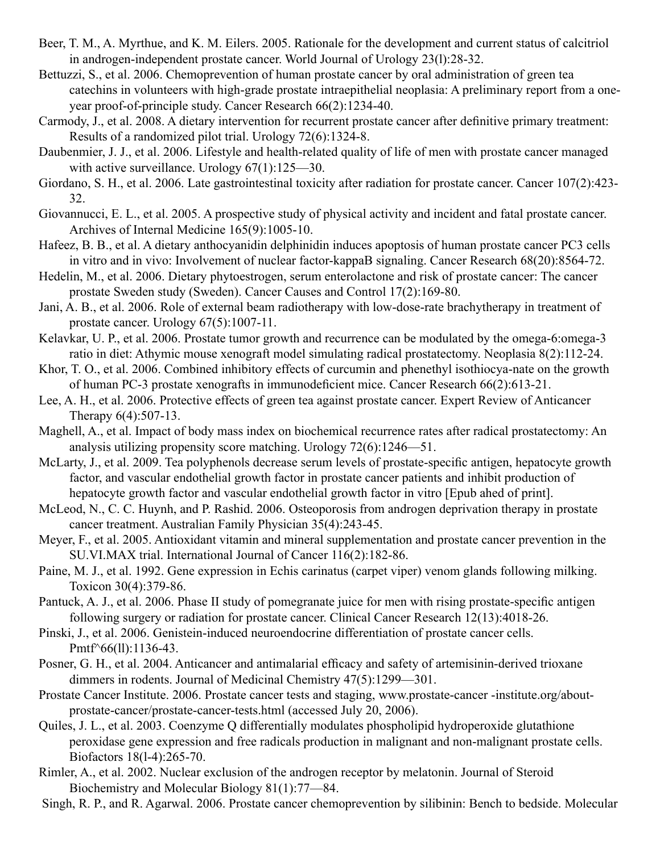- Beer, T. M., A. Myrthue, and K. M. Eilers. 2005. Rationale for the development and current status of calcitriol in androgen-independent prostate cancer. World Journal of Urology 23(l):28-32.
- Bettuzzi, S., et al. 2006. Chemoprevention of human prostate cancer by oral administration of green tea catechins in volunteers with high-grade prostate intraepithelial neoplasia: A preliminary report from a oneyear proof-of-principle study. Cancer Research 66(2):1234-40.
- Carmody, J., et al. 2008. A dietary intervention for recurrent prostate cancer after definitive primary treatment: Results of a randomized pilot trial. Urology 72(6):1324-8.
- Daubenmier, J. J., et al. 2006. Lifestyle and health-related quality of life of men with prostate cancer managed with active surveillance. Urology 67(1):125—30.
- Giordano, S. H., et al. 2006. Late gastrointestinal toxicity after radiation for prostate cancer. Cancer 107(2):423- 32.
- Giovannucci, E. L., et al. 2005. A prospective study of physical activity and incident and fatal prostate cancer. Archives of Internal Medicine 165(9):1005-10.
- Hafeez, B. B., et al. A dietary anthocyanidin delphinidin induces apoptosis of human prostate cancer PC3 cells in vitro and in vivo: Involvement of nuclear factor-kappaB signaling. Cancer Research 68(20):8564-72.
- Hedelin, M., et al. 2006. Dietary phytoestrogen, serum enterolactone and risk of prostate cancer: The cancer prostate Sweden study (Sweden). Cancer Causes and Control 17(2):169-80.
- Jani, A. B., et al. 2006. Role of external beam radiotherapy with low-dose-rate brachytherapy in treatment of prostate cancer. Urology 67(5):1007-11.
- Kelavkar, U. P., et al. 2006. Prostate tumor growth and recurrence can be modulated by the omega-6:omega-3 ratio in diet: Athymic mouse xenograft model simulating radical prostatectomy. Neoplasia 8(2):112-24.
- Khor, T. O., et al. 2006. Combined inhibitory effects of curcumin and phenethyl isothiocya-nate on the growth of human PC-3 prostate xenografts in immunodeficient mice. Cancer Research 66(2):613-21.
- Lee, A. H., et al. 2006. Protective effects of green tea against prostate cancer. Expert Review of Anticancer Therapy 6(4):507-13.
- Maghell, A., et al. Impact of body mass index on biochemical recurrence rates after radical prostatectomy: An analysis utilizing propensity score matching. Urology 72(6):1246—51.
- McLarty, J., et al. 2009. Tea polyphenols decrease serum levels of prostate-specific antigen, hepatocyte growth factor, and vascular endothelial growth factor in prostate cancer patients and inhibit production of hepatocyte growth factor and vascular endothelial growth factor in vitro [Epub ahed of print].
- McLeod, N., C. C. Huynh, and P. Rashid. 2006. Osteoporosis from androgen deprivation therapy in prostate cancer treatment. Australian Family Physician 35(4):243-45.
- Meyer, F., et al. 2005. Antioxidant vitamin and mineral supplementation and prostate cancer prevention in the SU.VI.MAX trial. International Journal of Cancer 116(2):182-86.
- Paine, M. J., et al. 1992. Gene expression in Echis carinatus (carpet viper) venom glands following milking. Toxicon 30(4):379-86.
- Pantuck, A. J., et al. 2006. Phase II study of pomegranate juice for men with rising prostate-specific antigen following surgery or radiation for prostate cancer. Clinical Cancer Research 12(13):4018-26.
- Pinski, J., et al. 2006. Genistein-induced neuroendocrine differentiation of prostate cancer cells. Pmtf<sup> $\sim$ </sup>66(11):1136-43.
- Posner, G. H., et al. 2004. Anticancer and antimalarial efficacy and safety of artemisinin-derived trioxane dimmers in rodents. Journal of Medicinal Chemistry 47(5):1299—301.
- Prostate Cancer Institute. 2006. Prostate cancer tests and staging, www.prostate-cancer -institute.org/aboutprostate-cancer/prostate-cancer-tests.html (accessed July 20, 2006).
- Quiles, J. L., et al. 2003. Coenzyme Q differentially modulates phospholipid hydroperoxide glutathione peroxidase gene expression and free radicals production in malignant and non-malignant prostate cells. Biofactors 18(l-4):265-70.
- Rimler, A., et al. 2002. Nuclear exclusion of the androgen receptor by melatonin. Journal of Steroid Biochemistry and Molecular Biology 81(1):77—84.
- Singh, R. P., and R. Agarwal. 2006. Prostate cancer chemoprevention by silibinin: Bench to bedside. Molecular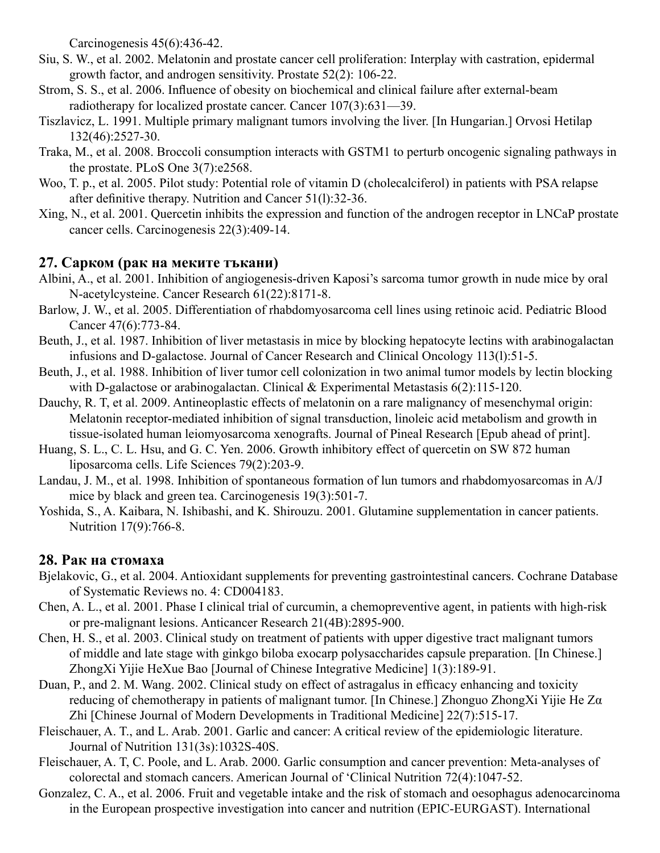Carcinogenesis 45(6):436-42.

- Siu, S. W., et al. 2002. Melatonin and prostate cancer cell proliferation: Interplay with castration, epidermal growth factor, and androgen sensitivity. Prostate 52(2): 106-22.
- Strom, S. S., et al. 2006. Influence of obesity on biochemical and clinical failure after external-beam radiotherapy for localized prostate cancer. Cancer 107(3):631—39.
- Tiszlavicz, L. 1991. Multiple primary malignant tumors involving the liver. [In Hungarian.] Orvosi Hetilap 132(46):2527-30.
- Traka, M., et al. 2008. Broccoli consumption interacts with GSTM1 to perturb oncogenic signaling pathways in the prostate. PLoS One 3(7):e2568.
- Woo, T. p., et al. 2005. Pilot study: Potential role of vitamin D (cholecalciferol) in patients with PSA relapse after definitive therapy. Nutrition and Cancer 51(l):32-36.
- Xing, N., et al. 2001. Quercetin inhibits the expression and function of the androgen receptor in LNCaP prostate cancer cells. Carcinogenesis 22(3):409-14.

# **27. Сарком (рак на меките тъкани)**

- Albini, A., et al. 2001. Inhibition of angiogenesis-driven Kaposi's sarcoma tumor growth in nude mice by oral N-acetylcysteine. Cancer Research 61(22):8171-8.
- Barlow, J. W., et al. 2005. Differentiation of rhabdomyosarcoma cell lines using retinoic acid. Pediatric Blood Cancer 47(6):773-84.
- Beuth, J., et al. 1987. Inhibition of liver metastasis in mice by blocking hepatocyte lectins with arabinogalactan infusions and D-galactose. Journal of Cancer Research and Clinical Oncology 113(l):51-5.
- Beuth, J., et al. 1988. Inhibition of liver tumor cell colonization in two animal tumor models by lectin blocking with D-galactose or arabinogalactan. Clinical & Experimental Metastasis 6(2):115-120.
- Dauchy, R. T, et al. 2009. Antineoplastic effects of melatonin on a rare malignancy of mesenchymal origin: Melatonin receptor-mediated inhibition of signal transduction, linoleic acid metabolism and growth in tissue-isolated human leiomyosarcoma xenografts. Journal of Pineal Research [Epub ahead of print].
- Huang, S. L., C. L. Hsu, and G. C. Yen. 2006. Growth inhibitory effect of quercetin on SW 872 human liposarcoma cells. Life Sciences 79(2):203-9.
- Landau, J. M., et al. 1998. Inhibition of spontaneous formation of lun tumors and rhabdomyosarcomas in A/J mice by black and green tea. Carcinogenesis 19(3):501-7.
- Yoshida, S., A. Kaibara, N. Ishibashi, and K. Shirouzu. 2001. Glutamine supplementation in cancer patients. Nutrition 17(9):766-8.

# **28. Рак на стомаха**

- Bjelakovic, G., et al. 2004. Antioxidant supplements for preventing gastrointestinal cancers. Cochrane Database of Systematic Reviews no. 4: CD004183.
- Chen, A. L., et al. 2001. Phase I clinical trial of curcumin, a chemopreventive agent, in patients with high-risk or pre-malignant lesions. Anticancer Research 21(4B):2895-900.
- Chen, H. S., et al. 2003. Clinical study on treatment of patients with upper digestive tract malignant tumors of middle and late stage with ginkgo biloba exocarp polysaccharides capsule preparation. [In Chinese.] ZhongXi Yijie HeXue Bao [Journal of Chinese Integrative Medicine] 1(3):189-91.
- Duan, P., and 2. M. Wang. 2002. Clinical study on effect of astragalus in efficacy enhancing and toxicity reducing of chemotherapy in patients of malignant tumor. [In Chinese.] Zhonguo ZhongXi Yijie He Zα Zhi [Chinese Journal of Modern Developments in Traditional Medicine] 22(7):515-17.
- Fleischauer, A. T., and L. Arab. 2001. Garlic and cancer: A critical review of the epidemiologic literature. Journal of Nutrition 131(3s):1032S-40S.
- Fleischauer, A. T, C. Poole, and L. Arab. 2000. Garlic consumption and cancer prevention: Meta-analyses of colorectal and stomach cancers. American Journal of 'Clinical Nutrition 72(4):1047-52.
- Gonzalez, C. A., et al. 2006. Fruit and vegetable intake and the risk of stomach and oesophagus adenocarcinoma in the European prospective investigation into cancer and nutrition (EPIC-EURGAST). International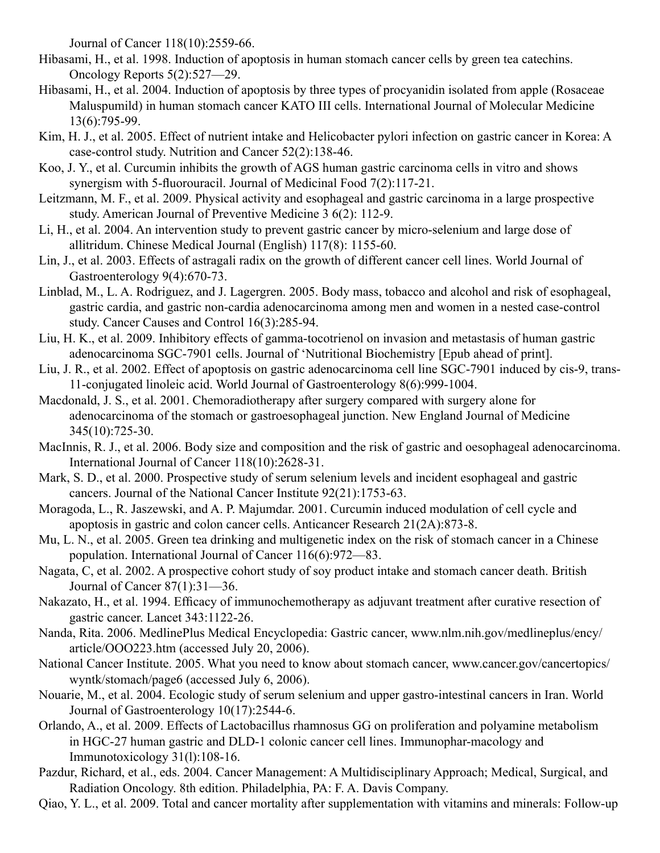Journal of Cancer 118(10):2559-66.

- Hibasami, H., et al. 1998. Induction of apoptosis in human stomach cancer cells by green tea catechins. Oncology Reports 5(2):527—29.
- Hibasami, H., et al. 2004. Induction of apoptosis by three types of procyanidin isolated from apple (Rosaceae Maluspumild) in human stomach cancer KATO III cells. International Journal of Molecular Medicine 13(6):795-99.
- Kim, H. J., et al. 2005. Effect of nutrient intake and Helicobacter pylori infection on gastric cancer in Korea: A case-control study. Nutrition and Cancer 52(2):138-46.
- Koo, J. Y., et al. Curcumin inhibits the growth of AGS human gastric carcinoma cells in vitro and shows synergism with 5-fluorouracil. Journal of Medicinal Food 7(2):117-21.
- Leitzmann, M. F., et al. 2009. Physical activity and esophageal and gastric carcinoma in a large prospective study. American Journal of Preventive Medicine 3 6(2): 112-9.
- Li, H., et al. 2004. An intervention study to prevent gastric cancer by micro-selenium and large dose of allitridum. Chinese Medical Journal (English) 117(8): 1155-60.
- Lin, J., et al. 2003. Effects of astragali radix on the growth of different cancer cell lines. World Journal of Gastroenterology 9(4):670-73.
- Linblad, M., L. A. Rodriguez, and J. Lagergren. 2005. Body mass, tobacco and alcohol and risk of esophageal, gastric cardia, and gastric non-cardia adenocarcinoma among men and women in a nested case-control study. Cancer Causes and Control 16(3):285-94.
- Liu, H. K., et al. 2009. Inhibitory effects of gamma-tocotrienol on invasion and metastasis of human gastric adenocarcinoma SGC-7901 cells. Journal of 'Nutritional Biochemistry [Epub ahead of print].
- Liu, J. R., et al. 2002. Effect of apoptosis on gastric adenocarcinoma cell line SGC-7901 induced by cis-9, trans-11-conjugated linoleic acid. World Journal of Gastroenterology 8(6):999-1004.
- Macdonald, J. S., et al. 2001. Chemoradiotherapy after surgery compared with surgery alone for adenocarcinoma of the stomach or gastroesophageal junction. New England Journal of Medicine 345(10):725-30.
- MacInnis, R. J., et al. 2006. Body size and composition and the risk of gastric and oesophageal adenocarcinoma. International Journal of Cancer 118(10):2628-31.
- Mark, S. D., et al. 2000. Prospective study of serum selenium levels and incident esophageal and gastric cancers. Journal of the National Cancer Institute 92(21):1753-63.
- Moragoda, L., R. Jaszewski, and A. P. Majumdar. 2001. Curcumin induced modulation of cell cycle and apoptosis in gastric and colon cancer cells. Anticancer Research 21(2A):873-8.
- Mu, L. N., et al. 2005. Green tea drinking and multigenetic index on the risk of stomach cancer in a Chinese population. International Journal of Cancer 116(6):972—83.
- Nagata, C, et al. 2002. A prospective cohort study of soy product intake and stomach cancer death. British Journal of Cancer 87(1):31—36.
- Nakazato, H., et al. 1994. Efficacy of immunochemotherapy as adjuvant treatment after curative resection of gastric cancer. Lancet 343:1122-26.
- Nanda, Rita. 2006. MedlinePlus Medical Encyclopedia: Gastric cancer, www.nlm.nih.gov/medlineplus/ency/ article/OOO223.htm (accessed July 20, 2006).
- National Cancer Institute. 2005. What you need to know about stomach cancer, www.cancer.gov/cancertopics/ wyntk/stomach/page6 (accessed July 6, 2006).
- Nouarie, M., et al. 2004. Ecologic study of serum selenium and upper gastro-intestinal cancers in Iran. World Journal of Gastroenterology 10(17):2544-6.
- Orlando, A., et al. 2009. Effects of Lactobacillus rhamnosus GG on proliferation and polyamine metabolism in HGC-27 human gastric and DLD-1 colonic cancer cell lines. Immunophar-macology and Immunotoxicology 31(l):108-16.
- Pazdur, Richard, et al., eds. 2004. Cancer Management: A Multidisciplinary Approach; Medical, Surgical, and Radiation Oncology. 8th edition. Philadelphia, PA: F. A. Davis Company.
- Qiao, Y. L., et al. 2009. Total and cancer mortality after supplementation with vitamins and minerals: Follow-up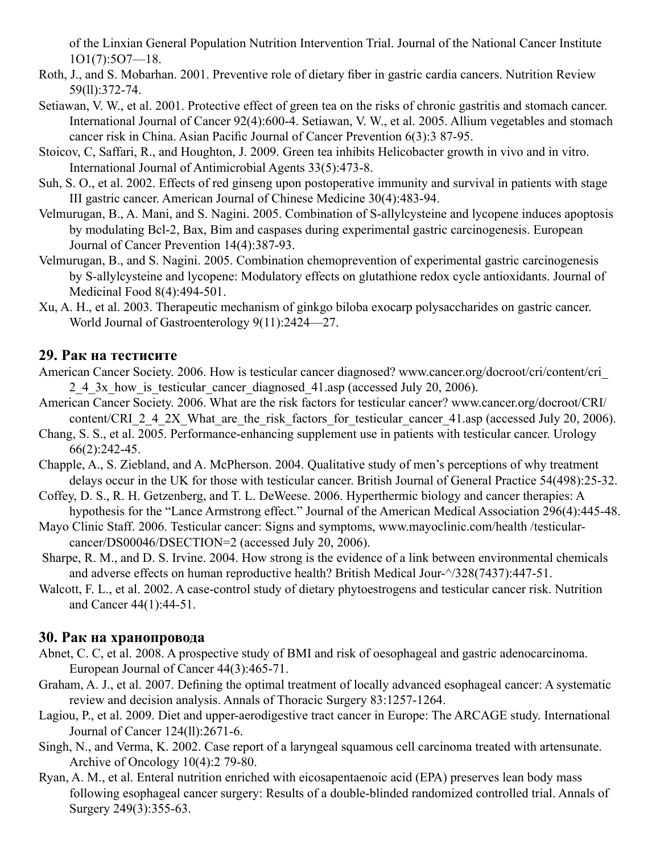of the Linxian General Population Nutrition Intervention Trial. Journal of the National Cancer Institute 1O1(7):5O7—18.

- Roth, J., and S. Mobarhan. 2001. Preventive role of dietary fiber in gastric cardia cancers. Nutrition Review 59(ll):372-74.
- Setiawan, V. W., et al. 2001. Protective effect of green tea on the risks of chronic gastritis and stomach cancer. International Journal of Cancer 92(4):600-4. Setiawan, V. W., et al. 2005. Allium vegetables and stomach cancer risk in China. Asian Pacific Journal of Cancer Prevention 6(3):3 87-95.
- Stoicov, C, Saffari, R., and Houghton, J. 2009. Green tea inhibits Helicobacter growth in vivo and in vitro. International Journal of Antimicrobial Agents 33(5):473-8.
- Suh, S. O., et al. 2002. Effects of red ginseng upon postoperative immunity and survival in patients with stage III gastric cancer. American Journal of Chinese Medicine 30(4):483-94.
- Velmurugan, B., A. Mani, and S. Nagini. 2005. Combination of S-allylcysteine and lycopene induces apoptosis by modulating Bcl-2, Bax, Bim and caspases during experimental gastric carcinogenesis. European Journal of Cancer Prevention 14(4):387-93.
- Velmurugan, B., and S. Nagini. 2005. Combination chemoprevention of experimental gastric carcinogenesis by S-allylcysteine and lycopene: Modulatory effects on glutathione redox cycle antioxidants. Journal of Medicinal Food 8(4):494-501.
- Xu, A. H., et al. 2003. Therapeutic mechanism of ginkgo biloba exocarp polysaccharides on gastric cancer. World Journal of Gastroenterology 9(11):2424—27.

### **29. Рак на тестисите**

- American Cancer Society. 2006. How is testicular cancer diagnosed? www.cancer.org/docroot/cri/content/cri\_ 2.4.3x how is testicular cancer diagnosed 41.asp (accessed July 20, 2006).
- American Cancer Society. 2006. What are the risk factors for testicular cancer? www.cancer.org/docroot/CRI/ content/CRI\_2\_4\_2X\_What\_are\_the\_risk\_factors\_for\_testicular\_cancer\_41.asp (accessed July 20, 2006).
- Chang, S. S., et al. 2005. Performance-enhancing supplement use in patients with testicular cancer. Urology 66(2):242-45.
- Chapple, A., S. Ziebland, and A. McPherson. 2004. Qualitative study of men's perceptions of why treatment delays occur in the UK for those with testicular cancer. British Journal of General Practice 54(498):25-32.
- Coffey, D. S., R. H. Getzenberg, and T. L. DeWeese. 2006. Hyperthermic biology and cancer therapies: A hypothesis for the "Lance Armstrong effect." Journal of the American Medical Association 296(4):445-48.
- Mayo Clinic Staff. 2006. Testicular cancer: Signs and symptoms, www.mayoclinic.com/health /testicularcancer/DS00046/DSECTION=2 (accessed July 20, 2006).
- Sharpe, R. M., and D. S. Irvine. 2004. How strong is the evidence of a link between environmental chemicals and adverse effects on human reproductive health? British Medical Jour-^/328(7437):447-51.
- Walcott, F. L., et al. 2002. A case-control study of dietary phytoestrogens and testicular cancer risk. Nutrition and Cancer 44(1):44-51.

# **30. Рак на хранопровода**

- Abnet, C. C, et al. 2008. A prospective study of BMI and risk of oesophageal and gastric adenocarcinoma. European Journal of Cancer 44(3):465-71.
- Graham, A. J., et al. 2007. Defining the optimal treatment of locally advanced esophageal cancer: A systematic review and decision analysis. Annals of Thoracic Surgery 83:1257-1264.
- Lagiou, P., et al. 2009. Diet and upper-aerodigestive tract cancer in Europe: The ARCAGE study. International Journal of Cancer 124(ll):2671-6.
- Singh, N., and Verma, K. 2002. Case report of a laryngeal squamous cell carcinoma treated with artensunate. Archive of Oncology 10(4):2 79-80.
- Ryan, A. M., et al. Enteral nutrition enriched with eicosapentaenoic acid (EPA) preserves lean body mass following esophageal cancer surgery: Results of a double-blinded randomized controlled trial. Annals of Surgery 249(3):355-63.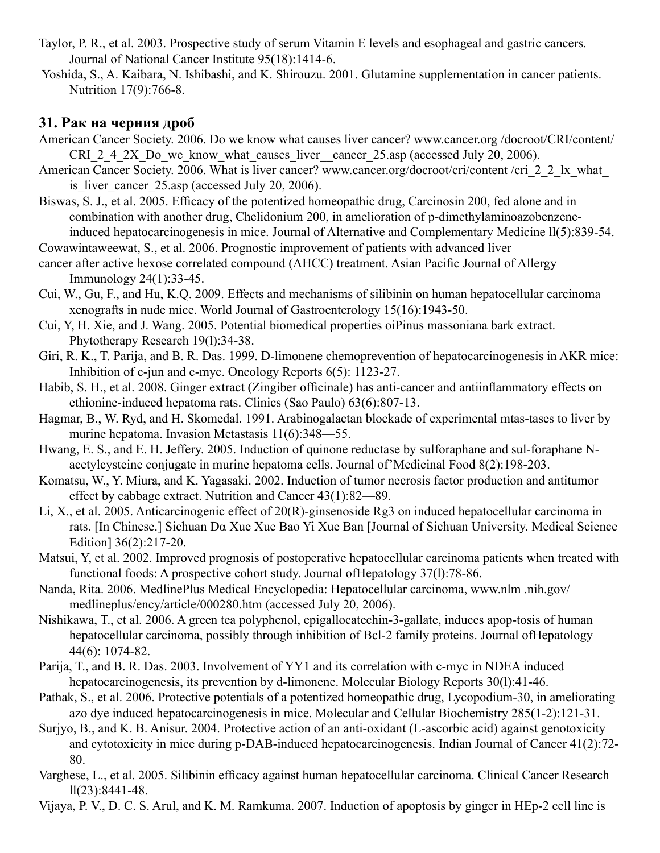- Taylor, P. R., et al. 2003. Prospective study of serum Vitamin E levels and esophageal and gastric cancers. Journal of National Cancer Institute 95(18):1414-6.
- Yoshida, S., A. Kaibara, N. Ishibashi, and K. Shirouzu. 2001. Glutamine supplementation in cancer patients. Nutrition 17(9):766-8.

# **31. Рак на черния дроб**

- American Cancer Society. 2006. Do we know what causes liver cancer? www.cancer.org /docroot/CRI/content/ CRI\_2\_4\_2X\_Do\_we\_know\_what\_causes\_liver\_\_cancer\_25.asp (accessed July 20, 2006).
- American Cancer Society. 2006. What is liver cancer? www.cancer.org/docroot/cri/content /cri\_2\_2\_lx\_what\_ is liver cancer  $25.$ asp (accessed July 20, 2006).
- Biswas, S. J., et al. 2005. Efficacy of the potentized homeopathic drug, Carcinosin 200, fed alone and in combination with another drug, Chelidonium 200, in amelioration of p-dimethylaminoazobenzeneinduced hepatocarcinogenesis in mice. Journal of Alternative and Complementary Medicine ll(5):839-54.
- Cowawintaweewat, S., et al. 2006. Prognostic improvement of patients with advanced liver
- cancer after active hexose correlated compound (AHCC) treatment. Asian Pacific Journal of Allergy Immunology 24(1):33-45.
- Cui, W., Gu, F., and Hu, K.Q. 2009. Effects and mechanisms of silibinin on human hepatocellular carcinoma xenografts in nude mice. World Journal of Gastroenterology 15(16):1943-50.
- Cui, Y, H. Xie, and J. Wang. 2005. Potential biomedical properties oiPinus massoniana bark extract. Phytotherapy Research 19(l):34-38.
- Giri, R. K., T. Parija, and B. R. Das. 1999. D-limonene chemoprevention of hepatocarcinogenesis in AKR mice: Inhibition of c-jun and c-myc. Oncology Reports 6(5): 1123-27.
- Habib, S. H., et al. 2008. Ginger extract (Zingiber officinale) has anti-cancer and antiinflammatory effects on ethionine-induced hepatoma rats. Clinics (Sao Paulo) 63(6):807-13.
- Hagmar, B., W. Ryd, and H. Skomedal. 1991. Arabinogalactan blockade of experimental mtas-tases to liver by murine hepatoma. Invasion Metastasis 11(6):348—55.
- Hwang, E. S., and E. H. Jeffery. 2005. Induction of quinone reductase by sulforaphane and sul-foraphane Nacetylcysteine conjugate in murine hepatoma cells. Journal of'Medicinal Food 8(2):198-203.
- Komatsu, W., Y. Miura, and K. Yagasaki. 2002. Induction of tumor necrosis factor production and antitumor effect by cabbage extract. Nutrition and Cancer 43(1):82—89.
- Li, X., et al. 2005. Anticarcinogenic effect of 20(R)-ginsenoside Rg3 on induced hepatocellular carcinoma in rats. [In Chinese.] Sichuan Dα Xue Xue Bao Yi Xue Ban [Journal of Sichuan University. Medical Science Edition] 36(2):217-20.
- Matsui, Y, et al. 2002. Improved prognosis of postoperative hepatocellular carcinoma patients when treated with functional foods: A prospective cohort study. Journal ofHepatology 37(l):78-86.
- Nanda, Rita. 2006. MedlinePlus Medical Encyclopedia: Hepatocellular carcinoma, www.nlm .nih.gov/ medlineplus/ency/article/000280.htm (accessed July 20, 2006).
- Nishikawa, T., et al. 2006. A green tea polyphenol, epigallocatechin-3-gallate, induces apop-tosis of human hepatocellular carcinoma, possibly through inhibition of Bcl-2 family proteins. Journal ofHepatology 44(6): 1074-82.
- Parija, T., and B. R. Das. 2003. Involvement of YY1 and its correlation with c-myc in NDEA induced hepatocarcinogenesis, its prevention by d-limonene. Molecular Biology Reports 30(l):41-46.
- Pathak, S., et al. 2006. Protective potentials of a potentized homeopathic drug, Lycopodium-30, in ameliorating azo dye induced hepatocarcinogenesis in mice. Molecular and Cellular Biochemistry 285(1-2):121-31.
- Surjyo, B., and K. B. Anisur. 2004. Protective action of an anti-oxidant (L-ascorbic acid) against genotoxicity and cytotoxicity in mice during p-DAB-induced hepatocarcinogenesis. Indian Journal of Cancer 41(2):72- 80.
- Varghese, L., et al. 2005. Silibinin efficacy against human hepatocellular carcinoma. Clinical Cancer Research ll(23):8441-48.
- Vijaya, P. V., D. C. S. Arul, and K. M. Ramkuma. 2007. Induction of apoptosis by ginger in HEp-2 cell line is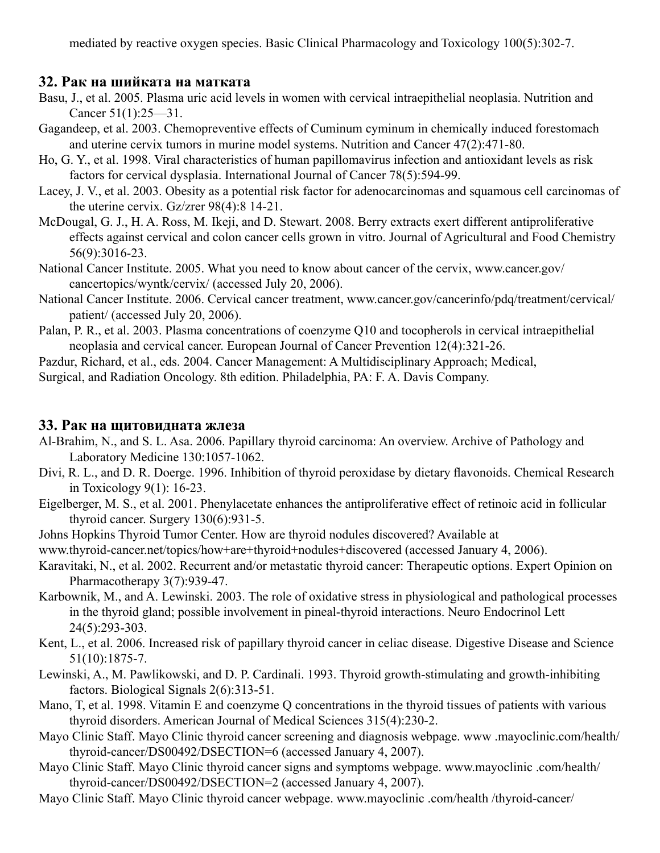mediated by reactive oxygen species. Basic Clinical Pharmacology and Toxicology 100(5):302-7.

#### **32. Рак на шийката на матката**

- Basu, J., et al. 2005. Plasma uric acid levels in women with cervical intraepithelial neoplasia. Nutrition and Cancer 51(1):25—31.
- Gagandeep, et al. 2003. Chemopreventive effects of Cuminum cyminum in chemically induced forestomach and uterine cervix tumors in murine model systems. Nutrition and Cancer 47(2):471-80.
- Ho, G. Y., et al. 1998. Viral characteristics of human papillomavirus infection and antioxidant levels as risk factors for cervical dysplasia. International Journal of Cancer 78(5):594-99.
- Lacey, J. V., et al. 2003. Obesity as a potential risk factor for adenocarcinomas and squamous cell carcinomas of the uterine cervix. Gz/zrer 98(4):8 14-21.
- McDougal, G. J., H. A. Ross, M. Ikeji, and D. Stewart. 2008. Berry extracts exert different antiproliferative effects against cervical and colon cancer cells grown in vitro. Journal of Agricultural and Food Chemistry 56(9):3016-23.
- National Cancer Institute. 2005. What you need to know about cancer of the cervix, www.cancer.gov/ cancertopics/wyntk/cervix/ (accessed July 20, 2006).
- National Cancer Institute. 2006. Cervical cancer treatment, www.cancer.gov/cancerinfo/pdq/treatment/cervical/ patient/ (accessed July 20, 2006).
- Palan, P. R., et al. 2003. Plasma concentrations of coenzyme Q10 and tocopherols in cervical intraepithelial neoplasia and cervical cancer. European Journal of Cancer Prevention 12(4):321-26.

Pazdur, Richard, et al., eds. 2004. Cancer Management: A Multidisciplinary Approach; Medical,

Surgical, and Radiation Oncology. 8th edition. Philadelphia, PA: F. A. Davis Company.

#### **33. Рак на щитовидната жлеза**

- Al-Brahim, N., and S. L. Asa. 2006. Papillary thyroid carcinoma: An overview. Archive of Pathology and Laboratory Medicine 130:1057-1062.
- Divi, R. L., and D. R. Doerge. 1996. Inhibition of thyroid peroxidase by dietary flavonoids. Chemical Research in Toxicology 9(1): 16-23.
- Eigelberger, M. S., et al. 2001. Phenylacetate enhances the antiproliferative effect of retinoic acid in follicular thyroid cancer. Surgery 130(6):931-5.
- Johns Hopkins Thyroid Tumor Center. How are thyroid nodules discovered? Available at
- www.thyroid-cancer.net/topics/how+are+thyroid+nodules+discovered (accessed January 4, 2006).
- Karavitaki, N., et al. 2002. Recurrent and/or metastatic thyroid cancer: Therapeutic options. Expert Opinion on Pharmacotherapy 3(7):939-47.
- Karbownik, M., and A. Lewinski. 2003. The role of oxidative stress in physiological and pathological processes in the thyroid gland; possible involvement in pineal-thyroid interactions. Neuro Endocrinol Lett 24(5):293-303.
- Kent, L., et al. 2006. Increased risk of papillary thyroid cancer in celiac disease. Digestive Disease and Science 51(10):1875-7.
- Lewinski, A., M. Pawlikowski, and D. P. Cardinali. 1993. Thyroid growth-stimulating and growth-inhibiting factors. Biological Signals 2(6):313-51.
- Mano, T, et al. 1998. Vitamin E and coenzyme Q concentrations in the thyroid tissues of patients with various thyroid disorders. American Journal of Medical Sciences 315(4):230-2.
- Mayo Clinic Staff. Mayo Clinic thyroid cancer screening and diagnosis webpage. www .mayoclinic.com/health/ thyroid-cancer/DS00492/DSECTION=6 (accessed January 4, 2007).
- Mayo Clinic Staff. Mayo Clinic thyroid cancer signs and symptoms webpage. www.mayoclinic .com/health/ thyroid-cancer/DS00492/DSECTION=2 (accessed January 4, 2007).
- Mayo Clinic Staff. Mayo Clinic thyroid cancer webpage. www.mayoclinic .com/health /thyroid-cancer/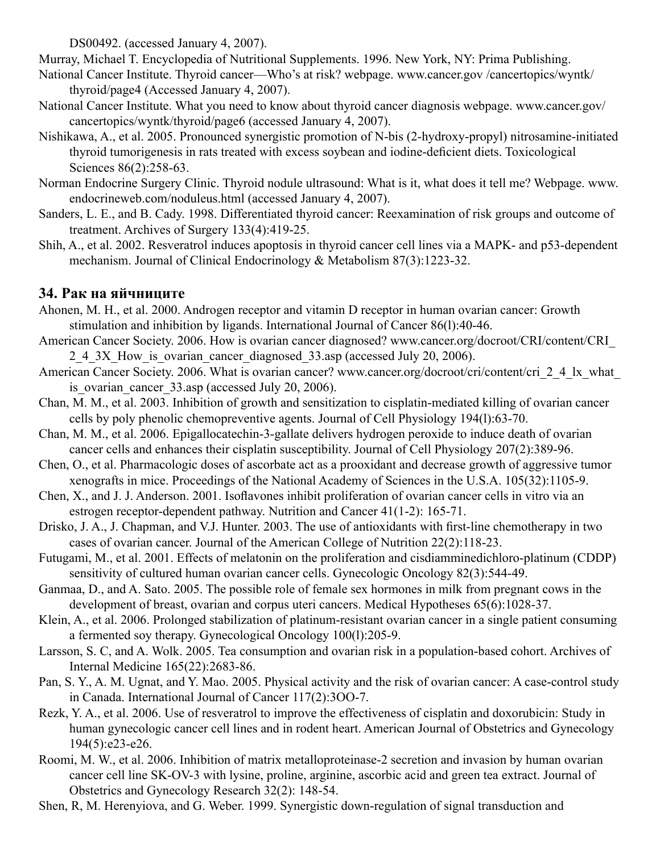DS00492. (accessed January 4, 2007).

Murray, Michael T. Encyclopedia of Nutritional Supplements. 1996. New York, NY: Prima Publishing.

- National Cancer Institute. Thyroid cancer—Who's at risk? webpage. www.cancer.gov /cancertopics/wyntk/ thyroid/page4 (Accessed January 4, 2007).
- National Cancer Institute. What you need to know about thyroid cancer diagnosis webpage. www.cancer.gov/ cancertopics/wyntk/thyroid/page6 (accessed January 4, 2007).
- Nishikawa, A., et al. 2005. Pronounced synergistic promotion of N-bis (2-hydroxy-propyl) nitrosamine-initiated thyroid tumorigenesis in rats treated with excess soybean and iodine-deficient diets. Toxicological Sciences 86(2):258-63.
- Norman Endocrine Surgery Clinic. Thyroid nodule ultrasound: What is it, what does it tell me? Webpage. www. endocrineweb.com/noduleus.html (accessed January 4, 2007).
- Sanders, L. E., and B. Cady. 1998. Differentiated thyroid cancer: Reexamination of risk groups and outcome of treatment. Archives of Surgery 133(4):419-25.
- Shih, A., et al. 2002. Resveratrol induces apoptosis in thyroid cancer cell lines via a MAPK- and p53-dependent mechanism. Journal of Clinical Endocrinology & Metabolism 87(3):1223-32.

# **34. Рак на яйчниците**

- Ahonen, M. H., et al. 2000. Androgen receptor and vitamin D receptor in human ovarian cancer: Growth stimulation and inhibition by ligands. International Journal of Cancer 86(l):40-46.
- American Cancer Society. 2006. How is ovarian cancer diagnosed? www.cancer.org/docroot/CRI/content/CRI\_ 2\_4\_3X\_How\_is\_ovarian\_cancer\_diagnosed\_33.asp (accessed July 20, 2006).
- American Cancer Society. 2006. What is ovarian cancer? www.cancer.org/docroot/cri/content/cri\_2\_4\_lx\_what is ovarian cancer  $33.\text{asp}$  (accessed July 20, 2006).
- Chan, M. M., et al. 2003. Inhibition of growth and sensitization to cisplatin-mediated killing of ovarian cancer cells by poly phenolic chemopreventive agents. Journal of Cell Physiology 194(l):63-70.
- Chan, M. M., et al. 2006. Epigallocatechin-3-gallate delivers hydrogen peroxide to induce death of ovarian cancer cells and enhances their cisplatin susceptibility. Journal of Cell Physiology 207(2):389-96.
- Chen, O., et al. Pharmacologic doses of ascorbate act as a prooxidant and decrease growth of aggressive tumor xenografts in mice. Proceedings of the National Academy of Sciences in the U.S.A. 105(32):1105-9.
- Chen, X., and J. J. Anderson. 2001. Isoflavones inhibit proliferation of ovarian cancer cells in vitro via an estrogen receptor-dependent pathway. Nutrition and Cancer 41(1-2): 165-71.
- Drisko, J. A., J. Chapman, and V.J. Hunter. 2003. The use of antioxidants with first-line chemotherapy in two cases of ovarian cancer. Journal of the American College of Nutrition 22(2):118-23.
- Futugami, M., et al. 2001. Effects of melatonin on the proliferation and cisdiamminedichloro-platinum (CDDP) sensitivity of cultured human ovarian cancer cells. Gynecologic Oncology 82(3):544-49.
- Ganmaa, D., and A. Sato. 2005. The possible role of female sex hormones in milk from pregnant cows in the development of breast, ovarian and corpus uteri cancers. Medical Hypotheses 65(6):1028-37.
- Klein, A., et al. 2006. Prolonged stabilization of platinum-resistant ovarian cancer in a single patient consuming a fermented soy therapy. Gynecological Oncology 100(l):205-9.
- Larsson, S. C, and A. Wolk. 2005. Tea consumption and ovarian risk in a population-based cohort. Archives of Internal Medicine 165(22):2683-86.
- Pan, S. Y., A. M. Ugnat, and Y. Mao. 2005. Physical activity and the risk of ovarian cancer: A case-control study in Canada. International Journal of Cancer 117(2):3OO-7.
- Rezk, Y. A., et al. 2006. Use of resveratrol to improve the effectiveness of cisplatin and doxorubicin: Study in human gynecologic cancer cell lines and in rodent heart. American Journal of Obstetrics and Gynecology 194(5):e23-e26.
- Roomi, M. W., et al. 2006. Inhibition of matrix metalloproteinase-2 secretion and invasion by human ovarian cancer cell line SK-OV-3 with lysine, proline, arginine, ascorbic acid and green tea extract. Journal of Obstetrics and Gynecology Research 32(2): 148-54.
- Shen, R, M. Herenyiova, and G. Weber. 1999. Synergistic down-regulation of signal transduction and